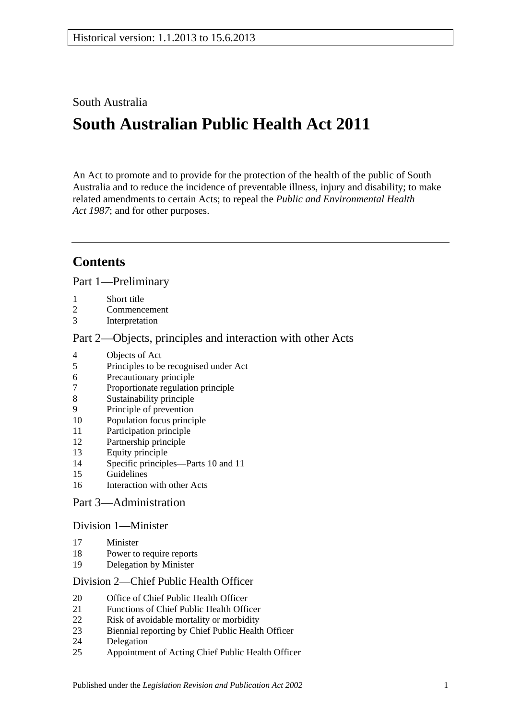## South Australia

# **South Australian Public Health Act 2011**

An Act to promote and to provide for the protection of the health of the public of South Australia and to reduce the incidence of preventable illness, injury and disability; to make related amendments to certain Acts; to repeal the *[Public and Environmental Health](http://www.legislation.sa.gov.au/index.aspx?action=legref&type=act&legtitle=Public%20and%20Environmental%20Health%20Act%201987)  Act [1987](http://www.legislation.sa.gov.au/index.aspx?action=legref&type=act&legtitle=Public%20and%20Environmental%20Health%20Act%201987)*; and for other purposes.

# **Contents**

Part [1—Preliminary](#page-4-0)

- [Short title](#page-4-1)
- [Commencement](#page-4-2)
- [Interpretation](#page-4-3)

## Part [2—Objects, principles and interaction with other Acts](#page-7-0)

- [Objects of Act](#page-7-1)
- [Principles to be recognised under Act](#page-8-0)
- [Precautionary principle](#page-8-1)
- [Proportionate regulation principle](#page-8-2)<br>8 Sustainability principle
- [Sustainability principle](#page-9-0)
- [Principle of prevention](#page-9-1)
- [Population focus principle](#page-9-2)
- [Participation principle](#page-9-3)
- [Partnership principle](#page-9-4)
- [Equity principle](#page-9-5)
- [Specific principles—Parts](#page-9-6) 10 and [11](#page-9-6)
- [Guidelines](#page-11-0)
- [Interaction with other Acts](#page-11-1)

## Part [3—Administration](#page-11-2)

## Division [1—Minister](#page-11-3)

- [Minister](#page-11-4)
- [Power to require reports](#page-12-0)
- [Delegation by Minister](#page-13-0)

## Division [2—Chief Public Health Officer](#page-13-1)

- [Office of Chief Public Health Officer](#page-13-2)
- [Functions of Chief Public Health Officer](#page-13-3)
- [Risk of avoidable mortality or morbidity](#page-14-0)
- [Biennial reporting by Chief Public Health Officer](#page-15-0)
- [Delegation](#page-15-1)
- [Appointment of Acting Chief Public Health Officer](#page-16-0)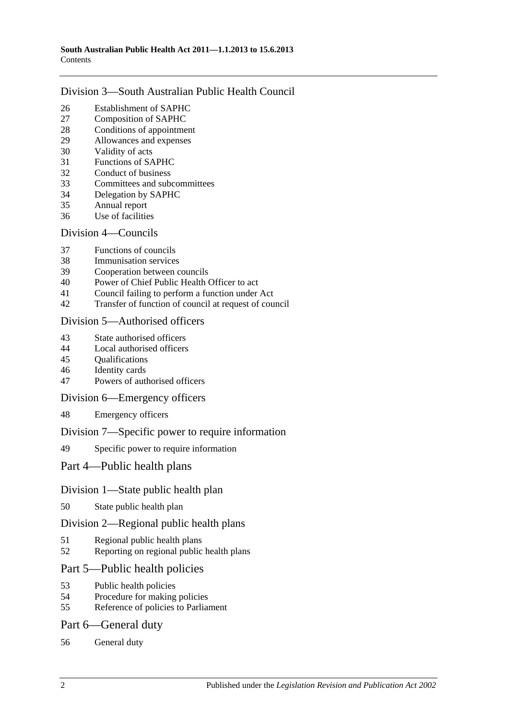## Division [3—South Australian Public Health Council](#page-16-1)

- [Establishment of SAPHC](#page-16-2)<br>27 Composition of SAPHC
- [Composition of SAPHC](#page-16-3)
- [Conditions of appointment](#page-17-0)
- [Allowances and expenses](#page-17-1)
- [Validity of acts](#page-17-2)
- [Functions of SAPHC](#page-17-3)
- [Conduct of business](#page-18-0)
- [Committees and subcommittees](#page-18-1)
- [Delegation by SAPHC](#page-19-0)
- [Annual report](#page-19-1)
- [Use of facilities](#page-19-2)

## Division [4—Councils](#page-19-3)

- [Functions of councils](#page-19-4)
- [Immunisation services](#page-20-0)
- [Cooperation between councils](#page-20-1)
- [Power of Chief Public Health Officer to act](#page-20-2)
- [Council failing to perform a function under Act](#page-21-0)
- [Transfer of function of council at request of council](#page-22-0)

## Division [5—Authorised officers](#page-23-0)

- [State authorised officers](#page-23-1)
- [Local authorised officers](#page-23-2)
- [Qualifications](#page-23-3)
- [Identity cards](#page-24-0)
- [Powers of authorised officers](#page-24-1)

## Division [6—Emergency officers](#page-26-0)

[Emergency officers](#page-26-1)

## Division [7—Specific power to require information](#page-26-2)

[Specific power to require information](#page-26-3)

## Part [4—Public health plans](#page-27-0)

## Division [1—State public health plan](#page-27-1)

[State public health plan](#page-27-2)

## Division [2—Regional public health plans](#page-28-0)

- [Regional public health plans](#page-28-1)
- [Reporting on regional public health plans](#page-31-0)

## Part [5—Public health policies](#page-31-1)

- [Public health policies](#page-31-2)
- [Procedure for making policies](#page-32-0)
- [Reference of policies to Parliament](#page-32-1)

## Part [6—General duty](#page-33-0)

[General duty](#page-33-1)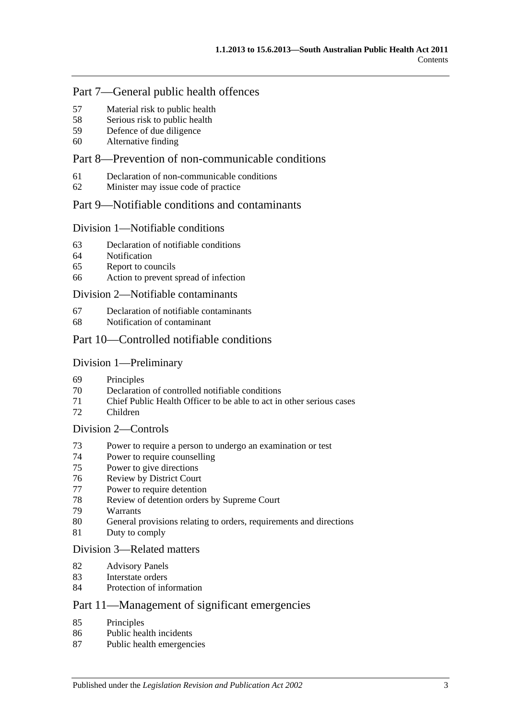## Part [7—General public health offences](#page-33-2)

- [Material risk to public health](#page-33-3)
- [Serious risk to public health](#page-34-0)
- [Defence of due diligence](#page-34-1)
- [Alternative finding](#page-35-0)

## Part [8—Prevention of non-communicable conditions](#page-35-1)

- [Declaration of non-communicable conditions](#page-35-2)
- [Minister may issue code of practice](#page-35-3)

## Part [9—Notifiable conditions and contaminants](#page-36-0)

#### Division [1—Notifiable conditions](#page-36-1)

- [Declaration of notifiable conditions](#page-36-2)
- [Notification](#page-36-3)
- [Report to councils](#page-37-0)
- [Action to prevent spread of infection](#page-38-0)

#### Division [2—Notifiable contaminants](#page-39-0)

- [Declaration of notifiable contaminants](#page-39-1)
- [Notification of contaminant](#page-39-2)

## Part [10—Controlled notifiable conditions](#page-41-0)

#### Division [1—Preliminary](#page-41-1)

- [Principles](#page-41-2)
- [Declaration of controlled notifiable conditions](#page-41-3)
- [Chief Public Health Officer to be able to act in other serious cases](#page-42-0)
- [Children](#page-43-0)

## Division [2—Controls](#page-43-1)

- [Power to require a person to undergo an examination or test](#page-43-2)
- [Power to require counselling](#page-45-0)
- [Power to give directions](#page-45-1)
- [Review by District Court](#page-47-0)
- [Power to require detention](#page-47-1)
- [Review of detention orders by Supreme](#page-49-0) Court
- [Warrants](#page-50-0)
- [General provisions relating to orders, requirements and directions](#page-51-0)
- [Duty to comply](#page-51-1)

#### Division [3—Related matters](#page-51-2)

- [Advisory Panels](#page-51-3)
- [Interstate orders](#page-52-0)
- [Protection of information](#page-53-0)

## Part [11—Management of significant emergencies](#page-53-1)

- [Principles](#page-53-2)
- [Public health incidents](#page-53-3)
- [Public health emergencies](#page-53-4)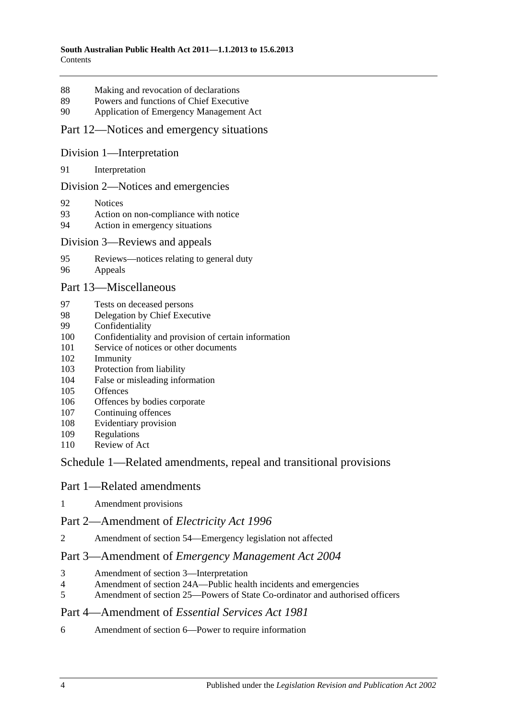- [Making and revocation of declarations](#page-53-5)
- [Powers and functions of Chief Executive](#page-54-0)
- [Application of Emergency Management Act](#page-54-1)

#### Part [12—Notices and emergency situations](#page-58-0)

#### Division [1—Interpretation](#page-58-1)

[Interpretation](#page-58-2)

#### Division [2—Notices and emergencies](#page-58-3)

- [Notices](#page-58-4)
- [Action on non-compliance with notice](#page-61-0)
- [Action in emergency situations](#page-61-1)

#### Division [3—Reviews and appeals](#page-62-0)

- [Reviews—notices relating to general duty](#page-62-1)
- [Appeals](#page-63-0)

#### Part [13—Miscellaneous](#page-64-0)

- [Tests on deceased persons](#page-64-1)
- [Delegation by Chief Executive](#page-65-0)
- [Confidentiality](#page-65-1)
- [Confidentiality and provision of certain information](#page-66-0)
- [Service of notices or other documents](#page-67-0)
- [Immunity](#page-68-0)
- [Protection from liability](#page-68-1)
- [False or misleading information](#page-69-0)
- [Offences](#page-69-1)
- [Offences by bodies corporate](#page-69-2)
- [Continuing offences](#page-69-3)
- [Evidentiary provision](#page-70-0)
- [Regulations](#page-70-1)
- [Review of Act](#page-73-0)

## Schedule [1—Related amendments, repeal and transitional provisions](#page-73-1)

#### Part 1—Related amendments

[Amendment provisions](#page-73-2)

## Part 2—Amendment of *Electricity Act 1996*

Amendment of section [54—Emergency legislation not affected](#page-73-3)

#### Part 3—Amendment of *Emergency Management Act 2004*

- [Amendment of section](#page-73-4) 3—Interpretation
- Amendment of section [24A—Public health incidents and emergencies](#page-73-5)
- Amendment of section [25—Powers of State Co-ordinator and authorised officers](#page-73-6)

#### Part 4—Amendment of *Essential Services Act 1981*

Amendment of section [6—Power to require information](#page-74-0)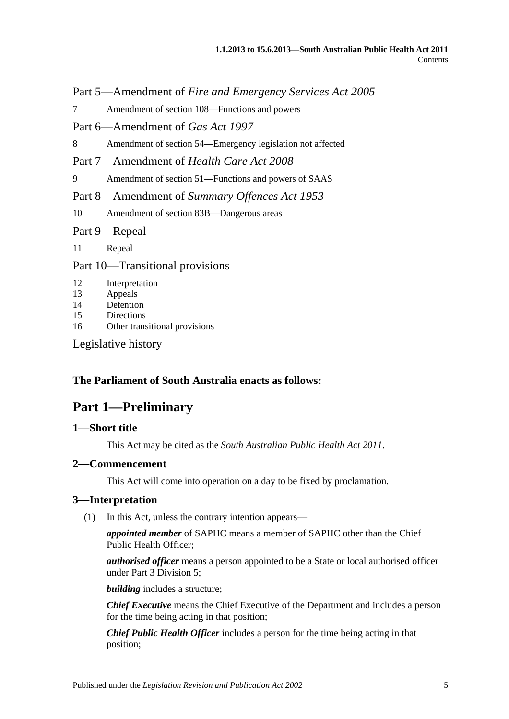Part 5—Amendment of *Fire and Emergency Services Act 2005*

7 Amendment of section [108—Functions and powers](#page-74-1)

Part 6—Amendment of *Gas Act 1997*

8 Amendment of section [54—Emergency legislation not affected](#page-74-2)

Part 7—Amendment of *Health Care Act 2008*

9 Amendment of section [51—Functions and powers of SAAS](#page-74-3)

Part 8—Amendment of *Summary Offences Act 1953*

10 Amendment of section [83B—Dangerous areas](#page-74-4)

Part 9—Repeal

11 [Repeal](#page-74-5)

Part 10—Transitional provisions

12 [Interpretation](#page-75-0)

13 [Appeals](#page-75-1)

14 [Detention](#page-75-2)

15 [Directions](#page-76-0)

16 [Other transitional provisions](#page-76-1)

[Legislative history](#page-77-0)

## <span id="page-4-0"></span>**The Parliament of South Australia enacts as follows:**

## **Part 1—Preliminary**

## <span id="page-4-1"></span>**1—Short title**

This Act may be cited as the *South Australian Public Health Act 2011*.

#### <span id="page-4-2"></span>**2—Commencement**

This Act will come into operation on a day to be fixed by proclamation.

#### <span id="page-4-4"></span><span id="page-4-3"></span>**3—Interpretation**

(1) In this Act, unless the contrary intention appears—

*appointed member* of SAPHC means a member of SAPHC other than the Chief Public Health Officer;

*authorised officer* means a person appointed to be a State or local authorised officer under Part [3 Division](#page-23-0) 5;

*building* includes a structure;

*Chief Executive* means the Chief Executive of the Department and includes a person for the time being acting in that position;

*Chief Public Health Officer* includes a person for the time being acting in that position;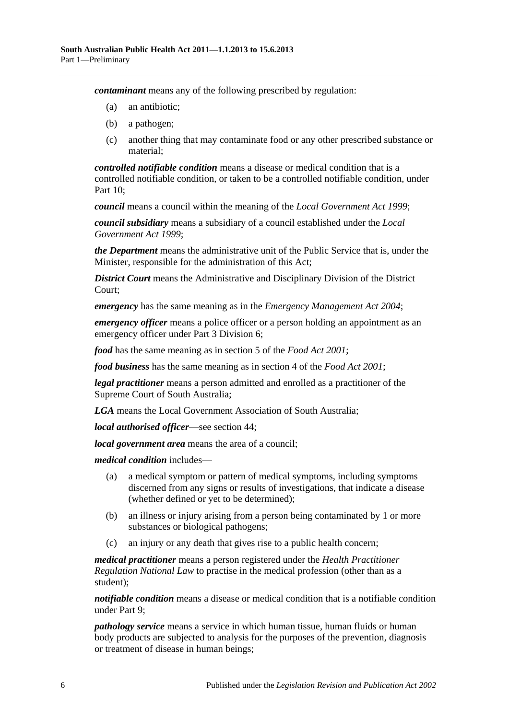*contaminant* means any of the following prescribed by regulation:

- (a) an antibiotic;
- (b) a pathogen;
- (c) another thing that may contaminate food or any other prescribed substance or material;

*controlled notifiable condition* means a disease or medical condition that is a controlled notifiable condition, or taken to be a controlled notifiable condition, under [Part](#page-41-0) 10;

*council* means a council within the meaning of the *[Local Government Act](http://www.legislation.sa.gov.au/index.aspx?action=legref&type=act&legtitle=Local%20Government%20Act%201999) 1999*;

*council subsidiary* means a subsidiary of a council established under the *[Local](http://www.legislation.sa.gov.au/index.aspx?action=legref&type=act&legtitle=Local%20Government%20Act%201999)  [Government Act](http://www.legislation.sa.gov.au/index.aspx?action=legref&type=act&legtitle=Local%20Government%20Act%201999) 1999*;

*the Department* means the administrative unit of the Public Service that is, under the Minister, responsible for the administration of this Act;

*District Court* means the Administrative and Disciplinary Division of the District Court;

*emergency* has the same meaning as in the *[Emergency Management Act](http://www.legislation.sa.gov.au/index.aspx?action=legref&type=act&legtitle=Emergency%20Management%20Act%202004) 2004*;

*emergency officer* means a police officer or a person holding an appointment as an emergency officer under Part [3 Division](#page-26-0) 6;

*food* has the same meaning as in section 5 of the *[Food Act](http://www.legislation.sa.gov.au/index.aspx?action=legref&type=act&legtitle=Food%20Act%202001) 2001*;

*food business* has the same meaning as in section 4 of the *[Food Act](http://www.legislation.sa.gov.au/index.aspx?action=legref&type=act&legtitle=Food%20Act%202001) 2001*;

*legal practitioner* means a person admitted and enrolled as a practitioner of the Supreme Court of South Australia;

*LGA* means the Local Government Association of South Australia;

*local authorised officer*—see [section](#page-23-2) 44;

*local government area* means the area of a council;

*medical condition* includes—

- (a) a medical symptom or pattern of medical symptoms, including symptoms discerned from any signs or results of investigations, that indicate a disease (whether defined or yet to be determined);
- (b) an illness or injury arising from a person being contaminated by 1 or more substances or biological pathogens;
- (c) an injury or any death that gives rise to a public health concern;

*medical practitioner* means a person registered under the *Health Practitioner Regulation National Law* to practise in the medical profession (other than as a student);

*notifiable condition* means a disease or medical condition that is a notifiable condition under [Part](#page-36-0) 9;

*pathology service* means a service in which human tissue, human fluids or human body products are subjected to analysis for the purposes of the prevention, diagnosis or treatment of disease in human beings;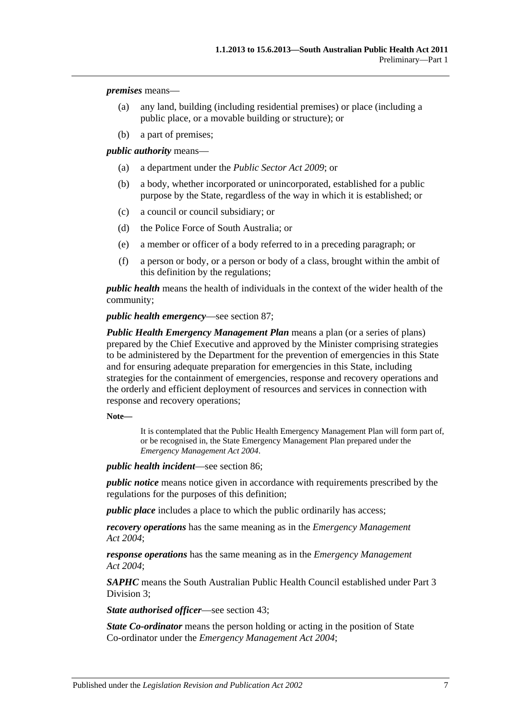*premises* means—

- (a) any land, building (including residential premises) or place (including a public place, or a movable building or structure); or
- (b) a part of premises;

*public authority* means—

- (a) a department under the *[Public Sector Act](http://www.legislation.sa.gov.au/index.aspx?action=legref&type=act&legtitle=Public%20Sector%20Act%202009) 2009*; or
- (b) a body, whether incorporated or unincorporated, established for a public purpose by the State, regardless of the way in which it is established; or
- (c) a council or council subsidiary; or
- (d) the Police Force of South Australia; or
- (e) a member or officer of a body referred to in a preceding paragraph; or
- (f) a person or body, or a person or body of a class, brought within the ambit of this definition by the regulations;

*public health* means the health of individuals in the context of the wider health of the community;

*public health emergency*—see [section](#page-53-4) 87;

*Public Health Emergency Management Plan* means a plan (or a series of plans) prepared by the Chief Executive and approved by the Minister comprising strategies to be administered by the Department for the prevention of emergencies in this State and for ensuring adequate preparation for emergencies in this State, including strategies for the containment of emergencies, response and recovery operations and the orderly and efficient deployment of resources and services in connection with response and recovery operations;

**Note—**

It is contemplated that the Public Health Emergency Management Plan will form part of, or be recognised in, the State Emergency Management Plan prepared under the *[Emergency Management Act](http://www.legislation.sa.gov.au/index.aspx?action=legref&type=act&legtitle=Emergency%20Management%20Act%202004) 2004*.

*public health incident*—see [section](#page-53-3) 86;

*public notice* means notice given in accordance with requirements prescribed by the regulations for the purposes of this definition;

*public place* includes a place to which the public ordinarily has access;

*recovery operations* has the same meaning as in the *[Emergency Management](http://www.legislation.sa.gov.au/index.aspx?action=legref&type=act&legtitle=Emergency%20Management%20Act%202004)  Act [2004](http://www.legislation.sa.gov.au/index.aspx?action=legref&type=act&legtitle=Emergency%20Management%20Act%202004)*;

*response operations* has the same meaning as in the *[Emergency Management](http://www.legislation.sa.gov.au/index.aspx?action=legref&type=act&legtitle=Emergency%20Management%20Act%202004)  Act [2004](http://www.legislation.sa.gov.au/index.aspx?action=legref&type=act&legtitle=Emergency%20Management%20Act%202004)*;

*SAPHC* means the South Australian Public Health Council established under [Part](#page-16-1) 3 [Division](#page-16-1) 3;

*State authorised officer*—see [section](#page-23-1) 43;

*State Co-ordinator* means the person holding or acting in the position of State Co-ordinator under the *[Emergency Management Act](http://www.legislation.sa.gov.au/index.aspx?action=legref&type=act&legtitle=Emergency%20Management%20Act%202004) 2004*;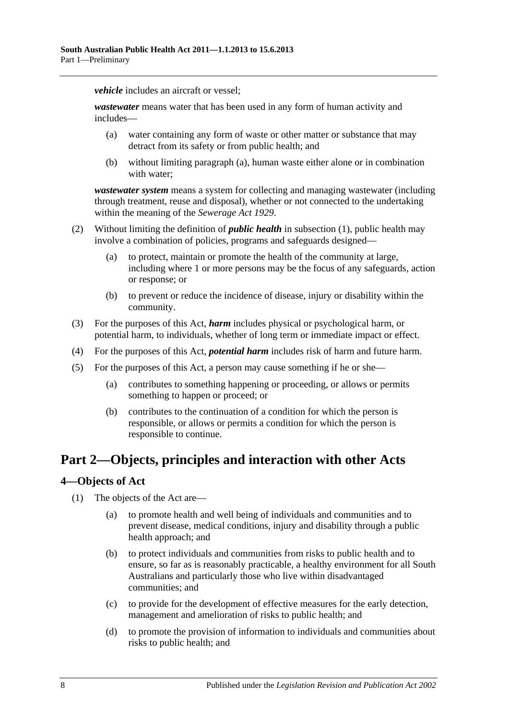*vehicle* includes an aircraft or vessel:

<span id="page-7-2"></span>*wastewater* means water that has been used in any form of human activity and includes—

- (a) water containing any form of waste or other matter or substance that may detract from its safety or from public health; and
- (b) without limiting [paragraph](#page-7-2) (a), human waste either alone or in combination with water;

*wastewater system* means a system for collecting and managing wastewater (including through treatment, reuse and disposal), whether or not connected to the undertaking within the meaning of the *[Sewerage Act](http://www.legislation.sa.gov.au/index.aspx?action=legref&type=act&legtitle=Sewerage%20Act%201929) 1929*.

- (2) Without limiting the definition of *public health* in [subsection](#page-4-4) (1), public health may involve a combination of policies, programs and safeguards designed—
	- (a) to protect, maintain or promote the health of the community at large, including where 1 or more persons may be the focus of any safeguards, action or response; or
	- (b) to prevent or reduce the incidence of disease, injury or disability within the community.
- (3) For the purposes of this Act, *harm* includes physical or psychological harm, or potential harm, to individuals, whether of long term or immediate impact or effect.
- (4) For the purposes of this Act, *potential harm* includes risk of harm and future harm.
- (5) For the purposes of this Act, a person may cause something if he or she—
	- (a) contributes to something happening or proceeding, or allows or permits something to happen or proceed; or
	- (b) contributes to the continuation of a condition for which the person is responsible, or allows or permits a condition for which the person is responsible to continue.

# <span id="page-7-0"></span>**Part 2—Objects, principles and interaction with other Acts**

## <span id="page-7-1"></span>**4—Objects of Act**

- (1) The objects of the Act are—
	- (a) to promote health and well being of individuals and communities and to prevent disease, medical conditions, injury and disability through a public health approach; and
	- (b) to protect individuals and communities from risks to public health and to ensure, so far as is reasonably practicable, a healthy environment for all South Australians and particularly those who live within disadvantaged communities; and
	- (c) to provide for the development of effective measures for the early detection, management and amelioration of risks to public health; and
	- (d) to promote the provision of information to individuals and communities about risks to public health; and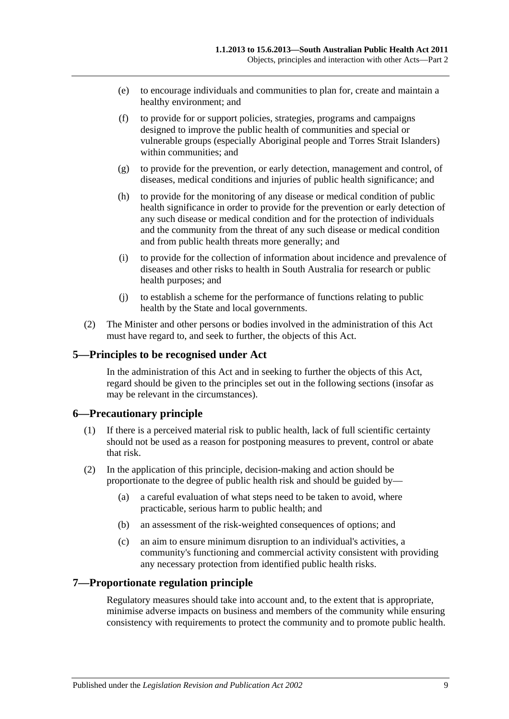- (e) to encourage individuals and communities to plan for, create and maintain a healthy environment; and
- (f) to provide for or support policies, strategies, programs and campaigns designed to improve the public health of communities and special or vulnerable groups (especially Aboriginal people and Torres Strait Islanders) within communities; and
- (g) to provide for the prevention, or early detection, management and control, of diseases, medical conditions and injuries of public health significance; and
- (h) to provide for the monitoring of any disease or medical condition of public health significance in order to provide for the prevention or early detection of any such disease or medical condition and for the protection of individuals and the community from the threat of any such disease or medical condition and from public health threats more generally; and
- (i) to provide for the collection of information about incidence and prevalence of diseases and other risks to health in South Australia for research or public health purposes; and
- (j) to establish a scheme for the performance of functions relating to public health by the State and local governments.
- (2) The Minister and other persons or bodies involved in the administration of this Act must have regard to, and seek to further, the objects of this Act.

## <span id="page-8-0"></span>**5—Principles to be recognised under Act**

In the administration of this Act and in seeking to further the objects of this Act, regard should be given to the principles set out in the following sections (insofar as may be relevant in the circumstances).

## <span id="page-8-1"></span>**6—Precautionary principle**

- (1) If there is a perceived material risk to public health, lack of full scientific certainty should not be used as a reason for postponing measures to prevent, control or abate that risk.
- (2) In the application of this principle, decision-making and action should be proportionate to the degree of public health risk and should be guided by—
	- (a) a careful evaluation of what steps need to be taken to avoid, where practicable, serious harm to public health; and
	- (b) an assessment of the risk-weighted consequences of options; and
	- (c) an aim to ensure minimum disruption to an individual's activities, a community's functioning and commercial activity consistent with providing any necessary protection from identified public health risks.

#### <span id="page-8-2"></span>**7—Proportionate regulation principle**

Regulatory measures should take into account and, to the extent that is appropriate, minimise adverse impacts on business and members of the community while ensuring consistency with requirements to protect the community and to promote public health.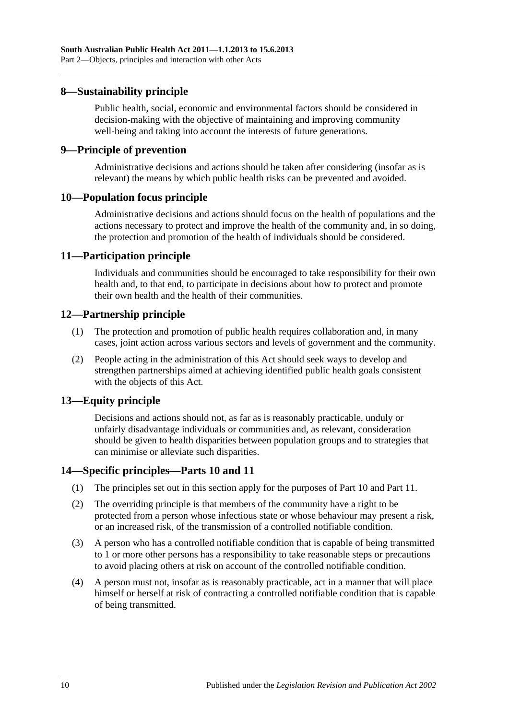#### <span id="page-9-0"></span>**8—Sustainability principle**

Public health, social, economic and environmental factors should be considered in decision-making with the objective of maintaining and improving community well-being and taking into account the interests of future generations.

#### <span id="page-9-1"></span>**9—Principle of prevention**

Administrative decisions and actions should be taken after considering (insofar as is relevant) the means by which public health risks can be prevented and avoided.

#### <span id="page-9-2"></span>**10—Population focus principle**

Administrative decisions and actions should focus on the health of populations and the actions necessary to protect and improve the health of the community and, in so doing, the protection and promotion of the health of individuals should be considered.

#### <span id="page-9-3"></span>**11—Participation principle**

Individuals and communities should be encouraged to take responsibility for their own health and, to that end, to participate in decisions about how to protect and promote their own health and the health of their communities.

#### <span id="page-9-4"></span>**12—Partnership principle**

- (1) The protection and promotion of public health requires collaboration and, in many cases, joint action across various sectors and levels of government and the community.
- (2) People acting in the administration of this Act should seek ways to develop and strengthen partnerships aimed at achieving identified public health goals consistent with the objects of this Act.

## <span id="page-9-5"></span>**13—Equity principle**

Decisions and actions should not, as far as is reasonably practicable, unduly or unfairly disadvantage individuals or communities and, as relevant, consideration should be given to health disparities between population groups and to strategies that can minimise or alleviate such disparities.

## <span id="page-9-6"></span>**14—Specific principles[—Parts](#page-41-0) 10 and [11](#page-53-1)**

- (1) The principles set out in this section apply for the purposes of [Part](#page-41-0) 10 and [Part](#page-53-1) 11.
- (2) The overriding principle is that members of the community have a right to be protected from a person whose infectious state or whose behaviour may present a risk, or an increased risk, of the transmission of a controlled notifiable condition.
- (3) A person who has a controlled notifiable condition that is capable of being transmitted to 1 or more other persons has a responsibility to take reasonable steps or precautions to avoid placing others at risk on account of the controlled notifiable condition.
- (4) A person must not, insofar as is reasonably practicable, act in a manner that will place himself or herself at risk of contracting a controlled notifiable condition that is capable of being transmitted.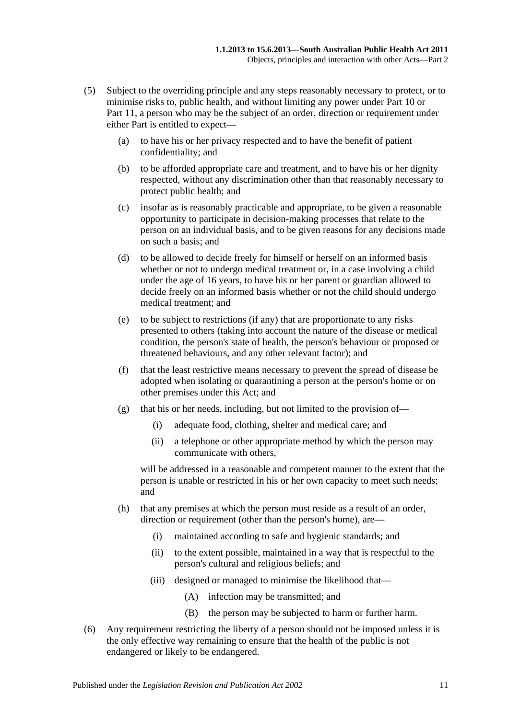- (5) Subject to the overriding principle and any steps reasonably necessary to protect, or to minimise risks to, public health, and without limiting any power under [Part](#page-41-0) 10 or [Part](#page-53-1) 11, a person who may be the subject of an order, direction or requirement under either Part is entitled to expect—
	- (a) to have his or her privacy respected and to have the benefit of patient confidentiality; and
	- (b) to be afforded appropriate care and treatment, and to have his or her dignity respected, without any discrimination other than that reasonably necessary to protect public health; and
	- (c) insofar as is reasonably practicable and appropriate, to be given a reasonable opportunity to participate in decision-making processes that relate to the person on an individual basis, and to be given reasons for any decisions made on such a basis; and
	- (d) to be allowed to decide freely for himself or herself on an informed basis whether or not to undergo medical treatment or, in a case involving a child under the age of 16 years, to have his or her parent or guardian allowed to decide freely on an informed basis whether or not the child should undergo medical treatment; and
	- (e) to be subject to restrictions (if any) that are proportionate to any risks presented to others (taking into account the nature of the disease or medical condition, the person's state of health, the person's behaviour or proposed or threatened behaviours, and any other relevant factor); and
	- (f) that the least restrictive means necessary to prevent the spread of disease be adopted when isolating or quarantining a person at the person's home or on other premises under this Act; and
	- (g) that his or her needs, including, but not limited to the provision of—
		- (i) adequate food, clothing, shelter and medical care; and
		- (ii) a telephone or other appropriate method by which the person may communicate with others,

will be addressed in a reasonable and competent manner to the extent that the person is unable or restricted in his or her own capacity to meet such needs; and

- (h) that any premises at which the person must reside as a result of an order, direction or requirement (other than the person's home), are—
	- (i) maintained according to safe and hygienic standards; and
	- (ii) to the extent possible, maintained in a way that is respectful to the person's cultural and religious beliefs; and
	- (iii) designed or managed to minimise the likelihood that—
		- (A) infection may be transmitted; and
		- (B) the person may be subjected to harm or further harm.
- <span id="page-10-0"></span>(6) Any requirement restricting the liberty of a person should not be imposed unless it is the only effective way remaining to ensure that the health of the public is not endangered or likely to be endangered.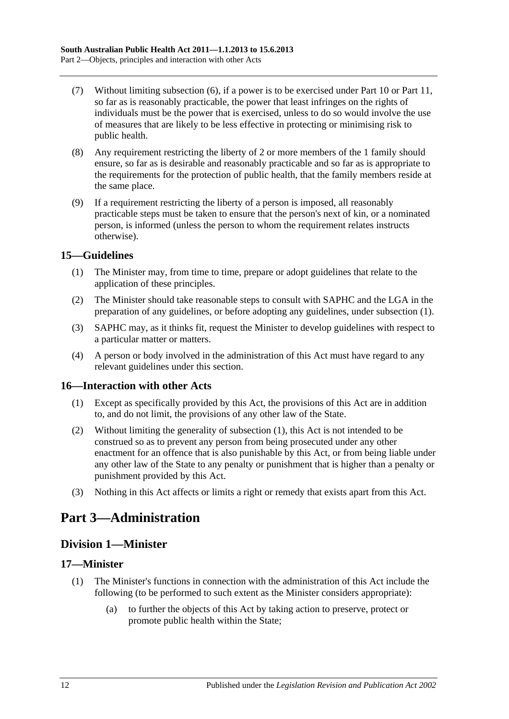- (7) Without limiting [subsection](#page-10-0) (6), if a power is to be exercised under [Part](#page-41-0) 10 or [Part](#page-53-1) 11, so far as is reasonably practicable, the power that least infringes on the rights of individuals must be the power that is exercised, unless to do so would involve the use of measures that are likely to be less effective in protecting or minimising risk to public health.
- (8) Any requirement restricting the liberty of 2 or more members of the 1 family should ensure, so far as is desirable and reasonably practicable and so far as is appropriate to the requirements for the protection of public health, that the family members reside at the same place.
- (9) If a requirement restricting the liberty of a person is imposed, all reasonably practicable steps must be taken to ensure that the person's next of kin, or a nominated person, is informed (unless the person to whom the requirement relates instructs otherwise).

## <span id="page-11-5"></span><span id="page-11-0"></span>**15—Guidelines**

- (1) The Minister may, from time to time, prepare or adopt guidelines that relate to the application of these principles.
- (2) The Minister should take reasonable steps to consult with SAPHC and the LGA in the preparation of any guidelines, or before adopting any guidelines, under [subsection](#page-11-5) (1).
- (3) SAPHC may, as it thinks fit, request the Minister to develop guidelines with respect to a particular matter or matters.
- (4) A person or body involved in the administration of this Act must have regard to any relevant guidelines under this section.

## <span id="page-11-6"></span><span id="page-11-1"></span>**16—Interaction with other Acts**

- (1) Except as specifically provided by this Act, the provisions of this Act are in addition to, and do not limit, the provisions of any other law of the State.
- (2) Without limiting the generality of [subsection](#page-11-6) (1), this Act is not intended to be construed so as to prevent any person from being prosecuted under any other enactment for an offence that is also punishable by this Act, or from being liable under any other law of the State to any penalty or punishment that is higher than a penalty or punishment provided by this Act.
- (3) Nothing in this Act affects or limits a right or remedy that exists apart from this Act.

# <span id="page-11-2"></span>**Part 3—Administration**

## <span id="page-11-3"></span>**Division 1—Minister**

## <span id="page-11-4"></span>**17—Minister**

- (1) The Minister's functions in connection with the administration of this Act include the following (to be performed to such extent as the Minister considers appropriate):
	- (a) to further the objects of this Act by taking action to preserve, protect or promote public health within the State;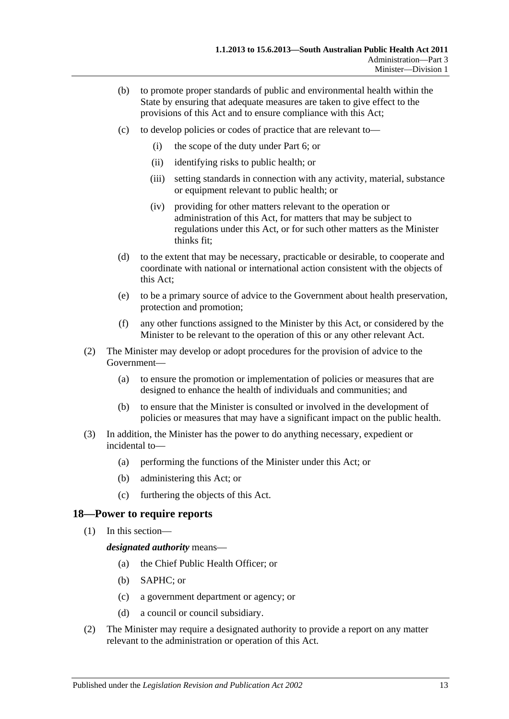- (b) to promote proper standards of public and environmental health within the State by ensuring that adequate measures are taken to give effect to the provisions of this Act and to ensure compliance with this Act;
- (c) to develop policies or codes of practice that are relevant to—
	- (i) the scope of the duty under [Part](#page-33-0) 6; or
	- (ii) identifying risks to public health; or
	- (iii) setting standards in connection with any activity, material, substance or equipment relevant to public health; or
	- (iv) providing for other matters relevant to the operation or administration of this Act, for matters that may be subject to regulations under this Act, or for such other matters as the Minister thinks fit;
- (d) to the extent that may be necessary, practicable or desirable, to cooperate and coordinate with national or international action consistent with the objects of this Act;
- (e) to be a primary source of advice to the Government about health preservation, protection and promotion;
- (f) any other functions assigned to the Minister by this Act, or considered by the Minister to be relevant to the operation of this or any other relevant Act.
- (2) The Minister may develop or adopt procedures for the provision of advice to the Government—
	- (a) to ensure the promotion or implementation of policies or measures that are designed to enhance the health of individuals and communities; and
	- (b) to ensure that the Minister is consulted or involved in the development of policies or measures that may have a significant impact on the public health.
- (3) In addition, the Minister has the power to do anything necessary, expedient or incidental to—
	- (a) performing the functions of the Minister under this Act; or
	- (b) administering this Act; or
	- (c) furthering the objects of this Act.

#### <span id="page-12-0"></span>**18—Power to require reports**

(1) In this section—

*designated authority* means—

- (a) the Chief Public Health Officer; or
- (b) SAPHC; or
- (c) a government department or agency; or
- (d) a council or council subsidiary.
- (2) The Minister may require a designated authority to provide a report on any matter relevant to the administration or operation of this Act.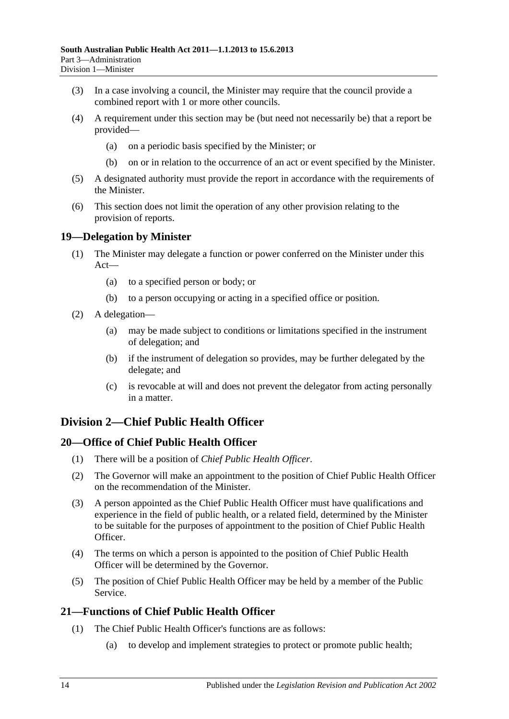- (3) In a case involving a council, the Minister may require that the council provide a combined report with 1 or more other councils.
- (4) A requirement under this section may be (but need not necessarily be) that a report be provided—
	- (a) on a periodic basis specified by the Minister; or
	- (b) on or in relation to the occurrence of an act or event specified by the Minister.
- (5) A designated authority must provide the report in accordance with the requirements of the Minister.
- (6) This section does not limit the operation of any other provision relating to the provision of reports.

## <span id="page-13-0"></span>**19—Delegation by Minister**

- (1) The Minister may delegate a function or power conferred on the Minister under this Act—
	- (a) to a specified person or body; or
	- (b) to a person occupying or acting in a specified office or position.
- (2) A delegation—
	- (a) may be made subject to conditions or limitations specified in the instrument of delegation; and
	- (b) if the instrument of delegation so provides, may be further delegated by the delegate; and
	- (c) is revocable at will and does not prevent the delegator from acting personally in a matter.

## <span id="page-13-1"></span>**Division 2—Chief Public Health Officer**

## <span id="page-13-2"></span>**20—Office of Chief Public Health Officer**

- (1) There will be a position of *Chief Public Health Officer*.
- (2) The Governor will make an appointment to the position of Chief Public Health Officer on the recommendation of the Minister.
- (3) A person appointed as the Chief Public Health Officer must have qualifications and experience in the field of public health, or a related field, determined by the Minister to be suitable for the purposes of appointment to the position of Chief Public Health Officer.
- (4) The terms on which a person is appointed to the position of Chief Public Health Officer will be determined by the Governor.
- (5) The position of Chief Public Health Officer may be held by a member of the Public Service.

## <span id="page-13-4"></span><span id="page-13-3"></span>**21—Functions of Chief Public Health Officer**

- (1) The Chief Public Health Officer's functions are as follows:
	- (a) to develop and implement strategies to protect or promote public health;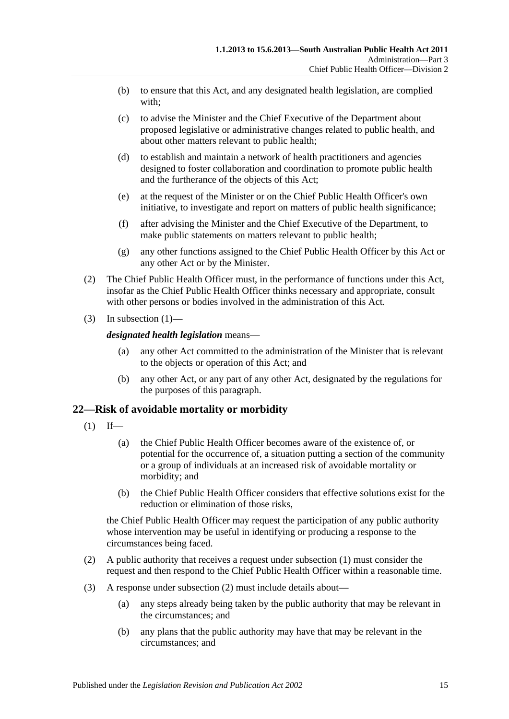- (b) to ensure that this Act, and any designated health legislation, are complied with;
- (c) to advise the Minister and the Chief Executive of the Department about proposed legislative or administrative changes related to public health, and about other matters relevant to public health;
- (d) to establish and maintain a network of health practitioners and agencies designed to foster collaboration and coordination to promote public health and the furtherance of the objects of this Act;
- (e) at the request of the Minister or on the Chief Public Health Officer's own initiative, to investigate and report on matters of public health significance;
- (f) after advising the Minister and the Chief Executive of the Department, to make public statements on matters relevant to public health;
- (g) any other functions assigned to the Chief Public Health Officer by this Act or any other Act or by the Minister.
- (2) The Chief Public Health Officer must, in the performance of functions under this Act, insofar as the Chief Public Health Officer thinks necessary and appropriate, consult with other persons or bodies involved in the administration of this Act.
- (3) In [subsection](#page-13-4)  $(1)$ —

#### *designated health legislation* means—

- (a) any other Act committed to the administration of the Minister that is relevant to the objects or operation of this Act; and
- (b) any other Act, or any part of any other Act, designated by the regulations for the purposes of this paragraph.

## <span id="page-14-1"></span><span id="page-14-0"></span>**22—Risk of avoidable mortality or morbidity**

- $(1)$  If—
	- (a) the Chief Public Health Officer becomes aware of the existence of, or potential for the occurrence of, a situation putting a section of the community or a group of individuals at an increased risk of avoidable mortality or morbidity; and
	- (b) the Chief Public Health Officer considers that effective solutions exist for the reduction or elimination of those risks,

the Chief Public Health Officer may request the participation of any public authority whose intervention may be useful in identifying or producing a response to the circumstances being faced.

- <span id="page-14-2"></span>(2) A public authority that receives a request under [subsection](#page-14-1) (1) must consider the request and then respond to the Chief Public Health Officer within a reasonable time.
- (3) A response under [subsection](#page-14-2) (2) must include details about—
	- (a) any steps already being taken by the public authority that may be relevant in the circumstances; and
	- (b) any plans that the public authority may have that may be relevant in the circumstances; and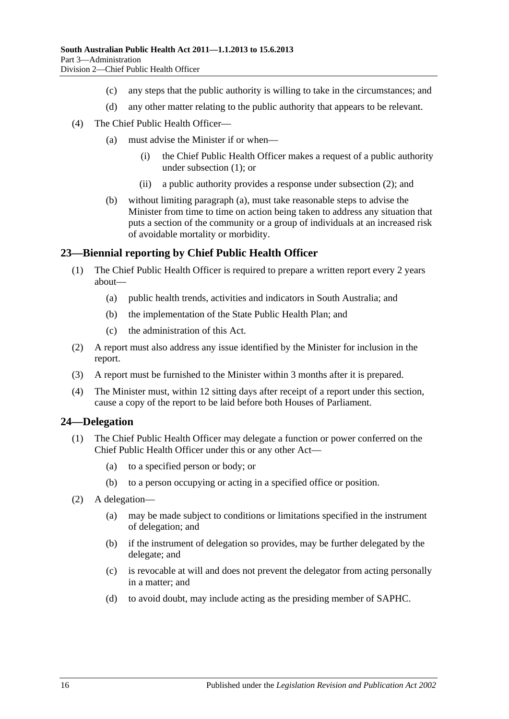- (c) any steps that the public authority is willing to take in the circumstances; and
- (d) any other matter relating to the public authority that appears to be relevant.
- <span id="page-15-2"></span>(4) The Chief Public Health Officer—
	- (a) must advise the Minister if or when—
		- (i) the Chief Public Health Officer makes a request of a public authority under [subsection](#page-14-1) (1); or
		- (ii) a public authority provides a response under [subsection](#page-14-2) (2); and
	- (b) without limiting [paragraph](#page-15-2) (a), must take reasonable steps to advise the Minister from time to time on action being taken to address any situation that puts a section of the community or a group of individuals at an increased risk of avoidable mortality or morbidity.

#### <span id="page-15-0"></span>**23—Biennial reporting by Chief Public Health Officer**

- (1) The Chief Public Health Officer is required to prepare a written report every 2 years about—
	- (a) public health trends, activities and indicators in South Australia; and
	- (b) the implementation of the State Public Health Plan; and
	- (c) the administration of this Act.
- (2) A report must also address any issue identified by the Minister for inclusion in the report.
- (3) A report must be furnished to the Minister within 3 months after it is prepared.
- (4) The Minister must, within 12 sitting days after receipt of a report under this section, cause a copy of the report to be laid before both Houses of Parliament.

#### <span id="page-15-1"></span>**24—Delegation**

- (1) The Chief Public Health Officer may delegate a function or power conferred on the Chief Public Health Officer under this or any other Act—
	- (a) to a specified person or body; or
	- (b) to a person occupying or acting in a specified office or position.
- (2) A delegation—
	- (a) may be made subject to conditions or limitations specified in the instrument of delegation; and
	- (b) if the instrument of delegation so provides, may be further delegated by the delegate; and
	- (c) is revocable at will and does not prevent the delegator from acting personally in a matter; and
	- (d) to avoid doubt, may include acting as the presiding member of SAPHC.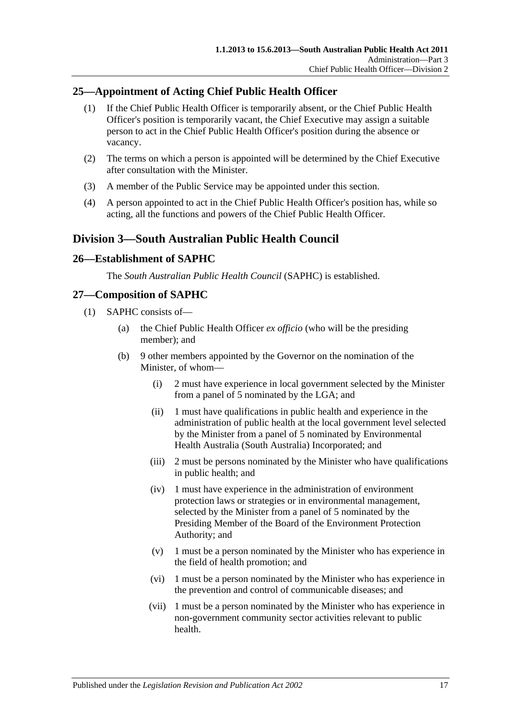## <span id="page-16-0"></span>**25—Appointment of Acting Chief Public Health Officer**

- (1) If the Chief Public Health Officer is temporarily absent, or the Chief Public Health Officer's position is temporarily vacant, the Chief Executive may assign a suitable person to act in the Chief Public Health Officer's position during the absence or vacancy.
- (2) The terms on which a person is appointed will be determined by the Chief Executive after consultation with the Minister.
- (3) A member of the Public Service may be appointed under this section.
- (4) A person appointed to act in the Chief Public Health Officer's position has, while so acting, all the functions and powers of the Chief Public Health Officer.

## <span id="page-16-1"></span>**Division 3—South Australian Public Health Council**

## <span id="page-16-2"></span>**26—Establishment of SAPHC**

The *South Australian Public Health Council* (SAPHC) is established.

## <span id="page-16-3"></span>**27—Composition of SAPHC**

- (1) SAPHC consists of—
	- (a) the Chief Public Health Officer *ex officio* (who will be the presiding member); and
	- (b) 9 other members appointed by the Governor on the nomination of the Minister, of whom—
		- (i) 2 must have experience in local government selected by the Minister from a panel of 5 nominated by the LGA; and
		- (ii) 1 must have qualifications in public health and experience in the administration of public health at the local government level selected by the Minister from a panel of 5 nominated by Environmental Health Australia (South Australia) Incorporated; and
		- (iii) 2 must be persons nominated by the Minister who have qualifications in public health; and
		- (iv) 1 must have experience in the administration of environment protection laws or strategies or in environmental management, selected by the Minister from a panel of 5 nominated by the Presiding Member of the Board of the Environment Protection Authority; and
		- (v) 1 must be a person nominated by the Minister who has experience in the field of health promotion; and
		- (vi) 1 must be a person nominated by the Minister who has experience in the prevention and control of communicable diseases; and
		- (vii) 1 must be a person nominated by the Minister who has experience in non-government community sector activities relevant to public health.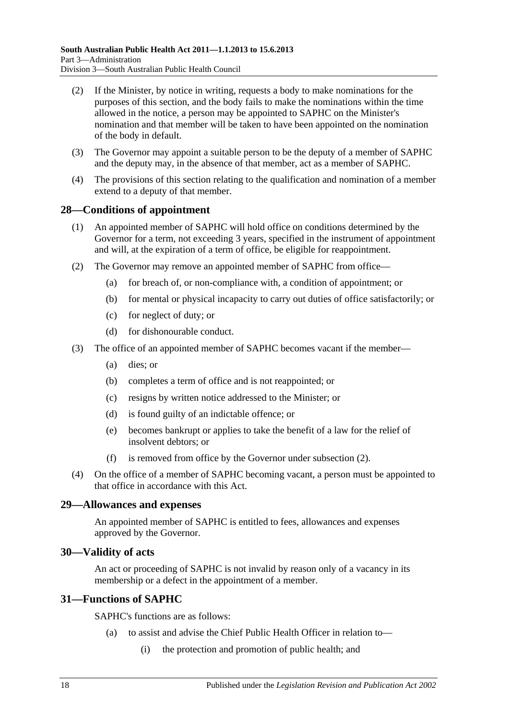- (2) If the Minister, by notice in writing, requests a body to make nominations for the purposes of this section, and the body fails to make the nominations within the time allowed in the notice, a person may be appointed to SAPHC on the Minister's nomination and that member will be taken to have been appointed on the nomination of the body in default.
- (3) The Governor may appoint a suitable person to be the deputy of a member of SAPHC and the deputy may, in the absence of that member, act as a member of SAPHC.
- (4) The provisions of this section relating to the qualification and nomination of a member extend to a deputy of that member.

#### <span id="page-17-0"></span>**28—Conditions of appointment**

- (1) An appointed member of SAPHC will hold office on conditions determined by the Governor for a term, not exceeding 3 years, specified in the instrument of appointment and will, at the expiration of a term of office, be eligible for reappointment.
- <span id="page-17-4"></span>(2) The Governor may remove an appointed member of SAPHC from office—
	- (a) for breach of, or non-compliance with, a condition of appointment; or
	- (b) for mental or physical incapacity to carry out duties of office satisfactorily; or
	- (c) for neglect of duty; or
	- (d) for dishonourable conduct.
- (3) The office of an appointed member of SAPHC becomes vacant if the member—
	- (a) dies; or
	- (b) completes a term of office and is not reappointed; or
	- (c) resigns by written notice addressed to the Minister; or
	- (d) is found guilty of an indictable offence; or
	- (e) becomes bankrupt or applies to take the benefit of a law for the relief of insolvent debtors; or
	- (f) is removed from office by the Governor under [subsection](#page-17-4) (2).
- (4) On the office of a member of SAPHC becoming vacant, a person must be appointed to that office in accordance with this Act.

#### <span id="page-17-1"></span>**29—Allowances and expenses**

An appointed member of SAPHC is entitled to fees, allowances and expenses approved by the Governor.

#### <span id="page-17-2"></span>**30—Validity of acts**

An act or proceeding of SAPHC is not invalid by reason only of a vacancy in its membership or a defect in the appointment of a member.

#### <span id="page-17-3"></span>**31—Functions of SAPHC**

SAPHC's functions are as follows:

- (a) to assist and advise the Chief Public Health Officer in relation to—
	- (i) the protection and promotion of public health; and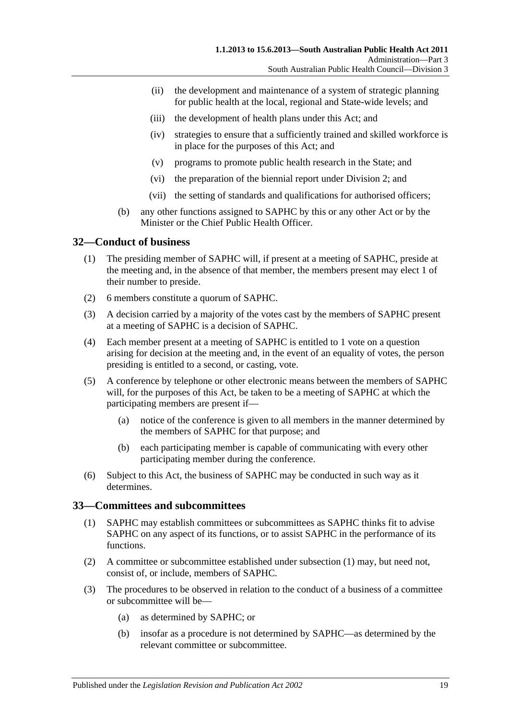- (ii) the development and maintenance of a system of strategic planning for public health at the local, regional and State-wide levels; and
- (iii) the development of health plans under this Act; and
- (iv) strategies to ensure that a sufficiently trained and skilled workforce is in place for the purposes of this Act; and
- (v) programs to promote public health research in the State; and
- (vi) the preparation of the biennial report under [Division](#page-13-1) 2; and
- (vii) the setting of standards and qualifications for authorised officers;
- (b) any other functions assigned to SAPHC by this or any other Act or by the Minister or the Chief Public Health Officer

## <span id="page-18-0"></span>**32—Conduct of business**

- (1) The presiding member of SAPHC will, if present at a meeting of SAPHC, preside at the meeting and, in the absence of that member, the members present may elect 1 of their number to preside.
- (2) 6 members constitute a quorum of SAPHC.
- (3) A decision carried by a majority of the votes cast by the members of SAPHC present at a meeting of SAPHC is a decision of SAPHC.
- (4) Each member present at a meeting of SAPHC is entitled to 1 vote on a question arising for decision at the meeting and, in the event of an equality of votes, the person presiding is entitled to a second, or casting, vote.
- (5) A conference by telephone or other electronic means between the members of SAPHC will, for the purposes of this Act, be taken to be a meeting of SAPHC at which the participating members are present if—
	- (a) notice of the conference is given to all members in the manner determined by the members of SAPHC for that purpose; and
	- (b) each participating member is capable of communicating with every other participating member during the conference.
- (6) Subject to this Act, the business of SAPHC may be conducted in such way as it determines.

## <span id="page-18-2"></span><span id="page-18-1"></span>**33—Committees and subcommittees**

- (1) SAPHC may establish committees or subcommittees as SAPHC thinks fit to advise SAPHC on any aspect of its functions, or to assist SAPHC in the performance of its functions.
- (2) A committee or subcommittee established under [subsection](#page-18-2) (1) may, but need not, consist of, or include, members of SAPHC.
- (3) The procedures to be observed in relation to the conduct of a business of a committee or subcommittee will be—
	- (a) as determined by SAPHC; or
	- (b) insofar as a procedure is not determined by SAPHC—as determined by the relevant committee or subcommittee.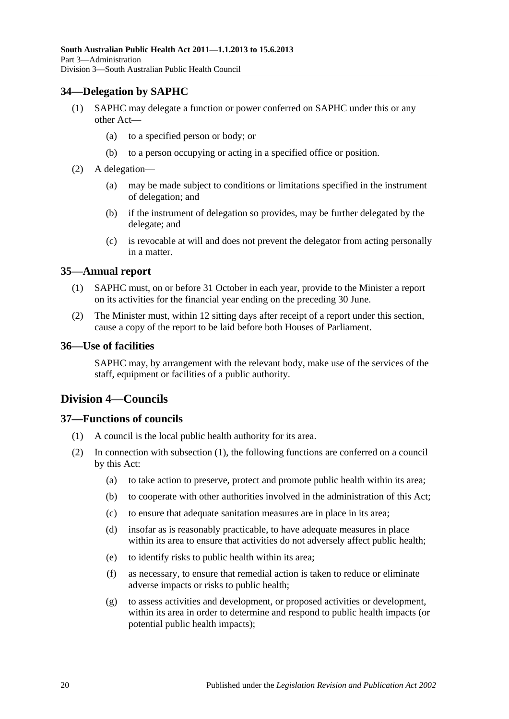## <span id="page-19-0"></span>**34—Delegation by SAPHC**

- (1) SAPHC may delegate a function or power conferred on SAPHC under this or any other Act—
	- (a) to a specified person or body; or
	- (b) to a person occupying or acting in a specified office or position.
- (2) A delegation—
	- (a) may be made subject to conditions or limitations specified in the instrument of delegation; and
	- (b) if the instrument of delegation so provides, may be further delegated by the delegate; and
	- (c) is revocable at will and does not prevent the delegator from acting personally in a matter.

#### <span id="page-19-1"></span>**35—Annual report**

- (1) SAPHC must, on or before 31 October in each year, provide to the Minister a report on its activities for the financial year ending on the preceding 30 June.
- (2) The Minister must, within 12 sitting days after receipt of a report under this section, cause a copy of the report to be laid before both Houses of Parliament.

#### <span id="page-19-2"></span>**36—Use of facilities**

SAPHC may, by arrangement with the relevant body, make use of the services of the staff, equipment or facilities of a public authority.

## <span id="page-19-3"></span>**Division 4—Councils**

## <span id="page-19-5"></span><span id="page-19-4"></span>**37—Functions of councils**

- (1) A council is the local public health authority for its area.
- (2) In connection with [subsection](#page-19-5) (1), the following functions are conferred on a council by this Act:
	- (a) to take action to preserve, protect and promote public health within its area;
	- (b) to cooperate with other authorities involved in the administration of this Act;
	- (c) to ensure that adequate sanitation measures are in place in its area;
	- (d) insofar as is reasonably practicable, to have adequate measures in place within its area to ensure that activities do not adversely affect public health;
	- (e) to identify risks to public health within its area;
	- (f) as necessary, to ensure that remedial action is taken to reduce or eliminate adverse impacts or risks to public health;
	- (g) to assess activities and development, or proposed activities or development, within its area in order to determine and respond to public health impacts (or potential public health impacts);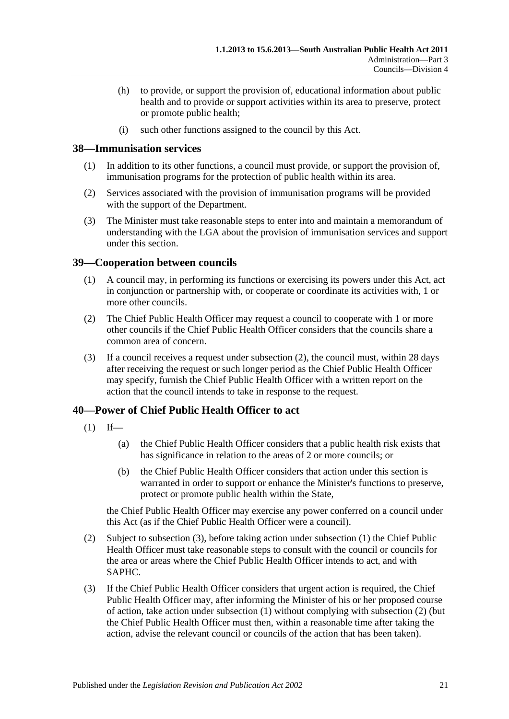- (h) to provide, or support the provision of, educational information about public health and to provide or support activities within its area to preserve, protect or promote public health;
- (i) such other functions assigned to the council by this Act.

## <span id="page-20-0"></span>**38—Immunisation services**

- (1) In addition to its other functions, a council must provide, or support the provision of, immunisation programs for the protection of public health within its area.
- (2) Services associated with the provision of immunisation programs will be provided with the support of the Department.
- (3) The Minister must take reasonable steps to enter into and maintain a memorandum of understanding with the LGA about the provision of immunisation services and support under this section.

## <span id="page-20-1"></span>**39—Cooperation between councils**

- (1) A council may, in performing its functions or exercising its powers under this Act, act in conjunction or partnership with, or cooperate or coordinate its activities with, 1 or more other councils.
- <span id="page-20-3"></span>(2) The Chief Public Health Officer may request a council to cooperate with 1 or more other councils if the Chief Public Health Officer considers that the councils share a common area of concern.
- (3) If a council receives a request under [subsection](#page-20-3) (2), the council must, within 28 days after receiving the request or such longer period as the Chief Public Health Officer may specify, furnish the Chief Public Health Officer with a written report on the action that the council intends to take in response to the request.

## <span id="page-20-5"></span><span id="page-20-2"></span>**40—Power of Chief Public Health Officer to act**

- $(1)$  If—
	- (a) the Chief Public Health Officer considers that a public health risk exists that has significance in relation to the areas of 2 or more councils; or
	- (b) the Chief Public Health Officer considers that action under this section is warranted in order to support or enhance the Minister's functions to preserve, protect or promote public health within the State,

the Chief Public Health Officer may exercise any power conferred on a council under this Act (as if the Chief Public Health Officer were a council).

- <span id="page-20-6"></span>(2) Subject to [subsection](#page-20-4) (3), before taking action under [subsection](#page-20-5) (1) the Chief Public Health Officer must take reasonable steps to consult with the council or councils for the area or areas where the Chief Public Health Officer intends to act, and with SAPHC.
- <span id="page-20-4"></span>(3) If the Chief Public Health Officer considers that urgent action is required, the Chief Public Health Officer may, after informing the Minister of his or her proposed course of action, take action under [subsection](#page-20-5) (1) without complying with [subsection](#page-20-6) (2) (but the Chief Public Health Officer must then, within a reasonable time after taking the action, advise the relevant council or councils of the action that has been taken).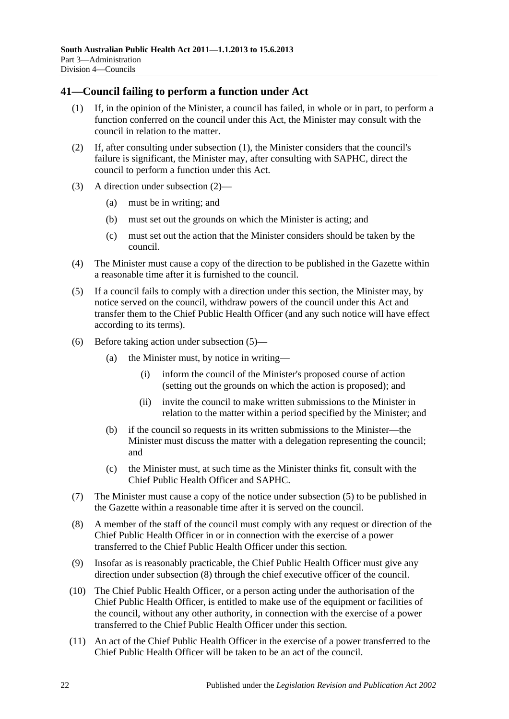## <span id="page-21-1"></span><span id="page-21-0"></span>**41—Council failing to perform a function under Act**

- (1) If, in the opinion of the Minister, a council has failed, in whole or in part, to perform a function conferred on the council under this Act, the Minister may consult with the council in relation to the matter.
- <span id="page-21-2"></span>(2) If, after consulting under [subsection](#page-21-1) (1), the Minister considers that the council's failure is significant, the Minister may, after consulting with SAPHC, direct the council to perform a function under this Act.
- (3) A direction under [subsection](#page-21-2) (2)—
	- (a) must be in writing; and
	- (b) must set out the grounds on which the Minister is acting; and
	- (c) must set out the action that the Minister considers should be taken by the council.
- (4) The Minister must cause a copy of the direction to be published in the Gazette within a reasonable time after it is furnished to the council.
- <span id="page-21-3"></span>(5) If a council fails to comply with a direction under this section, the Minister may, by notice served on the council, withdraw powers of the council under this Act and transfer them to the Chief Public Health Officer (and any such notice will have effect according to its terms).
- (6) Before taking action under [subsection](#page-21-3) (5)—
	- (a) the Minister must, by notice in writing—
		- (i) inform the council of the Minister's proposed course of action (setting out the grounds on which the action is proposed); and
		- (ii) invite the council to make written submissions to the Minister in relation to the matter within a period specified by the Minister; and
	- (b) if the council so requests in its written submissions to the Minister—the Minister must discuss the matter with a delegation representing the council; and
	- (c) the Minister must, at such time as the Minister thinks fit, consult with the Chief Public Health Officer and SAPHC.
- (7) The Minister must cause a copy of the notice under [subsection](#page-21-3) (5) to be published in the Gazette within a reasonable time after it is served on the council.
- <span id="page-21-4"></span>(8) A member of the staff of the council must comply with any request or direction of the Chief Public Health Officer in or in connection with the exercise of a power transferred to the Chief Public Health Officer under this section.
- (9) Insofar as is reasonably practicable, the Chief Public Health Officer must give any direction under [subsection](#page-21-4) (8) through the chief executive officer of the council.
- (10) The Chief Public Health Officer, or a person acting under the authorisation of the Chief Public Health Officer, is entitled to make use of the equipment or facilities of the council, without any other authority, in connection with the exercise of a power transferred to the Chief Public Health Officer under this section.
- (11) An act of the Chief Public Health Officer in the exercise of a power transferred to the Chief Public Health Officer will be taken to be an act of the council.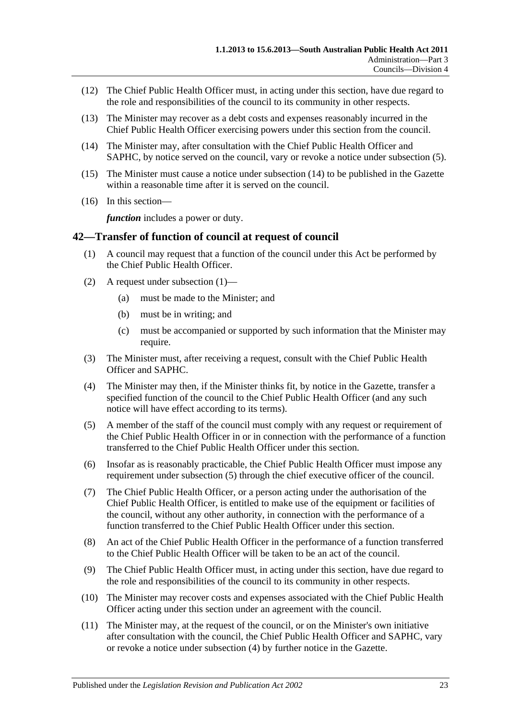- (12) The Chief Public Health Officer must, in acting under this section, have due regard to the role and responsibilities of the council to its community in other respects.
- (13) The Minister may recover as a debt costs and expenses reasonably incurred in the Chief Public Health Officer exercising powers under this section from the council.
- <span id="page-22-1"></span>(14) The Minister may, after consultation with the Chief Public Health Officer and SAPHC, by notice served on the council, vary or revoke a notice under [subsection](#page-21-3) (5).
- (15) The Minister must cause a notice under [subsection](#page-22-1) (14) to be published in the Gazette within a reasonable time after it is served on the council.
- (16) In this section—

*function* includes a power or duty.

## <span id="page-22-2"></span><span id="page-22-0"></span>**42—Transfer of function of council at request of council**

- (1) A council may request that a function of the council under this Act be performed by the Chief Public Health Officer.
- (2) A request under [subsection](#page-22-2) (1)—
	- (a) must be made to the Minister; and
	- (b) must be in writing; and
	- (c) must be accompanied or supported by such information that the Minister may require.
- (3) The Minister must, after receiving a request, consult with the Chief Public Health Officer and SAPHC.
- <span id="page-22-4"></span>(4) The Minister may then, if the Minister thinks fit, by notice in the Gazette, transfer a specified function of the council to the Chief Public Health Officer (and any such notice will have effect according to its terms).
- <span id="page-22-3"></span>(5) A member of the staff of the council must comply with any request or requirement of the Chief Public Health Officer in or in connection with the performance of a function transferred to the Chief Public Health Officer under this section.
- (6) Insofar as is reasonably practicable, the Chief Public Health Officer must impose any requirement under [subsection](#page-22-3) (5) through the chief executive officer of the council.
- (7) The Chief Public Health Officer, or a person acting under the authorisation of the Chief Public Health Officer, is entitled to make use of the equipment or facilities of the council, without any other authority, in connection with the performance of a function transferred to the Chief Public Health Officer under this section.
- (8) An act of the Chief Public Health Officer in the performance of a function transferred to the Chief Public Health Officer will be taken to be an act of the council.
- (9) The Chief Public Health Officer must, in acting under this section, have due regard to the role and responsibilities of the council to its community in other respects.
- (10) The Minister may recover costs and expenses associated with the Chief Public Health Officer acting under this section under an agreement with the council.
- (11) The Minister may, at the request of the council, or on the Minister's own initiative after consultation with the council, the Chief Public Health Officer and SAPHC, vary or revoke a notice under [subsection](#page-22-4) (4) by further notice in the Gazette.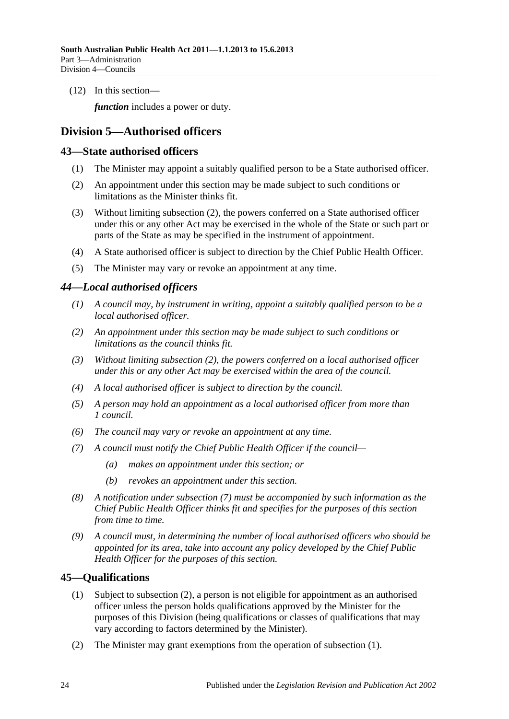(12) In this section—

*function* includes a power or duty.

## <span id="page-23-0"></span>**Division 5—Authorised officers**

## <span id="page-23-1"></span>**43—State authorised officers**

- (1) The Minister may appoint a suitably qualified person to be a State authorised officer.
- <span id="page-23-4"></span>(2) An appointment under this section may be made subject to such conditions or limitations as the Minister thinks fit.
- (3) Without limiting [subsection](#page-23-4) (2), the powers conferred on a State authorised officer under this or any other Act may be exercised in the whole of the State or such part or parts of the State as may be specified in the instrument of appointment.
- (4) A State authorised officer is subject to direction by the Chief Public Health Officer.
- (5) The Minister may vary or revoke an appointment at any time.

## <span id="page-23-2"></span>*44—Local authorised officers*

- *(1) A council may, by instrument in writing, appoint a suitably qualified person to be a local authorised officer.*
- <span id="page-23-5"></span>*(2) An appointment under this section may be made subject to such conditions or limitations as the council thinks fit.*
- *(3) Without limiting [subsection](#page-23-5) (2), the powers conferred on a local authorised officer under this or any other Act may be exercised within the area of the council.*
- *(4) A local authorised officer is subject to direction by the council.*
- *(5) A person may hold an appointment as a local authorised officer from more than 1 council.*
- *(6) The council may vary or revoke an appointment at any time.*
- <span id="page-23-6"></span>*(7) A council must notify the Chief Public Health Officer if the council—*
	- *(a) makes an appointment under this section; or*
	- *(b) revokes an appointment under this section.*
- *(8) A notification under [subsection](#page-23-6) (7) must be accompanied by such information as the Chief Public Health Officer thinks fit and specifies for the purposes of this section from time to time.*
- *(9) A council must, in determining the number of local authorised officers who should be appointed for its area, take into account any policy developed by the Chief Public Health Officer for the purposes of this section.*

## <span id="page-23-8"></span><span id="page-23-3"></span>**45—Qualifications**

- (1) Subject to [subsection](#page-23-7) (2), a person is not eligible for appointment as an authorised officer unless the person holds qualifications approved by the Minister for the purposes of this Division (being qualifications or classes of qualifications that may vary according to factors determined by the Minister).
- <span id="page-23-7"></span>(2) The Minister may grant exemptions from the operation of [subsection](#page-23-8) (1).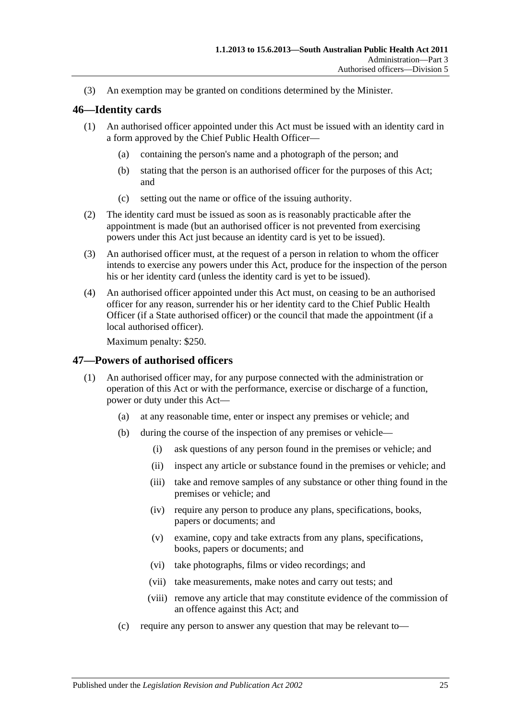(3) An exemption may be granted on conditions determined by the Minister.

#### <span id="page-24-0"></span>**46—Identity cards**

- (1) An authorised officer appointed under this Act must be issued with an identity card in a form approved by the Chief Public Health Officer—
	- (a) containing the person's name and a photograph of the person; and
	- (b) stating that the person is an authorised officer for the purposes of this Act; and
	- (c) setting out the name or office of the issuing authority.
- (2) The identity card must be issued as soon as is reasonably practicable after the appointment is made (but an authorised officer is not prevented from exercising powers under this Act just because an identity card is yet to be issued).
- (3) An authorised officer must, at the request of a person in relation to whom the officer intends to exercise any powers under this Act, produce for the inspection of the person his or her identity card (unless the identity card is yet to be issued).
- (4) An authorised officer appointed under this Act must, on ceasing to be an authorised officer for any reason, surrender his or her identity card to the Chief Public Health Officer (if a State authorised officer) or the council that made the appointment (if a local authorised officer).

Maximum penalty: \$250.

#### <span id="page-24-1"></span>**47—Powers of authorised officers**

- (1) An authorised officer may, for any purpose connected with the administration or operation of this Act or with the performance, exercise or discharge of a function, power or duty under this Act—
	- (a) at any reasonable time, enter or inspect any premises or vehicle; and
	- (b) during the course of the inspection of any premises or vehicle—
		- (i) ask questions of any person found in the premises or vehicle; and
		- (ii) inspect any article or substance found in the premises or vehicle; and
		- (iii) take and remove samples of any substance or other thing found in the premises or vehicle; and
		- (iv) require any person to produce any plans, specifications, books, papers or documents; and
		- (v) examine, copy and take extracts from any plans, specifications, books, papers or documents; and
		- (vi) take photographs, films or video recordings; and
		- (vii) take measurements, make notes and carry out tests; and
		- (viii) remove any article that may constitute evidence of the commission of an offence against this Act; and
	- (c) require any person to answer any question that may be relevant to—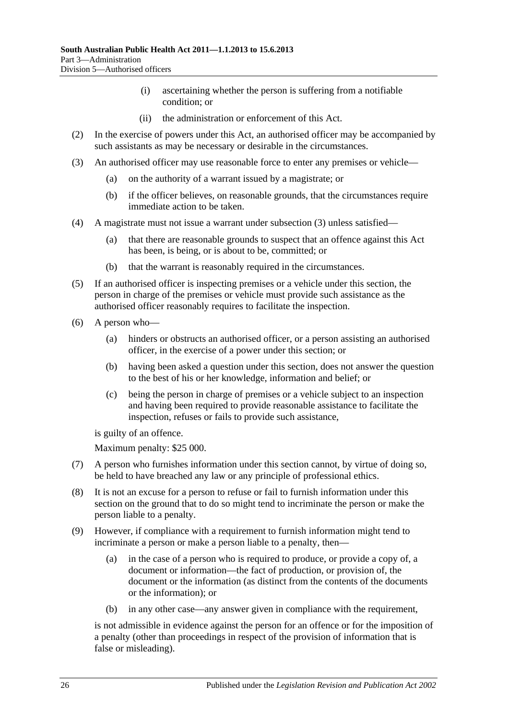- (i) ascertaining whether the person is suffering from a notifiable condition; or
- (ii) the administration or enforcement of this Act.
- (2) In the exercise of powers under this Act, an authorised officer may be accompanied by such assistants as may be necessary or desirable in the circumstances.
- <span id="page-25-0"></span>(3) An authorised officer may use reasonable force to enter any premises or vehicle—
	- (a) on the authority of a warrant issued by a magistrate; or
	- (b) if the officer believes, on reasonable grounds, that the circumstances require immediate action to be taken.
- (4) A magistrate must not issue a warrant under [subsection](#page-25-0) (3) unless satisfied—
	- (a) that there are reasonable grounds to suspect that an offence against this Act has been, is being, or is about to be, committed; or
	- (b) that the warrant is reasonably required in the circumstances.
- (5) If an authorised officer is inspecting premises or a vehicle under this section, the person in charge of the premises or vehicle must provide such assistance as the authorised officer reasonably requires to facilitate the inspection.
- (6) A person who—
	- (a) hinders or obstructs an authorised officer, or a person assisting an authorised officer, in the exercise of a power under this section; or
	- (b) having been asked a question under this section, does not answer the question to the best of his or her knowledge, information and belief; or
	- (c) being the person in charge of premises or a vehicle subject to an inspection and having been required to provide reasonable assistance to facilitate the inspection, refuses or fails to provide such assistance,

is guilty of an offence.

Maximum penalty: \$25 000.

- (7) A person who furnishes information under this section cannot, by virtue of doing so, be held to have breached any law or any principle of professional ethics.
- (8) It is not an excuse for a person to refuse or fail to furnish information under this section on the ground that to do so might tend to incriminate the person or make the person liable to a penalty.
- (9) However, if compliance with a requirement to furnish information might tend to incriminate a person or make a person liable to a penalty, then—
	- (a) in the case of a person who is required to produce, or provide a copy of, a document or information—the fact of production, or provision of, the document or the information (as distinct from the contents of the documents or the information); or
	- (b) in any other case—any answer given in compliance with the requirement,

is not admissible in evidence against the person for an offence or for the imposition of a penalty (other than proceedings in respect of the provision of information that is false or misleading).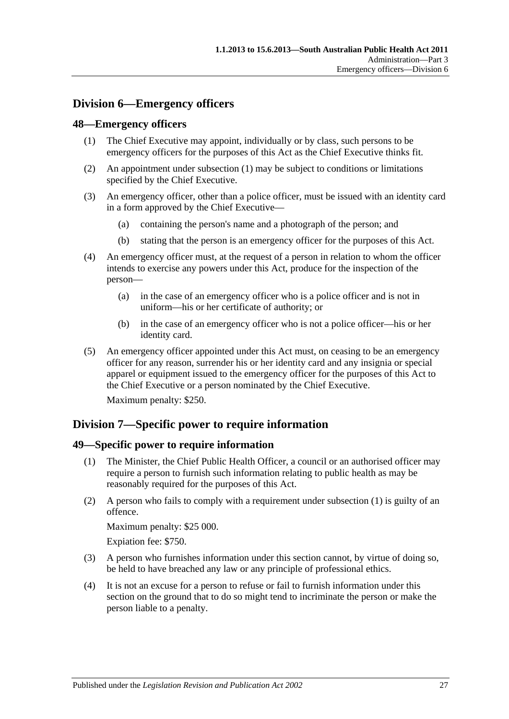## <span id="page-26-0"></span>**Division 6—Emergency officers**

#### <span id="page-26-4"></span><span id="page-26-1"></span>**48—Emergency officers**

- (1) The Chief Executive may appoint, individually or by class, such persons to be emergency officers for the purposes of this Act as the Chief Executive thinks fit.
- (2) An appointment under [subsection](#page-26-4) (1) may be subject to conditions or limitations specified by the Chief Executive.
- (3) An emergency officer, other than a police officer, must be issued with an identity card in a form approved by the Chief Executive—
	- (a) containing the person's name and a photograph of the person; and
	- (b) stating that the person is an emergency officer for the purposes of this Act.
- (4) An emergency officer must, at the request of a person in relation to whom the officer intends to exercise any powers under this Act, produce for the inspection of the person—
	- (a) in the case of an emergency officer who is a police officer and is not in uniform—his or her certificate of authority; or
	- (b) in the case of an emergency officer who is not a police officer—his or her identity card.
- (5) An emergency officer appointed under this Act must, on ceasing to be an emergency officer for any reason, surrender his or her identity card and any insignia or special apparel or equipment issued to the emergency officer for the purposes of this Act to the Chief Executive or a person nominated by the Chief Executive.

Maximum penalty: \$250.

## <span id="page-26-2"></span>**Division 7—Specific power to require information**

#### <span id="page-26-5"></span><span id="page-26-3"></span>**49—Specific power to require information**

- (1) The Minister, the Chief Public Health Officer, a council or an authorised officer may require a person to furnish such information relating to public health as may be reasonably required for the purposes of this Act.
- (2) A person who fails to comply with a requirement under [subsection](#page-26-5) (1) is guilty of an offence.

Maximum penalty: \$25 000.

Expiation fee: \$750.

- (3) A person who furnishes information under this section cannot, by virtue of doing so, be held to have breached any law or any principle of professional ethics.
- (4) It is not an excuse for a person to refuse or fail to furnish information under this section on the ground that to do so might tend to incriminate the person or make the person liable to a penalty.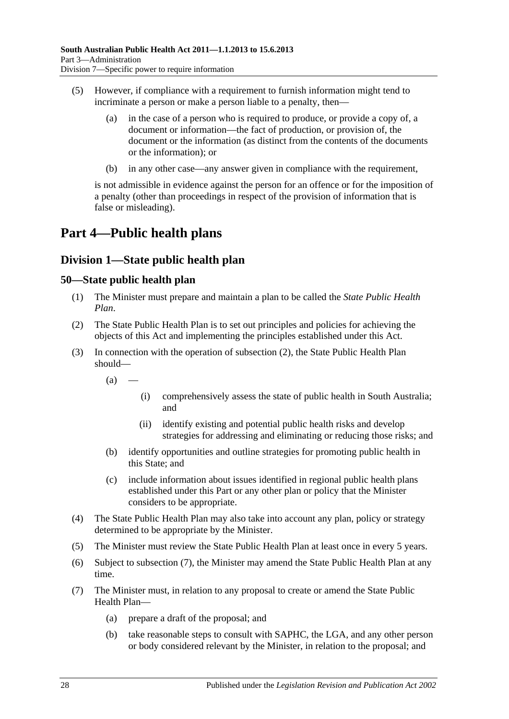- (5) However, if compliance with a requirement to furnish information might tend to incriminate a person or make a person liable to a penalty, then—
	- (a) in the case of a person who is required to produce, or provide a copy of, a document or information—the fact of production, or provision of, the document or the information (as distinct from the contents of the documents or the information); or
	- (b) in any other case—any answer given in compliance with the requirement,

is not admissible in evidence against the person for an offence or for the imposition of a penalty (other than proceedings in respect of the provision of information that is false or misleading).

# <span id="page-27-0"></span>**Part 4—Public health plans**

## <span id="page-27-1"></span>**Division 1—State public health plan**

## <span id="page-27-2"></span>**50—State public health plan**

- (1) The Minister must prepare and maintain a plan to be called the *State Public Health Plan*.
- <span id="page-27-3"></span>(2) The State Public Health Plan is to set out principles and policies for achieving the objects of this Act and implementing the principles established under this Act.
- (3) In connection with the operation of [subsection](#page-27-3) (2), the State Public Health Plan should—
	- $(a)$
- (i) comprehensively assess the state of public health in South Australia; and
- (ii) identify existing and potential public health risks and develop strategies for addressing and eliminating or reducing those risks; and
- (b) identify opportunities and outline strategies for promoting public health in this State; and
- (c) include information about issues identified in regional public health plans established under this Part or any other plan or policy that the Minister considers to be appropriate.
- (4) The State Public Health Plan may also take into account any plan, policy or strategy determined to be appropriate by the Minister.
- (5) The Minister must review the State Public Health Plan at least once in every 5 years.
- (6) Subject to [subsection](#page-27-4) (7), the Minister may amend the State Public Health Plan at any time.
- <span id="page-27-4"></span>(7) The Minister must, in relation to any proposal to create or amend the State Public Health Plan—
	- (a) prepare a draft of the proposal; and
	- (b) take reasonable steps to consult with SAPHC, the LGA, and any other person or body considered relevant by the Minister, in relation to the proposal; and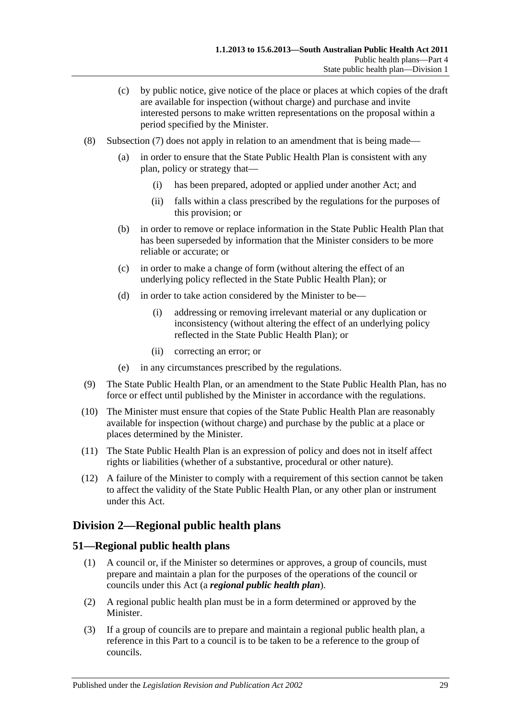- (c) by public notice, give notice of the place or places at which copies of the draft are available for inspection (without charge) and purchase and invite interested persons to make written representations on the proposal within a period specified by the Minister.
- (8) [Subsection](#page-27-4) (7) does not apply in relation to an amendment that is being made—
	- (a) in order to ensure that the State Public Health Plan is consistent with any plan, policy or strategy that—
		- (i) has been prepared, adopted or applied under another Act; and
		- (ii) falls within a class prescribed by the regulations for the purposes of this provision; or
	- (b) in order to remove or replace information in the State Public Health Plan that has been superseded by information that the Minister considers to be more reliable or accurate; or
	- (c) in order to make a change of form (without altering the effect of an underlying policy reflected in the State Public Health Plan); or
	- (d) in order to take action considered by the Minister to be—
		- (i) addressing or removing irrelevant material or any duplication or inconsistency (without altering the effect of an underlying policy reflected in the State Public Health Plan); or
		- (ii) correcting an error; or
	- (e) in any circumstances prescribed by the regulations.
- (9) The State Public Health Plan, or an amendment to the State Public Health Plan, has no force or effect until published by the Minister in accordance with the regulations.
- (10) The Minister must ensure that copies of the State Public Health Plan are reasonably available for inspection (without charge) and purchase by the public at a place or places determined by the Minister.
- (11) The State Public Health Plan is an expression of policy and does not in itself affect rights or liabilities (whether of a substantive, procedural or other nature).
- (12) A failure of the Minister to comply with a requirement of this section cannot be taken to affect the validity of the State Public Health Plan, or any other plan or instrument under this Act.

## <span id="page-28-0"></span>**Division 2—Regional public health plans**

## <span id="page-28-1"></span>**51—Regional public health plans**

- (1) A council or, if the Minister so determines or approves, a group of councils, must prepare and maintain a plan for the purposes of the operations of the council or councils under this Act (a *regional public health plan*).
- (2) A regional public health plan must be in a form determined or approved by the Minister.
- (3) If a group of councils are to prepare and maintain a regional public health plan, a reference in this Part to a council is to be taken to be a reference to the group of councils.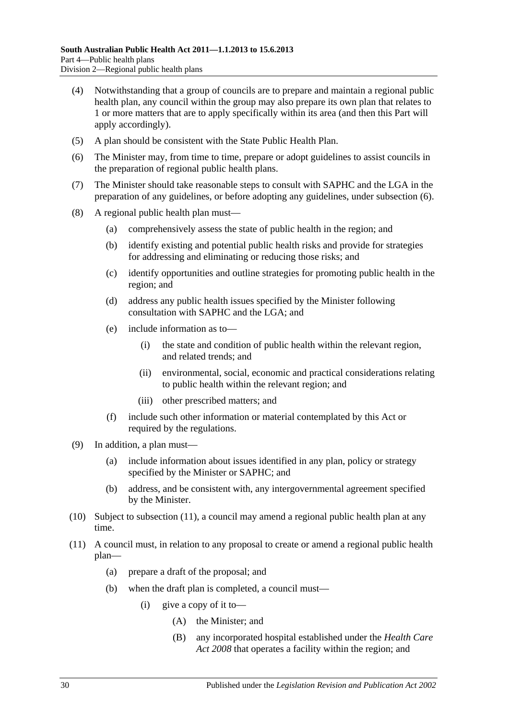- (4) Notwithstanding that a group of councils are to prepare and maintain a regional public health plan, any council within the group may also prepare its own plan that relates to 1 or more matters that are to apply specifically within its area (and then this Part will apply accordingly).
- (5) A plan should be consistent with the State Public Health Plan.
- <span id="page-29-0"></span>(6) The Minister may, from time to time, prepare or adopt guidelines to assist councils in the preparation of regional public health plans.
- (7) The Minister should take reasonable steps to consult with SAPHC and the LGA in the preparation of any guidelines, or before adopting any guidelines, under [subsection](#page-29-0) (6).
- (8) A regional public health plan must—
	- (a) comprehensively assess the state of public health in the region; and
	- (b) identify existing and potential public health risks and provide for strategies for addressing and eliminating or reducing those risks; and
	- (c) identify opportunities and outline strategies for promoting public health in the region; and
	- (d) address any public health issues specified by the Minister following consultation with SAPHC and the LGA; and
	- (e) include information as to—
		- (i) the state and condition of public health within the relevant region, and related trends; and
		- (ii) environmental, social, economic and practical considerations relating to public health within the relevant region; and
		- (iii) other prescribed matters; and
	- (f) include such other information or material contemplated by this Act or required by the regulations.
- (9) In addition, a plan must—
	- (a) include information about issues identified in any plan, policy or strategy specified by the Minister or SAPHC; and
	- (b) address, and be consistent with, any intergovernmental agreement specified by the Minister.
- (10) Subject to [subsection](#page-29-1) (11), a council may amend a regional public health plan at any time.
- <span id="page-29-1"></span>(11) A council must, in relation to any proposal to create or amend a regional public health plan—
	- (a) prepare a draft of the proposal; and
	- (b) when the draft plan is completed, a council must—
		- (i) give a copy of it to—
			- (A) the Minister; and
			- (B) any incorporated hospital established under the *[Health Care](http://www.legislation.sa.gov.au/index.aspx?action=legref&type=act&legtitle=Health%20Care%20Act%202008)  Act [2008](http://www.legislation.sa.gov.au/index.aspx?action=legref&type=act&legtitle=Health%20Care%20Act%202008)* that operates a facility within the region; and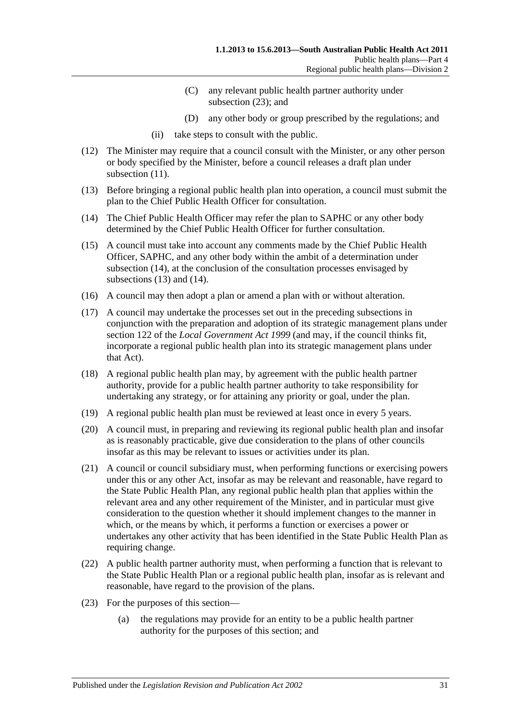- (C) any relevant public health partner authority under [subsection](#page-30-0) (23); and
- (D) any other body or group prescribed by the regulations; and
- (ii) take steps to consult with the public.
- (12) The Minister may require that a council consult with the Minister, or any other person or body specified by the Minister, before a council releases a draft plan under [subsection](#page-29-1) (11).
- <span id="page-30-2"></span>(13) Before bringing a regional public health plan into operation, a council must submit the plan to the Chief Public Health Officer for consultation.
- <span id="page-30-1"></span>(14) The Chief Public Health Officer may refer the plan to SAPHC or any other body determined by the Chief Public Health Officer for further consultation.
- (15) A council must take into account any comments made by the Chief Public Health Officer, SAPHC, and any other body within the ambit of a determination under [subsection](#page-30-1) (14), at the conclusion of the consultation processes envisaged by [subsections](#page-30-2) (13) and [\(14\).](#page-30-1)
- (16) A council may then adopt a plan or amend a plan with or without alteration.
- (17) A council may undertake the processes set out in the preceding subsections in conjunction with the preparation and adoption of its strategic management plans under section 122 of the *[Local Government Act](http://www.legislation.sa.gov.au/index.aspx?action=legref&type=act&legtitle=Local%20Government%20Act%201999) 1999* (and may, if the council thinks fit, incorporate a regional public health plan into its strategic management plans under that Act).
- (18) A regional public health plan may, by agreement with the public health partner authority, provide for a public health partner authority to take responsibility for undertaking any strategy, or for attaining any priority or goal, under the plan.
- (19) A regional public health plan must be reviewed at least once in every 5 years.
- (20) A council must, in preparing and reviewing its regional public health plan and insofar as is reasonably practicable, give due consideration to the plans of other councils insofar as this may be relevant to issues or activities under its plan.
- (21) A council or council subsidiary must, when performing functions or exercising powers under this or any other Act, insofar as may be relevant and reasonable, have regard to the State Public Health Plan, any regional public health plan that applies within the relevant area and any other requirement of the Minister, and in particular must give consideration to the question whether it should implement changes to the manner in which, or the means by which, it performs a function or exercises a power or undertakes any other activity that has been identified in the State Public Health Plan as requiring change.
- (22) A public health partner authority must, when performing a function that is relevant to the State Public Health Plan or a regional public health plan, insofar as is relevant and reasonable, have regard to the provision of the plans.
- <span id="page-30-0"></span>(23) For the purposes of this section—
	- (a) the regulations may provide for an entity to be a public health partner authority for the purposes of this section; and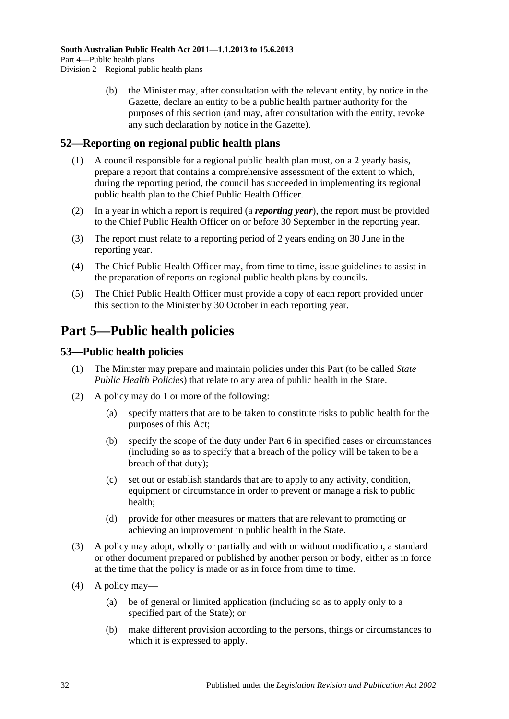(b) the Minister may, after consultation with the relevant entity, by notice in the Gazette, declare an entity to be a public health partner authority for the purposes of this section (and may, after consultation with the entity, revoke any such declaration by notice in the Gazette).

## <span id="page-31-0"></span>**52—Reporting on regional public health plans**

- (1) A council responsible for a regional public health plan must, on a 2 yearly basis, prepare a report that contains a comprehensive assessment of the extent to which, during the reporting period, the council has succeeded in implementing its regional public health plan to the Chief Public Health Officer.
- (2) In a year in which a report is required (a *reporting year*), the report must be provided to the Chief Public Health Officer on or before 30 September in the reporting year.
- (3) The report must relate to a reporting period of 2 years ending on 30 June in the reporting year.
- (4) The Chief Public Health Officer may, from time to time, issue guidelines to assist in the preparation of reports on regional public health plans by councils.
- (5) The Chief Public Health Officer must provide a copy of each report provided under this section to the Minister by 30 October in each reporting year.

# <span id="page-31-1"></span>**Part 5—Public health policies**

## <span id="page-31-2"></span>**53—Public health policies**

- (1) The Minister may prepare and maintain policies under this Part (to be called *State Public Health Policies*) that relate to any area of public health in the State.
- (2) A policy may do 1 or more of the following:
	- (a) specify matters that are to be taken to constitute risks to public health for the purposes of this Act;
	- (b) specify the scope of the duty under [Part](#page-33-0) 6 in specified cases or circumstances (including so as to specify that a breach of the policy will be taken to be a breach of that duty);
	- (c) set out or establish standards that are to apply to any activity, condition, equipment or circumstance in order to prevent or manage a risk to public health;
	- (d) provide for other measures or matters that are relevant to promoting or achieving an improvement in public health in the State.
- (3) A policy may adopt, wholly or partially and with or without modification, a standard or other document prepared or published by another person or body, either as in force at the time that the policy is made or as in force from time to time.
- (4) A policy may—
	- (a) be of general or limited application (including so as to apply only to a specified part of the State); or
	- (b) make different provision according to the persons, things or circumstances to which it is expressed to apply.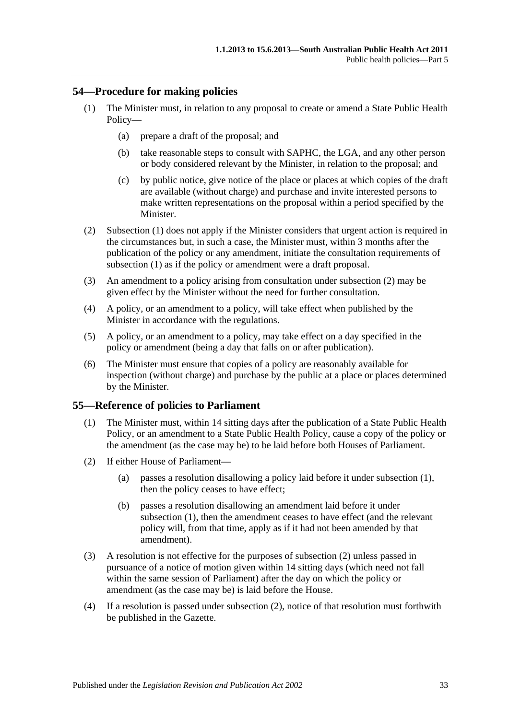## <span id="page-32-2"></span><span id="page-32-0"></span>**54—Procedure for making policies**

- (1) The Minister must, in relation to any proposal to create or amend a State Public Health Policy—
	- (a) prepare a draft of the proposal; and
	- (b) take reasonable steps to consult with SAPHC, the LGA, and any other person or body considered relevant by the Minister, in relation to the proposal; and
	- (c) by public notice, give notice of the place or places at which copies of the draft are available (without charge) and purchase and invite interested persons to make written representations on the proposal within a period specified by the Minister.
- <span id="page-32-3"></span>(2) [Subsection](#page-32-2) (1) does not apply if the Minister considers that urgent action is required in the circumstances but, in such a case, the Minister must, within 3 months after the publication of the policy or any amendment, initiate the consultation requirements of [subsection](#page-32-2) (1) as if the policy or amendment were a draft proposal.
- (3) An amendment to a policy arising from consultation under [subsection](#page-32-3) (2) may be given effect by the Minister without the need for further consultation.
- (4) A policy, or an amendment to a policy, will take effect when published by the Minister in accordance with the regulations.
- (5) A policy, or an amendment to a policy, may take effect on a day specified in the policy or amendment (being a day that falls on or after publication).
- (6) The Minister must ensure that copies of a policy are reasonably available for inspection (without charge) and purchase by the public at a place or places determined by the Minister.

#### <span id="page-32-4"></span><span id="page-32-1"></span>**55—Reference of policies to Parliament**

- (1) The Minister must, within 14 sitting days after the publication of a State Public Health Policy, or an amendment to a State Public Health Policy, cause a copy of the policy or the amendment (as the case may be) to be laid before both Houses of Parliament.
- <span id="page-32-5"></span>(2) If either House of Parliament—
	- (a) passes a resolution disallowing a policy laid before it under [subsection](#page-32-4) (1), then the policy ceases to have effect;
	- (b) passes a resolution disallowing an amendment laid before it under [subsection](#page-32-4) (1), then the amendment ceases to have effect (and the relevant policy will, from that time, apply as if it had not been amended by that amendment).
- (3) A resolution is not effective for the purposes of [subsection](#page-32-5) (2) unless passed in pursuance of a notice of motion given within 14 sitting days (which need not fall within the same session of Parliament) after the day on which the policy or amendment (as the case may be) is laid before the House.
- (4) If a resolution is passed under [subsection](#page-32-5) (2), notice of that resolution must forthwith be published in the Gazette.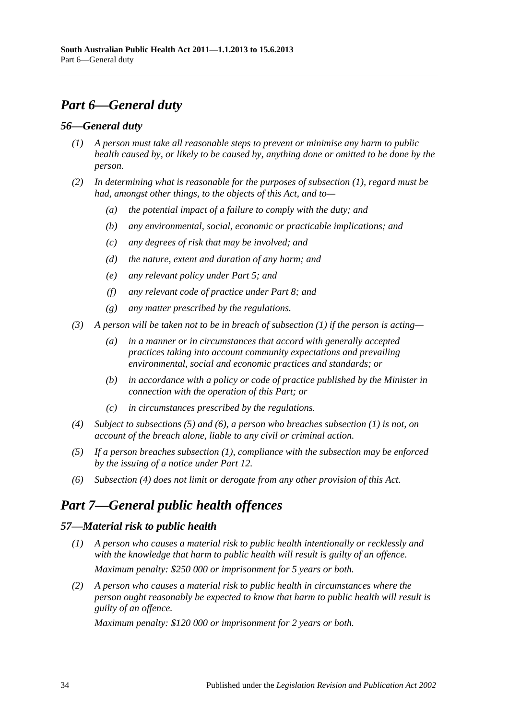# <span id="page-33-0"></span>*Part 6—General duty*

## <span id="page-33-4"></span><span id="page-33-1"></span>*56—General duty*

- *(1) A person must take all reasonable steps to prevent or minimise any harm to public health caused by, or likely to be caused by, anything done or omitted to be done by the person.*
- *(2) In determining what is reasonable for the purposes of [subsection](#page-33-4) (1), regard must be had, amongst other things, to the objects of this Act, and to—*
	- *(a) the potential impact of a failure to comply with the duty; and*
	- *(b) any environmental, social, economic or practicable implications; and*
	- *(c) any degrees of risk that may be involved; and*
	- *(d) the nature, extent and duration of any harm; and*
	- *(e) any relevant policy under [Part](#page-31-1) 5; and*
	- *(f) any relevant code of practice under [Part](#page-35-1) 8; and*
	- *(g) any matter prescribed by the regulations.*
- *(3) A person will be taken not to be in breach of [subsection](#page-33-4) (1) if the person is acting—*
	- *(a) in a manner or in circumstances that accord with generally accepted practices taking into account community expectations and prevailing environmental, social and economic practices and standards; or*
	- *(b) in accordance with a policy or code of practice published by the Minister in connection with the operation of this Part; or*
	- *(c) in circumstances prescribed by the regulations.*
- <span id="page-33-7"></span>*(4) Subject to [subsections](#page-33-5) (5) and [\(6\),](#page-33-6) a person who breaches [subsection](#page-33-4) (1) is not, on account of the breach alone, liable to any civil or criminal action.*
- <span id="page-33-5"></span>*(5) If a person breaches [subsection](#page-33-4) (1), compliance with the subsection may be enforced by the issuing of a notice under [Part](#page-58-0) 12.*
- <span id="page-33-6"></span>*(6) [Subsection](#page-33-7) (4) does not limit or derogate from any other provision of this Act.*

# <span id="page-33-2"></span>*Part 7—General public health offences*

## <span id="page-33-3"></span>*57—Material risk to public health*

- *(1) A person who causes a material risk to public health intentionally or recklessly and with the knowledge that harm to public health will result is guilty of an offence. Maximum penalty: \$250 000 or imprisonment for 5 years or both.*
- *(2) A person who causes a material risk to public health in circumstances where the person ought reasonably be expected to know that harm to public health will result is guilty of an offence.*

*Maximum penalty: \$120 000 or imprisonment for 2 years or both.*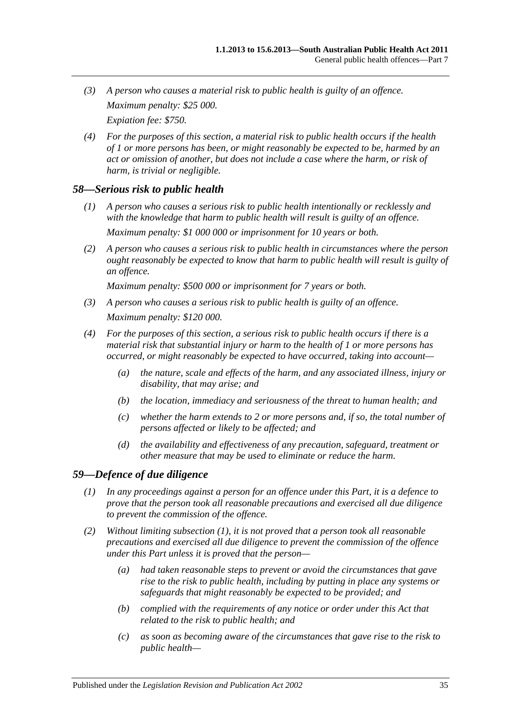- *(3) A person who causes a material risk to public health is guilty of an offence. Maximum penalty: \$25 000. Expiation fee: \$750.*
- *(4) For the purposes of this section, a material risk to public health occurs if the health of 1 or more persons has been, or might reasonably be expected to be, harmed by an act or omission of another, but does not include a case where the harm, or risk of harm, is trivial or negligible.*

## <span id="page-34-0"></span>*58—Serious risk to public health*

- *(1) A person who causes a serious risk to public health intentionally or recklessly and with the knowledge that harm to public health will result is guilty of an offence. Maximum penalty: \$1 000 000 or imprisonment for 10 years or both.*
- *(2) A person who causes a serious risk to public health in circumstances where the person ought reasonably be expected to know that harm to public health will result is guilty of an offence.*

*Maximum penalty: \$500 000 or imprisonment for 7 years or both.*

- *(3) A person who causes a serious risk to public health is guilty of an offence. Maximum penalty: \$120 000.*
- *(4) For the purposes of this section, a serious risk to public health occurs if there is a material risk that substantial injury or harm to the health of 1 or more persons has occurred, or might reasonably be expected to have occurred, taking into account—*
	- *(a) the nature, scale and effects of the harm, and any associated illness, injury or disability, that may arise; and*
	- *(b) the location, immediacy and seriousness of the threat to human health; and*
	- *(c) whether the harm extends to 2 or more persons and, if so, the total number of persons affected or likely to be affected; and*
	- *(d) the availability and effectiveness of any precaution, safeguard, treatment or other measure that may be used to eliminate or reduce the harm.*

## <span id="page-34-2"></span><span id="page-34-1"></span>*59—Defence of due diligence*

- *(1) In any proceedings against a person for an offence under this Part, it is a defence to prove that the person took all reasonable precautions and exercised all due diligence to prevent the commission of the offence.*
- *(2) Without limiting [subsection](#page-34-2) (1), it is not proved that a person took all reasonable precautions and exercised all due diligence to prevent the commission of the offence under this Part unless it is proved that the person—*
	- *(a) had taken reasonable steps to prevent or avoid the circumstances that gave rise to the risk to public health, including by putting in place any systems or safeguards that might reasonably be expected to be provided; and*
	- *(b) complied with the requirements of any notice or order under this Act that related to the risk to public health; and*
	- *(c) as soon as becoming aware of the circumstances that gave rise to the risk to public health—*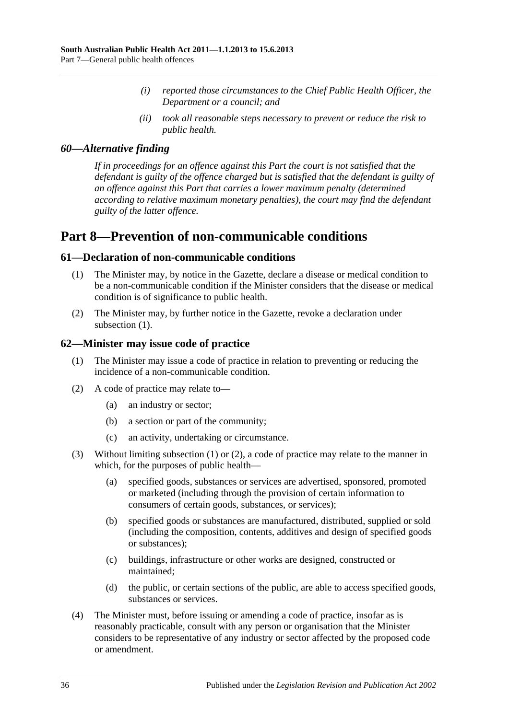- *(i) reported those circumstances to the Chief Public Health Officer, the Department or a council; and*
- *(ii) took all reasonable steps necessary to prevent or reduce the risk to public health.*

## <span id="page-35-0"></span>*60—Alternative finding*

*If in proceedings for an offence against this Part the court is not satisfied that the defendant is guilty of the offence charged but is satisfied that the defendant is guilty of an offence against this Part that carries a lower maximum penalty (determined according to relative maximum monetary penalties), the court may find the defendant guilty of the latter offence.*

# <span id="page-35-1"></span>**Part 8—Prevention of non-communicable conditions**

## <span id="page-35-4"></span><span id="page-35-2"></span>**61—Declaration of non-communicable conditions**

- (1) The Minister may, by notice in the Gazette, declare a disease or medical condition to be a non-communicable condition if the Minister considers that the disease or medical condition is of significance to public health.
- (2) The Minister may, by further notice in the Gazette, revoke a declaration under [subsection](#page-35-4)  $(1)$ .

## <span id="page-35-5"></span><span id="page-35-3"></span>**62—Minister may issue code of practice**

- (1) The Minister may issue a code of practice in relation to preventing or reducing the incidence of a non-communicable condition.
- <span id="page-35-6"></span>(2) A code of practice may relate to—
	- (a) an industry or sector;
	- (b) a section or part of the community;
	- (c) an activity, undertaking or circumstance.
- (3) Without limiting [subsection](#page-35-5) (1) or [\(2\),](#page-35-6) a code of practice may relate to the manner in which, for the purposes of public health—
	- (a) specified goods, substances or services are advertised, sponsored, promoted or marketed (including through the provision of certain information to consumers of certain goods, substances, or services);
	- (b) specified goods or substances are manufactured, distributed, supplied or sold (including the composition, contents, additives and design of specified goods or substances);
	- (c) buildings, infrastructure or other works are designed, constructed or maintained;
	- (d) the public, or certain sections of the public, are able to access specified goods, substances or services.
- (4) The Minister must, before issuing or amending a code of practice, insofar as is reasonably practicable, consult with any person or organisation that the Minister considers to be representative of any industry or sector affected by the proposed code or amendment.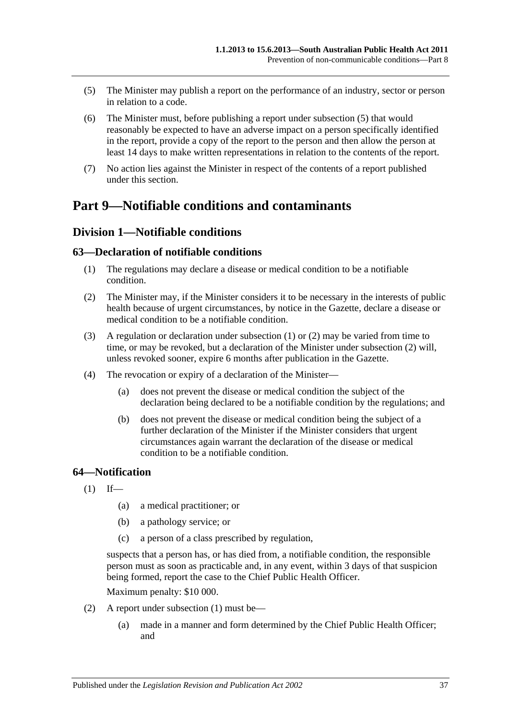- <span id="page-36-0"></span>(5) The Minister may publish a report on the performance of an industry, sector or person in relation to a code.
- (6) The Minister must, before publishing a report under [subsection](#page-36-0) (5) that would reasonably be expected to have an adverse impact on a person specifically identified in the report, provide a copy of the report to the person and then allow the person at least 14 days to make written representations in relation to the contents of the report.
- (7) No action lies against the Minister in respect of the contents of a report published under this section.

# **Part 9—Notifiable conditions and contaminants**

# **Division 1—Notifiable conditions**

# <span id="page-36-1"></span>**63—Declaration of notifiable conditions**

- (1) The regulations may declare a disease or medical condition to be a notifiable condition.
- <span id="page-36-2"></span>(2) The Minister may, if the Minister considers it to be necessary in the interests of public health because of urgent circumstances, by notice in the Gazette, declare a disease or medical condition to be a notifiable condition.
- (3) A regulation or declaration under [subsection](#page-36-1) (1) or [\(2\)](#page-36-2) may be varied from time to time, or may be revoked, but a declaration of the Minister under [subsection](#page-36-2) (2) will, unless revoked sooner, expire 6 months after publication in the Gazette.
- (4) The revocation or expiry of a declaration of the Minister—
	- (a) does not prevent the disease or medical condition the subject of the declaration being declared to be a notifiable condition by the regulations; and
	- (b) does not prevent the disease or medical condition being the subject of a further declaration of the Minister if the Minister considers that urgent circumstances again warrant the declaration of the disease or medical condition to be a notifiable condition.

# <span id="page-36-3"></span>**64—Notification**

- $(1)$  If—
	- (a) a medical practitioner; or
	- (b) a pathology service; or
	- (c) a person of a class prescribed by regulation,

suspects that a person has, or has died from, a notifiable condition, the responsible person must as soon as practicable and, in any event, within 3 days of that suspicion being formed, report the case to the Chief Public Health Officer.

Maximum penalty: \$10 000.

- (2) A report under [subsection](#page-36-3) (1) must be—
	- (a) made in a manner and form determined by the Chief Public Health Officer; and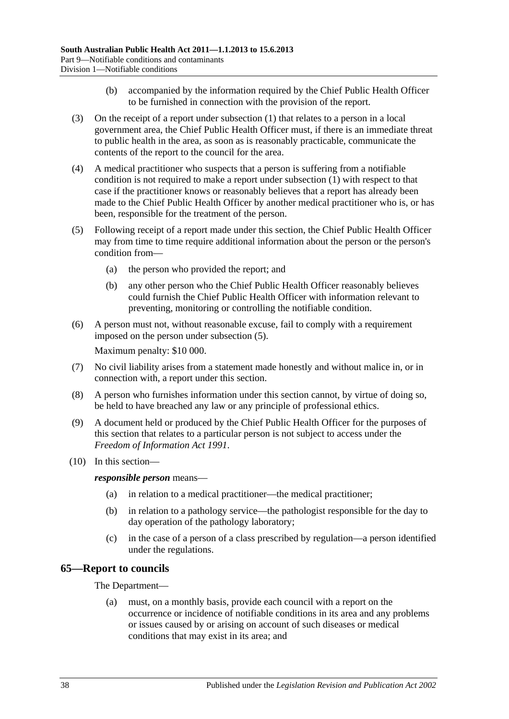- (b) accompanied by the information required by the Chief Public Health Officer to be furnished in connection with the provision of the report.
- (3) On the receipt of a report under [subsection](#page-36-3) (1) that relates to a person in a local government area, the Chief Public Health Officer must, if there is an immediate threat to public health in the area, as soon as is reasonably practicable, communicate the contents of the report to the council for the area.
- (4) A medical practitioner who suspects that a person is suffering from a notifiable condition is not required to make a report under [subsection](#page-36-3) (1) with respect to that case if the practitioner knows or reasonably believes that a report has already been made to the Chief Public Health Officer by another medical practitioner who is, or has been, responsible for the treatment of the person.
- <span id="page-37-0"></span>(5) Following receipt of a report made under this section, the Chief Public Health Officer may from time to time require additional information about the person or the person's condition from—
	- (a) the person who provided the report; and
	- (b) any other person who the Chief Public Health Officer reasonably believes could furnish the Chief Public Health Officer with information relevant to preventing, monitoring or controlling the notifiable condition.
- (6) A person must not, without reasonable excuse, fail to comply with a requirement imposed on the person under [subsection](#page-37-0) (5). Maximum penalty: \$10 000.
- (7) No civil liability arises from a statement made honestly and without malice in, or in connection with, a report under this section.
- (8) A person who furnishes information under this section cannot, by virtue of doing so, be held to have breached any law or any principle of professional ethics.
- (9) A document held or produced by the Chief Public Health Officer for the purposes of this section that relates to a particular person is not subject to access under the *[Freedom of Information Act](http://www.legislation.sa.gov.au/index.aspx?action=legref&type=act&legtitle=Freedom%20of%20Information%20Act%201991) 1991*.
- (10) In this section—

*responsible person* means—

- (a) in relation to a medical practitioner—the medical practitioner;
- (b) in relation to a pathology service—the pathologist responsible for the day to day operation of the pathology laboratory;
- (c) in the case of a person of a class prescribed by regulation—a person identified under the regulations.

# **65—Report to councils**

The Department—

(a) must, on a monthly basis, provide each council with a report on the occurrence or incidence of notifiable conditions in its area and any problems or issues caused by or arising on account of such diseases or medical conditions that may exist in its area; and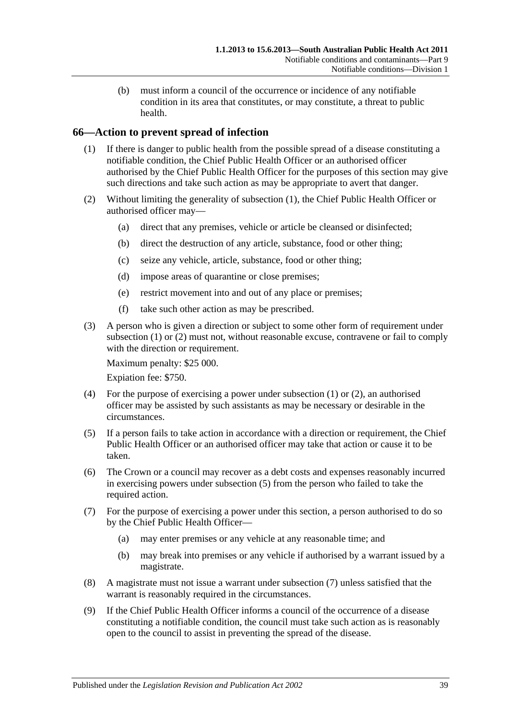(b) must inform a council of the occurrence or incidence of any notifiable condition in its area that constitutes, or may constitute, a threat to public health.

# <span id="page-38-0"></span>**66—Action to prevent spread of infection**

- (1) If there is danger to public health from the possible spread of a disease constituting a notifiable condition, the Chief Public Health Officer or an authorised officer authorised by the Chief Public Health Officer for the purposes of this section may give such directions and take such action as may be appropriate to avert that danger.
- <span id="page-38-1"></span>(2) Without limiting the generality of [subsection](#page-38-0) (1), the Chief Public Health Officer or authorised officer may—
	- (a) direct that any premises, vehicle or article be cleansed or disinfected;
	- (b) direct the destruction of any article, substance, food or other thing;
	- (c) seize any vehicle, article, substance, food or other thing;
	- (d) impose areas of quarantine or close premises;
	- (e) restrict movement into and out of any place or premises;
	- (f) take such other action as may be prescribed.
- (3) A person who is given a direction or subject to some other form of requirement under [subsection](#page-38-0) (1) or [\(2\)](#page-38-1) must not, without reasonable excuse, contravene or fail to comply with the direction or requirement.

Maximum penalty: \$25 000.

Expiation fee: \$750.

- (4) For the purpose of exercising a power under [subsection](#page-38-0) (1) or [\(2\),](#page-38-1) an authorised officer may be assisted by such assistants as may be necessary or desirable in the circumstances.
- <span id="page-38-2"></span>(5) If a person fails to take action in accordance with a direction or requirement, the Chief Public Health Officer or an authorised officer may take that action or cause it to be taken.
- (6) The Crown or a council may recover as a debt costs and expenses reasonably incurred in exercising powers under [subsection](#page-38-2) (5) from the person who failed to take the required action.
- <span id="page-38-3"></span>(7) For the purpose of exercising a power under this section, a person authorised to do so by the Chief Public Health Officer—
	- (a) may enter premises or any vehicle at any reasonable time; and
	- (b) may break into premises or any vehicle if authorised by a warrant issued by a magistrate.
- (8) A magistrate must not issue a warrant under [subsection](#page-38-3) (7) unless satisfied that the warrant is reasonably required in the circumstances.
- (9) If the Chief Public Health Officer informs a council of the occurrence of a disease constituting a notifiable condition, the council must take such action as is reasonably open to the council to assist in preventing the spread of the disease.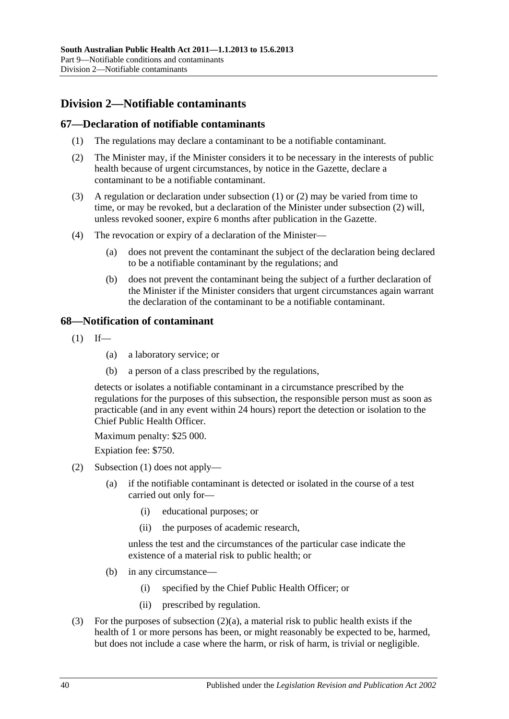# **Division 2—Notifiable contaminants**

# <span id="page-39-0"></span>**67—Declaration of notifiable contaminants**

- (1) The regulations may declare a contaminant to be a notifiable contaminant.
- <span id="page-39-1"></span>(2) The Minister may, if the Minister considers it to be necessary in the interests of public health because of urgent circumstances, by notice in the Gazette, declare a contaminant to be a notifiable contaminant.
- (3) A regulation or declaration under [subsection](#page-39-0) (1) or [\(2\)](#page-39-1) may be varied from time to time, or may be revoked, but a declaration of the Minister under [subsection](#page-39-1) (2) will, unless revoked sooner, expire 6 months after publication in the Gazette.
- (4) The revocation or expiry of a declaration of the Minister—
	- (a) does not prevent the contaminant the subject of the declaration being declared to be a notifiable contaminant by the regulations; and
	- (b) does not prevent the contaminant being the subject of a further declaration of the Minister if the Minister considers that urgent circumstances again warrant the declaration of the contaminant to be a notifiable contaminant.

## <span id="page-39-2"></span>**68—Notification of contaminant**

- $(1)$  If—
	- (a) a laboratory service; or
	- (b) a person of a class prescribed by the regulations,

detects or isolates a notifiable contaminant in a circumstance prescribed by the regulations for the purposes of this subsection, the responsible person must as soon as practicable (and in any event within 24 hours) report the detection or isolation to the Chief Public Health Officer.

Maximum penalty: \$25 000.

Expiation fee: \$750.

- <span id="page-39-3"></span>(2) [Subsection](#page-39-2) (1) does not apply—
	- (a) if the notifiable contaminant is detected or isolated in the course of a test carried out only for—
		- (i) educational purposes; or
		- (ii) the purposes of academic research,

unless the test and the circumstances of the particular case indicate the existence of a material risk to public health; or

- (b) in any circumstance—
	- (i) specified by the Chief Public Health Officer; or
	- (ii) prescribed by regulation.
- (3) For the purposes of [subsection](#page-39-3) (2)(a), a material risk to public health exists if the health of 1 or more persons has been, or might reasonably be expected to be, harmed, but does not include a case where the harm, or risk of harm, is trivial or negligible.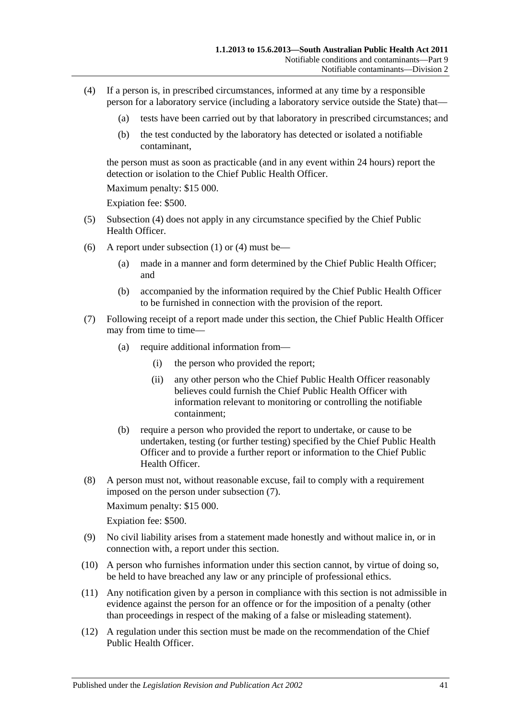- <span id="page-40-0"></span>(4) If a person is, in prescribed circumstances, informed at any time by a responsible person for a laboratory service (including a laboratory service outside the State) that—
	- (a) tests have been carried out by that laboratory in prescribed circumstances; and
	- (b) the test conducted by the laboratory has detected or isolated a notifiable contaminant,

the person must as soon as practicable (and in any event within 24 hours) report the detection or isolation to the Chief Public Health Officer

Maximum penalty: \$15 000.

Expiation fee: \$500.

- (5) [Subsection](#page-40-0) (4) does not apply in any circumstance specified by the Chief Public Health Officer.
- (6) A report under [subsection](#page-39-2) (1) or [\(4\)](#page-40-0) must be—
	- (a) made in a manner and form determined by the Chief Public Health Officer; and
	- (b) accompanied by the information required by the Chief Public Health Officer to be furnished in connection with the provision of the report.
- <span id="page-40-1"></span>(7) Following receipt of a report made under this section, the Chief Public Health Officer may from time to time—
	- (a) require additional information from—
		- (i) the person who provided the report;
		- (ii) any other person who the Chief Public Health Officer reasonably believes could furnish the Chief Public Health Officer with information relevant to monitoring or controlling the notifiable containment;
	- (b) require a person who provided the report to undertake, or cause to be undertaken, testing (or further testing) specified by the Chief Public Health Officer and to provide a further report or information to the Chief Public Health Officer.
- (8) A person must not, without reasonable excuse, fail to comply with a requirement imposed on the person under [subsection](#page-40-1) (7).

Maximum penalty: \$15 000.

Expiation fee: \$500.

- (9) No civil liability arises from a statement made honestly and without malice in, or in connection with, a report under this section.
- (10) A person who furnishes information under this section cannot, by virtue of doing so, be held to have breached any law or any principle of professional ethics.
- (11) Any notification given by a person in compliance with this section is not admissible in evidence against the person for an offence or for the imposition of a penalty (other than proceedings in respect of the making of a false or misleading statement).
- <span id="page-40-2"></span>(12) A regulation under this section must be made on the recommendation of the Chief Public Health Officer.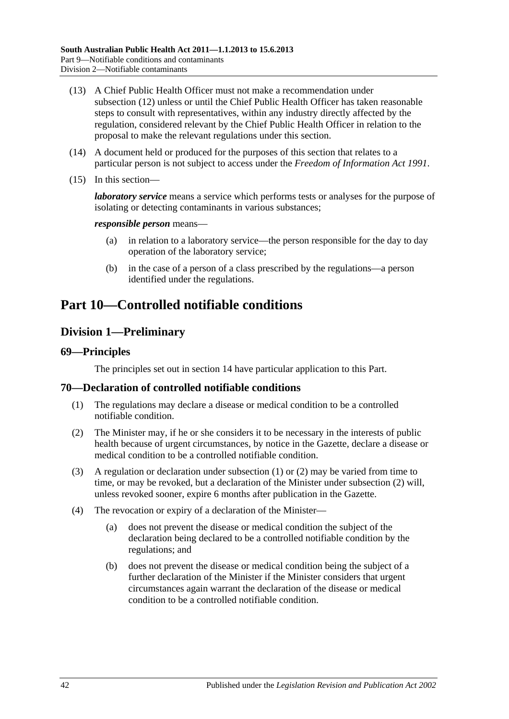- (13) A Chief Public Health Officer must not make a recommendation under [subsection](#page-40-2) (12) unless or until the Chief Public Health Officer has taken reasonable steps to consult with representatives, within any industry directly affected by the regulation, considered relevant by the Chief Public Health Officer in relation to the proposal to make the relevant regulations under this section.
- (14) A document held or produced for the purposes of this section that relates to a particular person is not subject to access under the *[Freedom of Information Act](http://www.legislation.sa.gov.au/index.aspx?action=legref&type=act&legtitle=Freedom%20of%20Information%20Act%201991) 1991*.
- (15) In this section—

*laboratory service* means a service which performs tests or analyses for the purpose of isolating or detecting contaminants in various substances;

#### *responsible person* means—

- (a) in relation to a laboratory service—the person responsible for the day to day operation of the laboratory service;
- (b) in the case of a person of a class prescribed by the regulations—a person identified under the regulations.

# <span id="page-41-2"></span>**Part 10—Controlled notifiable conditions**

# **Division 1—Preliminary**

#### **69—Principles**

The principles set out in [section](#page-9-0) 14 have particular application to this Part.

#### <span id="page-41-0"></span>**70—Declaration of controlled notifiable conditions**

- (1) The regulations may declare a disease or medical condition to be a controlled notifiable condition.
- <span id="page-41-1"></span>(2) The Minister may, if he or she considers it to be necessary in the interests of public health because of urgent circumstances, by notice in the Gazette, declare a disease or medical condition to be a controlled notifiable condition.
- (3) A regulation or declaration under [subsection](#page-41-0) (1) or [\(2\)](#page-41-1) may be varied from time to time, or may be revoked, but a declaration of the Minister under [subsection](#page-41-1) (2) will, unless revoked sooner, expire 6 months after publication in the Gazette.
- (4) The revocation or expiry of a declaration of the Minister—
	- (a) does not prevent the disease or medical condition the subject of the declaration being declared to be a controlled notifiable condition by the regulations; and
	- (b) does not prevent the disease or medical condition being the subject of a further declaration of the Minister if the Minister considers that urgent circumstances again warrant the declaration of the disease or medical condition to be a controlled notifiable condition.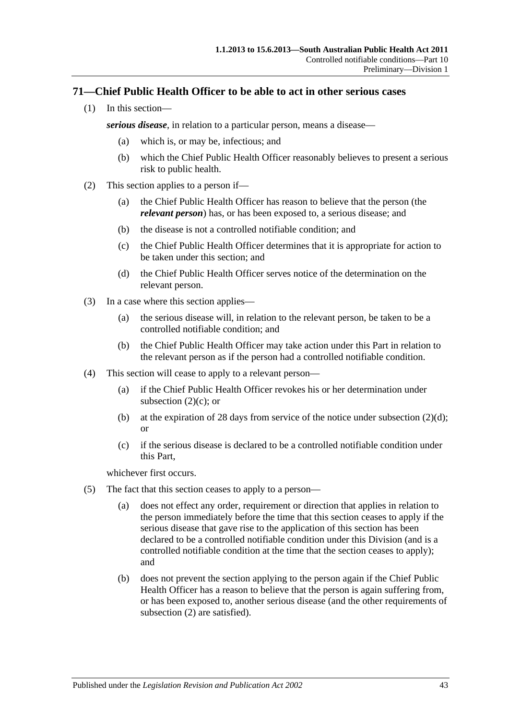# **71—Chief Public Health Officer to be able to act in other serious cases**

(1) In this section—

*serious disease*, in relation to a particular person, means a disease—

- (a) which is, or may be, infectious; and
- (b) which the Chief Public Health Officer reasonably believes to present a serious risk to public health.
- <span id="page-42-2"></span><span id="page-42-0"></span>(2) This section applies to a person if—
	- (a) the Chief Public Health Officer has reason to believe that the person (the *relevant person*) has, or has been exposed to, a serious disease; and
	- (b) the disease is not a controlled notifiable condition; and
	- (c) the Chief Public Health Officer determines that it is appropriate for action to be taken under this section; and
	- (d) the Chief Public Health Officer serves notice of the determination on the relevant person.
- <span id="page-42-1"></span>(3) In a case where this section applies—
	- (a) the serious disease will, in relation to the relevant person, be taken to be a controlled notifiable condition; and
	- (b) the Chief Public Health Officer may take action under this Part in relation to the relevant person as if the person had a controlled notifiable condition.
- (4) This section will cease to apply to a relevant person—
	- (a) if the Chief Public Health Officer revokes his or her determination under [subsection](#page-42-0)  $(2)(c)$ ; or
	- (b) at the expiration of 28 days from service of the notice under [subsection](#page-42-1)  $(2)(d)$ ; or
	- (c) if the serious disease is declared to be a controlled notifiable condition under this Part,

whichever first occurs.

- (5) The fact that this section ceases to apply to a person—
	- (a) does not effect any order, requirement or direction that applies in relation to the person immediately before the time that this section ceases to apply if the serious disease that gave rise to the application of this section has been declared to be a controlled notifiable condition under this Division (and is a controlled notifiable condition at the time that the section ceases to apply); and
	- (b) does not prevent the section applying to the person again if the Chief Public Health Officer has a reason to believe that the person is again suffering from, or has been exposed to, another serious disease (and the other requirements of [subsection](#page-42-2) (2) are satisfied).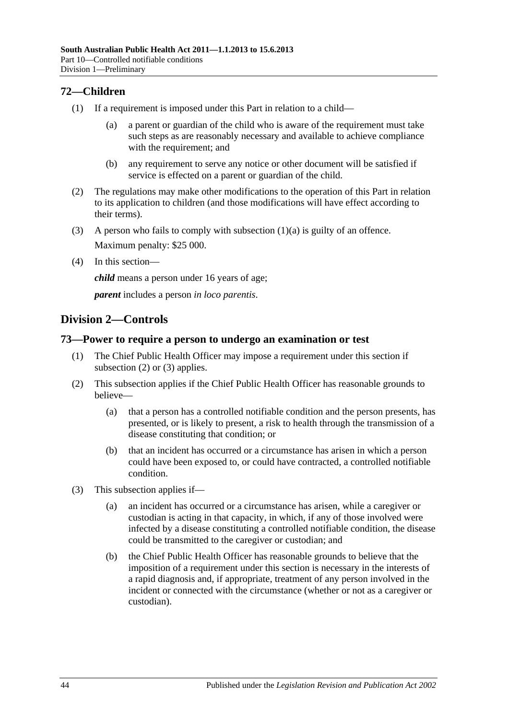# **72—Children**

- <span id="page-43-0"></span>(1) If a requirement is imposed under this Part in relation to a child—
	- (a) a parent or guardian of the child who is aware of the requirement must take such steps as are reasonably necessary and available to achieve compliance with the requirement; and
	- (b) any requirement to serve any notice or other document will be satisfied if service is effected on a parent or guardian of the child.
- (2) The regulations may make other modifications to the operation of this Part in relation to its application to children (and those modifications will have effect according to their terms).
- (3) A person who fails to comply with [subsection](#page-43-0) (1)(a) is guilty of an offence. Maximum penalty: \$25 000.
- (4) In this section—

*child* means a person under 16 years of age;

*parent* includes a person *in loco parentis*.

# **Division 2—Controls**

## **73—Power to require a person to undergo an examination or test**

- (1) The Chief Public Health Officer may impose a requirement under this section if [subsection](#page-43-1) (2) or [\(3\)](#page-43-2) applies.
- <span id="page-43-1"></span>(2) This subsection applies if the Chief Public Health Officer has reasonable grounds to believe—
	- (a) that a person has a controlled notifiable condition and the person presents, has presented, or is likely to present, a risk to health through the transmission of a disease constituting that condition; or
	- (b) that an incident has occurred or a circumstance has arisen in which a person could have been exposed to, or could have contracted, a controlled notifiable condition.
- <span id="page-43-2"></span>(3) This subsection applies if—
	- (a) an incident has occurred or a circumstance has arisen, while a caregiver or custodian is acting in that capacity, in which, if any of those involved were infected by a disease constituting a controlled notifiable condition, the disease could be transmitted to the caregiver or custodian; and
	- (b) the Chief Public Health Officer has reasonable grounds to believe that the imposition of a requirement under this section is necessary in the interests of a rapid diagnosis and, if appropriate, treatment of any person involved in the incident or connected with the circumstance (whether or not as a caregiver or custodian).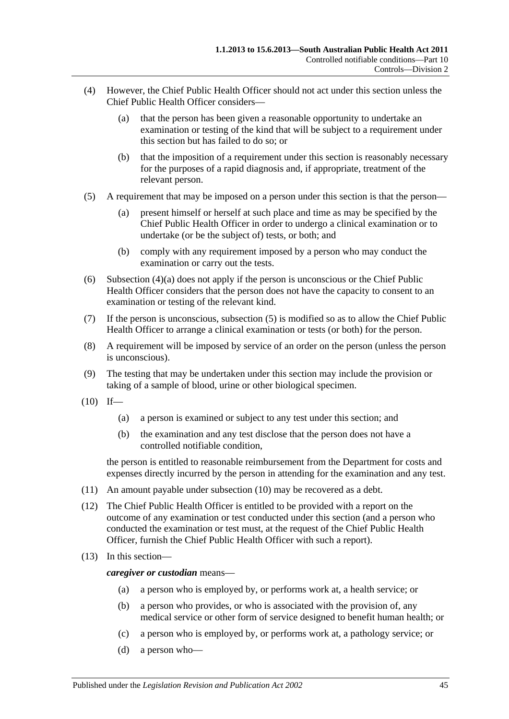- <span id="page-44-0"></span>(4) However, the Chief Public Health Officer should not act under this section unless the Chief Public Health Officer considers—
	- (a) that the person has been given a reasonable opportunity to undertake an examination or testing of the kind that will be subject to a requirement under this section but has failed to do so; or
	- (b) that the imposition of a requirement under this section is reasonably necessary for the purposes of a rapid diagnosis and, if appropriate, treatment of the relevant person.
- <span id="page-44-1"></span>(5) A requirement that may be imposed on a person under this section is that the person—
	- (a) present himself or herself at such place and time as may be specified by the Chief Public Health Officer in order to undergo a clinical examination or to undertake (or be the subject of) tests, or both; and
	- (b) comply with any requirement imposed by a person who may conduct the examination or carry out the tests.
- (6) [Subsection](#page-44-0) (4)(a) does not apply if the person is unconscious or the Chief Public Health Officer considers that the person does not have the capacity to consent to an examination or testing of the relevant kind.
- (7) If the person is unconscious, [subsection](#page-44-1) (5) is modified so as to allow the Chief Public Health Officer to arrange a clinical examination or tests (or both) for the person.
- (8) A requirement will be imposed by service of an order on the person (unless the person is unconscious).
- (9) The testing that may be undertaken under this section may include the provision or taking of a sample of blood, urine or other biological specimen.
- <span id="page-44-2"></span> $(10)$  If—
	- (a) a person is examined or subject to any test under this section; and
	- (b) the examination and any test disclose that the person does not have a controlled notifiable condition,

the person is entitled to reasonable reimbursement from the Department for costs and expenses directly incurred by the person in attending for the examination and any test.

- (11) An amount payable under [subsection](#page-44-2) (10) may be recovered as a debt.
- (12) The Chief Public Health Officer is entitled to be provided with a report on the outcome of any examination or test conducted under this section (and a person who conducted the examination or test must, at the request of the Chief Public Health Officer, furnish the Chief Public Health Officer with such a report).
- (13) In this section—

*caregiver or custodian* means—

- (a) a person who is employed by, or performs work at, a health service; or
- (b) a person who provides, or who is associated with the provision of, any medical service or other form of service designed to benefit human health; or
- (c) a person who is employed by, or performs work at, a pathology service; or
- (d) a person who—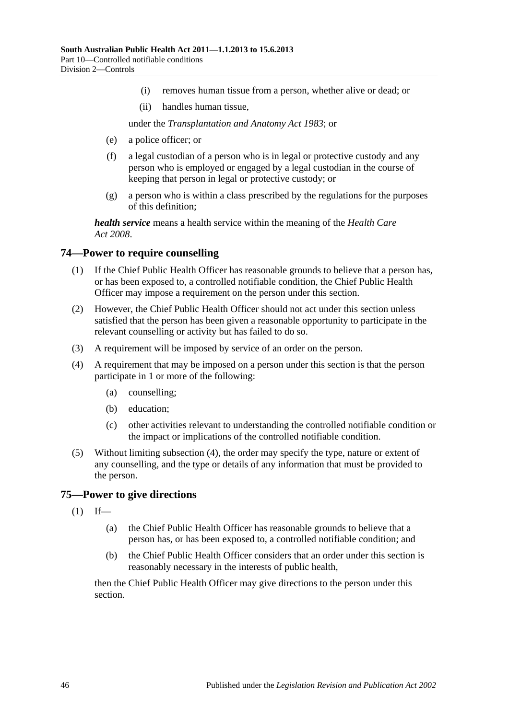- (i) removes human tissue from a person, whether alive or dead; or
- (ii) handles human tissue,

under the *[Transplantation and Anatomy Act](http://www.legislation.sa.gov.au/index.aspx?action=legref&type=act&legtitle=Transplantation%20and%20Anatomy%20Act%201983) 1983*; or

- (e) a police officer; or
- (f) a legal custodian of a person who is in legal or protective custody and any person who is employed or engaged by a legal custodian in the course of keeping that person in legal or protective custody; or
- (g) a person who is within a class prescribed by the regulations for the purposes of this definition;

*health service* means a health service within the meaning of the *[Health Care](http://www.legislation.sa.gov.au/index.aspx?action=legref&type=act&legtitle=Health%20Care%20Act%202008)  Act [2008](http://www.legislation.sa.gov.au/index.aspx?action=legref&type=act&legtitle=Health%20Care%20Act%202008)*.

## **74—Power to require counselling**

- (1) If the Chief Public Health Officer has reasonable grounds to believe that a person has, or has been exposed to, a controlled notifiable condition, the Chief Public Health Officer may impose a requirement on the person under this section.
- (2) However, the Chief Public Health Officer should not act under this section unless satisfied that the person has been given a reasonable opportunity to participate in the relevant counselling or activity but has failed to do so.
- (3) A requirement will be imposed by service of an order on the person.
- <span id="page-45-0"></span>(4) A requirement that may be imposed on a person under this section is that the person participate in 1 or more of the following:
	- (a) counselling;
	- (b) education;
	- (c) other activities relevant to understanding the controlled notifiable condition or the impact or implications of the controlled notifiable condition.
- (5) Without limiting [subsection](#page-45-0) (4), the order may specify the type, nature or extent of any counselling, and the type or details of any information that must be provided to the person.

#### <span id="page-45-1"></span>**75—Power to give directions**

- $(1)$  If—
	- (a) the Chief Public Health Officer has reasonable grounds to believe that a person has, or has been exposed to, a controlled notifiable condition; and
	- (b) the Chief Public Health Officer considers that an order under this section is reasonably necessary in the interests of public health,

then the Chief Public Health Officer may give directions to the person under this section.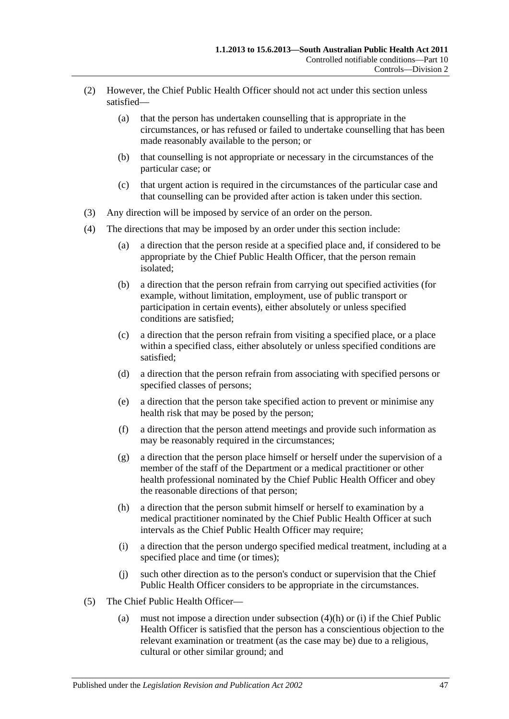- (2) However, the Chief Public Health Officer should not act under this section unless satisfied—
	- (a) that the person has undertaken counselling that is appropriate in the circumstances, or has refused or failed to undertake counselling that has been made reasonably available to the person; or
	- (b) that counselling is not appropriate or necessary in the circumstances of the particular case; or
	- (c) that urgent action is required in the circumstances of the particular case and that counselling can be provided after action is taken under this section.
- (3) Any direction will be imposed by service of an order on the person.
- (4) The directions that may be imposed by an order under this section include:
	- (a) a direction that the person reside at a specified place and, if considered to be appropriate by the Chief Public Health Officer, that the person remain isolated;
	- (b) a direction that the person refrain from carrying out specified activities (for example, without limitation, employment, use of public transport or participation in certain events), either absolutely or unless specified conditions are satisfied;
	- (c) a direction that the person refrain from visiting a specified place, or a place within a specified class, either absolutely or unless specified conditions are satisfied;
	- (d) a direction that the person refrain from associating with specified persons or specified classes of persons;
	- (e) a direction that the person take specified action to prevent or minimise any health risk that may be posed by the person;
	- (f) a direction that the person attend meetings and provide such information as may be reasonably required in the circumstances;
	- (g) a direction that the person place himself or herself under the supervision of a member of the staff of the Department or a medical practitioner or other health professional nominated by the Chief Public Health Officer and obey the reasonable directions of that person;
	- (h) a direction that the person submit himself or herself to examination by a medical practitioner nominated by the Chief Public Health Officer at such intervals as the Chief Public Health Officer may require;
	- (i) a direction that the person undergo specified medical treatment, including at a specified place and time (or times);
	- (j) such other direction as to the person's conduct or supervision that the Chief Public Health Officer considers to be appropriate in the circumstances.
- <span id="page-46-1"></span><span id="page-46-0"></span>(5) The Chief Public Health Officer—
	- (a) must not impose a direction under [subsection](#page-46-0) (4)(h) or [\(i\)](#page-46-1) if the Chief Public Health Officer is satisfied that the person has a conscientious objection to the relevant examination or treatment (as the case may be) due to a religious, cultural or other similar ground; and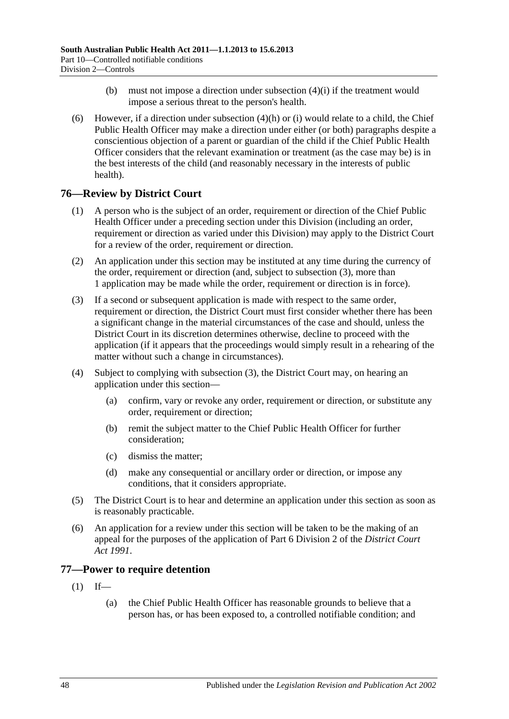- (b) must not impose a direction under [subsection](#page-46-1) (4)(i) if the treatment would impose a serious threat to the person's health.
- (6) However, if a direction under [subsection](#page-46-0)  $(4)(h)$  or [\(i\)](#page-46-1) would relate to a child, the Chief Public Health Officer may make a direction under either (or both) paragraphs despite a conscientious objection of a parent or guardian of the child if the Chief Public Health Officer considers that the relevant examination or treatment (as the case may be) is in the best interests of the child (and reasonably necessary in the interests of public health).

# **76—Review by District Court**

- (1) A person who is the subject of an order, requirement or direction of the Chief Public Health Officer under a preceding section under this Division (including an order, requirement or direction as varied under this Division) may apply to the District Court for a review of the order, requirement or direction.
- (2) An application under this section may be instituted at any time during the currency of the order, requirement or direction (and, subject to [subsection](#page-47-0) (3), more than 1 application may be made while the order, requirement or direction is in force).
- <span id="page-47-0"></span>(3) If a second or subsequent application is made with respect to the same order, requirement or direction, the District Court must first consider whether there has been a significant change in the material circumstances of the case and should, unless the District Court in its discretion determines otherwise, decline to proceed with the application (if it appears that the proceedings would simply result in a rehearing of the matter without such a change in circumstances).
- (4) Subject to complying with [subsection](#page-47-0) (3), the District Court may, on hearing an application under this section—
	- (a) confirm, vary or revoke any order, requirement or direction, or substitute any order, requirement or direction;
	- (b) remit the subject matter to the Chief Public Health Officer for further consideration;
	- (c) dismiss the matter;
	- (d) make any consequential or ancillary order or direction, or impose any conditions, that it considers appropriate.
- (5) The District Court is to hear and determine an application under this section as soon as is reasonably practicable.
- (6) An application for a review under this section will be taken to be the making of an appeal for the purposes of the application of Part 6 Division 2 of the *[District Court](http://www.legislation.sa.gov.au/index.aspx?action=legref&type=act&legtitle=District%20Court%20Act%201991)  Act [1991](http://www.legislation.sa.gov.au/index.aspx?action=legref&type=act&legtitle=District%20Court%20Act%201991)*.

# <span id="page-47-1"></span>**77—Power to require detention**

- $(1)$  If—
	- (a) the Chief Public Health Officer has reasonable grounds to believe that a person has, or has been exposed to, a controlled notifiable condition; and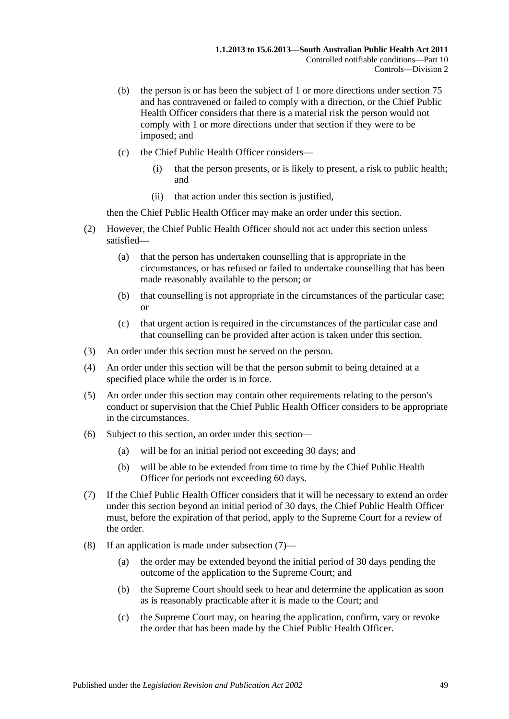- (b) the person is or has been the subject of 1 or more directions under [section](#page-45-1) 75 and has contravened or failed to comply with a direction, or the Chief Public Health Officer considers that there is a material risk the person would not comply with 1 or more directions under that section if they were to be imposed; and
- (c) the Chief Public Health Officer considers—
	- (i) that the person presents, or is likely to present, a risk to public health; and
	- (ii) that action under this section is justified,

then the Chief Public Health Officer may make an order under this section.

- (2) However, the Chief Public Health Officer should not act under this section unless satisfied—
	- (a) that the person has undertaken counselling that is appropriate in the circumstances, or has refused or failed to undertake counselling that has been made reasonably available to the person; or
	- (b) that counselling is not appropriate in the circumstances of the particular case; or
	- (c) that urgent action is required in the circumstances of the particular case and that counselling can be provided after action is taken under this section.
- (3) An order under this section must be served on the person.
- (4) An order under this section will be that the person submit to being detained at a specified place while the order is in force.
- (5) An order under this section may contain other requirements relating to the person's conduct or supervision that the Chief Public Health Officer considers to be appropriate in the circumstances.
- (6) Subject to this section, an order under this section—
	- (a) will be for an initial period not exceeding 30 days; and
	- (b) will be able to be extended from time to time by the Chief Public Health Officer for periods not exceeding 60 days.
- <span id="page-48-0"></span>(7) If the Chief Public Health Officer considers that it will be necessary to extend an order under this section beyond an initial period of 30 days, the Chief Public Health Officer must, before the expiration of that period, apply to the Supreme Court for a review of the order.
- <span id="page-48-1"></span>(8) If an application is made under [subsection](#page-48-0) (7)—
	- (a) the order may be extended beyond the initial period of 30 days pending the outcome of the application to the Supreme Court; and
	- (b) the Supreme Court should seek to hear and determine the application as soon as is reasonably practicable after it is made to the Court; and
	- (c) the Supreme Court may, on hearing the application, confirm, vary or revoke the order that has been made by the Chief Public Health Officer.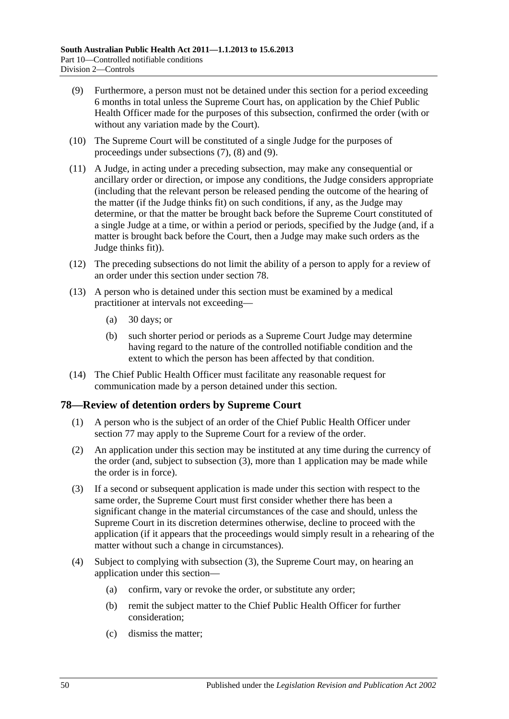- <span id="page-49-0"></span>(9) Furthermore, a person must not be detained under this section for a period exceeding 6 months in total unless the Supreme Court has, on application by the Chief Public Health Officer made for the purposes of this subsection, confirmed the order (with or without any variation made by the Court).
- (10) The Supreme Court will be constituted of a single Judge for the purposes of proceedings under [subsections](#page-48-0) (7), [\(8\)](#page-48-1) and [\(9\).](#page-49-0)
- (11) A Judge, in acting under a preceding subsection, may make any consequential or ancillary order or direction, or impose any conditions, the Judge considers appropriate (including that the relevant person be released pending the outcome of the hearing of the matter (if the Judge thinks fit) on such conditions, if any, as the Judge may determine, or that the matter be brought back before the Supreme Court constituted of a single Judge at a time, or within a period or periods, specified by the Judge (and, if a matter is brought back before the Court, then a Judge may make such orders as the Judge thinks fit)).
- (12) The preceding subsections do not limit the ability of a person to apply for a review of an order under this section under [section](#page-49-1) 78.
- (13) A person who is detained under this section must be examined by a medical practitioner at intervals not exceeding—
	- (a) 30 days; or
	- (b) such shorter period or periods as a Supreme Court Judge may determine having regard to the nature of the controlled notifiable condition and the extent to which the person has been affected by that condition.
- (14) The Chief Public Health Officer must facilitate any reasonable request for communication made by a person detained under this section.

# <span id="page-49-1"></span>**78—Review of detention orders by Supreme Court**

- (1) A person who is the subject of an order of the Chief Public Health Officer under [section](#page-47-1) 77 may apply to the Supreme Court for a review of the order.
- (2) An application under this section may be instituted at any time during the currency of the order (and, subject to [subsection](#page-49-2) (3), more than 1 application may be made while the order is in force).
- <span id="page-49-2"></span>(3) If a second or subsequent application is made under this section with respect to the same order, the Supreme Court must first consider whether there has been a significant change in the material circumstances of the case and should, unless the Supreme Court in its discretion determines otherwise, decline to proceed with the application (if it appears that the proceedings would simply result in a rehearing of the matter without such a change in circumstances).
- (4) Subject to complying with [subsection](#page-49-2) (3), the Supreme Court may, on hearing an application under this section—
	- (a) confirm, vary or revoke the order, or substitute any order;
	- (b) remit the subject matter to the Chief Public Health Officer for further consideration;
	- (c) dismiss the matter;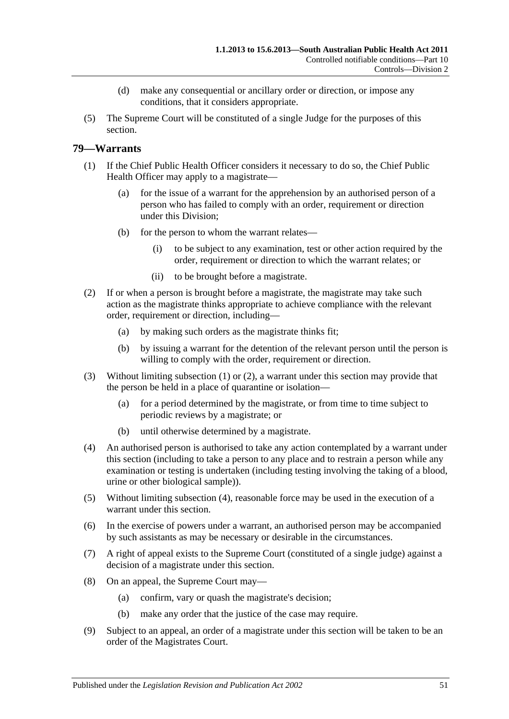- (d) make any consequential or ancillary order or direction, or impose any conditions, that it considers appropriate.
- (5) The Supreme Court will be constituted of a single Judge for the purposes of this section.

# <span id="page-50-0"></span>**79—Warrants**

- (1) If the Chief Public Health Officer considers it necessary to do so, the Chief Public Health Officer may apply to a magistrate—
	- (a) for the issue of a warrant for the apprehension by an authorised person of a person who has failed to comply with an order, requirement or direction under this Division;
	- (b) for the person to whom the warrant relates—
		- (i) to be subject to any examination, test or other action required by the order, requirement or direction to which the warrant relates; or
		- (ii) to be brought before a magistrate.
- <span id="page-50-1"></span>(2) If or when a person is brought before a magistrate, the magistrate may take such action as the magistrate thinks appropriate to achieve compliance with the relevant order, requirement or direction, including—
	- (a) by making such orders as the magistrate thinks fit;
	- (b) by issuing a warrant for the detention of the relevant person until the person is willing to comply with the order, requirement or direction.
- (3) Without limiting [subsection](#page-50-0) (1) or [\(2\),](#page-50-1) a warrant under this section may provide that the person be held in a place of quarantine or isolation—
	- (a) for a period determined by the magistrate, or from time to time subject to periodic reviews by a magistrate; or
	- (b) until otherwise determined by a magistrate.
- <span id="page-50-2"></span>(4) An authorised person is authorised to take any action contemplated by a warrant under this section (including to take a person to any place and to restrain a person while any examination or testing is undertaken (including testing involving the taking of a blood, urine or other biological sample)).
- (5) Without limiting [subsection](#page-50-2) (4), reasonable force may be used in the execution of a warrant under this section.
- (6) In the exercise of powers under a warrant, an authorised person may be accompanied by such assistants as may be necessary or desirable in the circumstances.
- (7) A right of appeal exists to the Supreme Court (constituted of a single judge) against a decision of a magistrate under this section.
- (8) On an appeal, the Supreme Court may—
	- (a) confirm, vary or quash the magistrate's decision;
	- (b) make any order that the justice of the case may require.
- (9) Subject to an appeal, an order of a magistrate under this section will be taken to be an order of the Magistrates Court.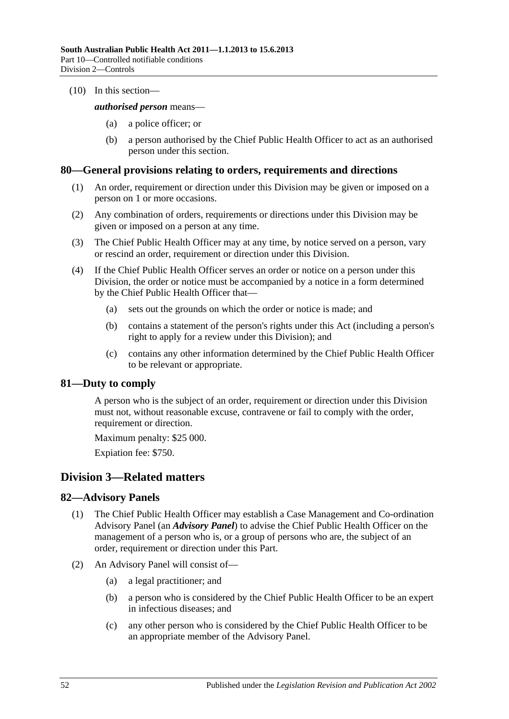(10) In this section—

#### *authorised person* means—

- (a) a police officer; or
- (b) a person authorised by the Chief Public Health Officer to act as an authorised person under this section.

#### **80—General provisions relating to orders, requirements and directions**

- (1) An order, requirement or direction under this Division may be given or imposed on a person on 1 or more occasions.
- (2) Any combination of orders, requirements or directions under this Division may be given or imposed on a person at any time.
- (3) The Chief Public Health Officer may at any time, by notice served on a person, vary or rescind an order, requirement or direction under this Division.
- (4) If the Chief Public Health Officer serves an order or notice on a person under this Division, the order or notice must be accompanied by a notice in a form determined by the Chief Public Health Officer that—
	- (a) sets out the grounds on which the order or notice is made; and
	- (b) contains a statement of the person's rights under this Act (including a person's right to apply for a review under this Division); and
	- (c) contains any other information determined by the Chief Public Health Officer to be relevant or appropriate.

# **81—Duty to comply**

A person who is the subject of an order, requirement or direction under this Division must not, without reasonable excuse, contravene or fail to comply with the order, requirement or direction.

Maximum penalty: \$25 000.

Expiation fee: \$750.

# **Division 3—Related matters**

# **82—Advisory Panels**

- (1) The Chief Public Health Officer may establish a Case Management and Co-ordination Advisory Panel (an *Advisory Panel*) to advise the Chief Public Health Officer on the management of a person who is, or a group of persons who are, the subject of an order, requirement or direction under this Part.
- (2) An Advisory Panel will consist of—
	- (a) a legal practitioner; and
	- (b) a person who is considered by the Chief Public Health Officer to be an expert in infectious diseases; and
	- (c) any other person who is considered by the Chief Public Health Officer to be an appropriate member of the Advisory Panel.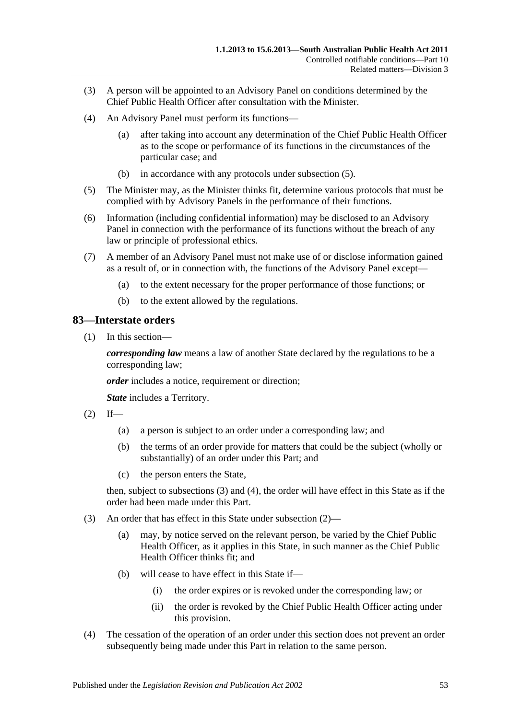- (3) A person will be appointed to an Advisory Panel on conditions determined by the Chief Public Health Officer after consultation with the Minister.
- (4) An Advisory Panel must perform its functions—
	- (a) after taking into account any determination of the Chief Public Health Officer as to the scope or performance of its functions in the circumstances of the particular case; and
	- (b) in accordance with any protocols under [subsection](#page-52-0) (5).
- <span id="page-52-0"></span>(5) The Minister may, as the Minister thinks fit, determine various protocols that must be complied with by Advisory Panels in the performance of their functions.
- (6) Information (including confidential information) may be disclosed to an Advisory Panel in connection with the performance of its functions without the breach of any law or principle of professional ethics.
- (7) A member of an Advisory Panel must not make use of or disclose information gained as a result of, or in connection with, the functions of the Advisory Panel except—
	- (a) to the extent necessary for the proper performance of those functions; or
	- (b) to the extent allowed by the regulations.

# **83—Interstate orders**

(1) In this section—

*corresponding law* means a law of another State declared by the regulations to be a corresponding law;

*order* includes a notice, requirement or direction;

*State* includes a Territory.

- <span id="page-52-3"></span> $(2)$  If—
	- (a) a person is subject to an order under a corresponding law; and
	- (b) the terms of an order provide for matters that could be the subject (wholly or substantially) of an order under this Part; and
	- (c) the person enters the State,

then, subject to [subsections](#page-52-1) (3) and [\(4\),](#page-52-2) the order will have effect in this State as if the order had been made under this Part.

- <span id="page-52-1"></span>(3) An order that has effect in this State under [subsection](#page-52-3) (2)—
	- (a) may, by notice served on the relevant person, be varied by the Chief Public Health Officer, as it applies in this State, in such manner as the Chief Public Health Officer thinks fit; and
	- (b) will cease to have effect in this State if—
		- (i) the order expires or is revoked under the corresponding law; or
		- (ii) the order is revoked by the Chief Public Health Officer acting under this provision.
- <span id="page-52-2"></span>(4) The cessation of the operation of an order under this section does not prevent an order subsequently being made under this Part in relation to the same person.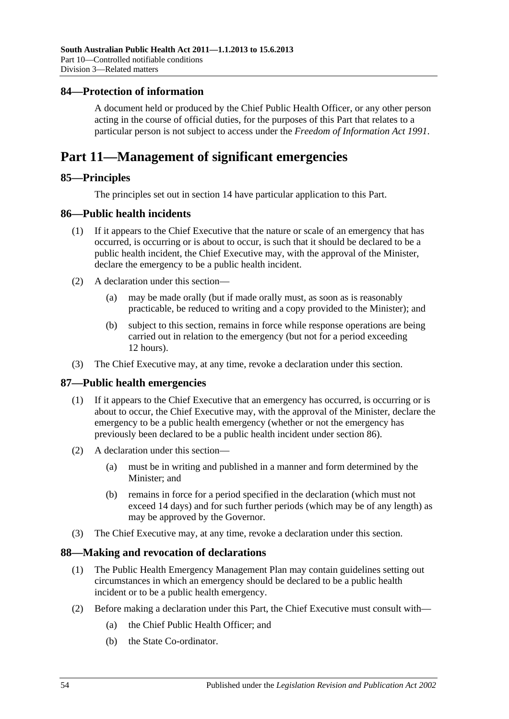## **84—Protection of information**

A document held or produced by the Chief Public Health Officer, or any other person acting in the course of official duties, for the purposes of this Part that relates to a particular person is not subject to access under the *[Freedom of Information Act](http://www.legislation.sa.gov.au/index.aspx?action=legref&type=act&legtitle=Freedom%20of%20Information%20Act%201991) 1991*.

# **Part 11—Management of significant emergencies**

## **85—Principles**

The principles set out in [section](#page-9-0) 14 have particular application to this Part.

## <span id="page-53-0"></span>**86—Public health incidents**

- (1) If it appears to the Chief Executive that the nature or scale of an emergency that has occurred, is occurring or is about to occur, is such that it should be declared to be a public health incident, the Chief Executive may, with the approval of the Minister, declare the emergency to be a public health incident.
- (2) A declaration under this section—
	- (a) may be made orally (but if made orally must, as soon as is reasonably practicable, be reduced to writing and a copy provided to the Minister); and
	- (b) subject to this section, remains in force while response operations are being carried out in relation to the emergency (but not for a period exceeding 12 hours).
- (3) The Chief Executive may, at any time, revoke a declaration under this section.

#### **87—Public health emergencies**

- (1) If it appears to the Chief Executive that an emergency has occurred, is occurring or is about to occur, the Chief Executive may, with the approval of the Minister, declare the emergency to be a public health emergency (whether or not the emergency has previously been declared to be a public health incident under [section](#page-53-0) 86).
- (2) A declaration under this section—
	- (a) must be in writing and published in a manner and form determined by the Minister; and
	- (b) remains in force for a period specified in the declaration (which must not exceed 14 days) and for such further periods (which may be of any length) as may be approved by the Governor.
- (3) The Chief Executive may, at any time, revoke a declaration under this section.

#### **88—Making and revocation of declarations**

- (1) The Public Health Emergency Management Plan may contain guidelines setting out circumstances in which an emergency should be declared to be a public health incident or to be a public health emergency.
- (2) Before making a declaration under this Part, the Chief Executive must consult with—
	- (a) the Chief Public Health Officer; and
	- (b) the State Co-ordinator.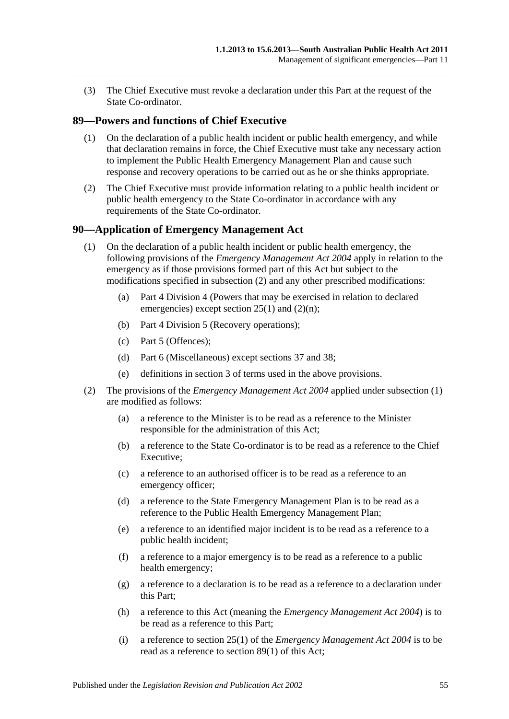(3) The Chief Executive must revoke a declaration under this Part at the request of the State Co-ordinator.

# <span id="page-54-2"></span>**89—Powers and functions of Chief Executive**

- (1) On the declaration of a public health incident or public health emergency, and while that declaration remains in force, the Chief Executive must take any necessary action to implement the Public Health Emergency Management Plan and cause such response and recovery operations to be carried out as he or she thinks appropriate.
- (2) The Chief Executive must provide information relating to a public health incident or public health emergency to the State Co-ordinator in accordance with any requirements of the State Co-ordinator.

## <span id="page-54-1"></span>**90—Application of Emergency Management Act**

- (1) On the declaration of a public health incident or public health emergency, the following provisions of the *[Emergency Management Act](http://www.legislation.sa.gov.au/index.aspx?action=legref&type=act&legtitle=Emergency%20Management%20Act%202004) 2004* apply in relation to the emergency as if those provisions formed part of this Act but subject to the modifications specified in [subsection](#page-54-0) (2) and any other prescribed modifications:
	- (a) Part 4 Division 4 (Powers that may be exercised in relation to declared emergencies) except section 25(1) and (2)(n);
	- (b) Part 4 Division 5 (Recovery operations);
	- (c) Part 5 (Offences);
	- (d) Part 6 (Miscellaneous) except sections 37 and 38;
	- (e) definitions in section 3 of terms used in the above provisions.
- <span id="page-54-0"></span>(2) The provisions of the *[Emergency Management Act](http://www.legislation.sa.gov.au/index.aspx?action=legref&type=act&legtitle=Emergency%20Management%20Act%202004) 2004* applied under [subsection](#page-54-1) (1) are modified as follows:
	- (a) a reference to the Minister is to be read as a reference to the Minister responsible for the administration of this Act;
	- (b) a reference to the State Co-ordinator is to be read as a reference to the Chief Executive;
	- (c) a reference to an authorised officer is to be read as a reference to an emergency officer;
	- (d) a reference to the State Emergency Management Plan is to be read as a reference to the Public Health Emergency Management Plan;
	- (e) a reference to an identified major incident is to be read as a reference to a public health incident;
	- (f) a reference to a major emergency is to be read as a reference to a public health emergency;
	- (g) a reference to a declaration is to be read as a reference to a declaration under this Part;
	- (h) a reference to this Act (meaning the *[Emergency Management Act](http://www.legislation.sa.gov.au/index.aspx?action=legref&type=act&legtitle=Emergency%20Management%20Act%202004) 2004*) is to be read as a reference to this Part;
	- (i) a reference to section 25(1) of the *[Emergency Management Act](http://www.legislation.sa.gov.au/index.aspx?action=legref&type=act&legtitle=Emergency%20Management%20Act%202004) 2004* is to be read as a reference to [section](#page-54-2) 89(1) of this Act;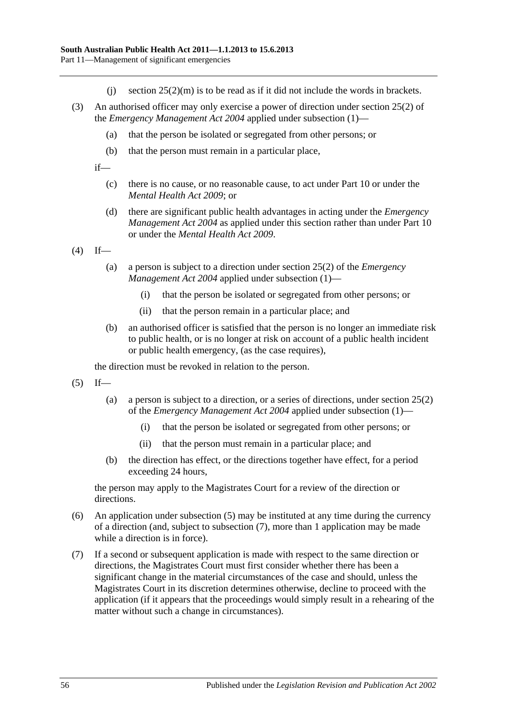- (i) section  $25(2)(m)$  is to be read as if it did not include the words in brackets.
- (3) An authorised officer may only exercise a power of direction under section 25(2) of the *[Emergency Management Act](http://www.legislation.sa.gov.au/index.aspx?action=legref&type=act&legtitle=Emergency%20Management%20Act%202004) 2004* applied under [subsection](#page-54-1) (1)—
	- (a) that the person be isolated or segregated from other persons; or
	- (b) that the person must remain in a particular place,

if—

- (c) there is no cause, or no reasonable cause, to act under [Part](#page-41-2) 10 or under the *[Mental Health Act](http://www.legislation.sa.gov.au/index.aspx?action=legref&type=act&legtitle=Mental%20Health%20Act%202009) 2009*; or
- (d) there are significant public health advantages in acting under the *[Emergency](http://www.legislation.sa.gov.au/index.aspx?action=legref&type=act&legtitle=Emergency%20Management%20Act%202004)  [Management Act](http://www.legislation.sa.gov.au/index.aspx?action=legref&type=act&legtitle=Emergency%20Management%20Act%202004) 2004* as applied under this section rather than under [Part](#page-41-2) 10 or under the *[Mental Health Act](http://www.legislation.sa.gov.au/index.aspx?action=legref&type=act&legtitle=Mental%20Health%20Act%202009) 2009*.

 $(4)$  If—

- (a) a person is subject to a direction under section 25(2) of the *[Emergency](http://www.legislation.sa.gov.au/index.aspx?action=legref&type=act&legtitle=Emergency%20Management%20Act%202004)  [Management Act](http://www.legislation.sa.gov.au/index.aspx?action=legref&type=act&legtitle=Emergency%20Management%20Act%202004) 2004* applied under [subsection](#page-54-1) (1)—
	- (i) that the person be isolated or segregated from other persons; or
	- (ii) that the person remain in a particular place; and
- (b) an authorised officer is satisfied that the person is no longer an immediate risk to public health, or is no longer at risk on account of a public health incident or public health emergency, (as the case requires),

the direction must be revoked in relation to the person.

- <span id="page-55-0"></span> $(5)$  If—
	- (a) a person is subject to a direction, or a series of directions, under section 25(2) of the *[Emergency Management Act](http://www.legislation.sa.gov.au/index.aspx?action=legref&type=act&legtitle=Emergency%20Management%20Act%202004) 2004* applied under [subsection](#page-54-1) (1)—
		- (i) that the person be isolated or segregated from other persons; or
		- (ii) that the person must remain in a particular place; and
	- (b) the direction has effect, or the directions together have effect, for a period exceeding 24 hours,

the person may apply to the Magistrates Court for a review of the direction or directions.

- (6) An application under [subsection](#page-55-0) (5) may be instituted at any time during the currency of a direction (and, subject to [subsection](#page-55-1) (7), more than 1 application may be made while a direction is in force).
- <span id="page-55-1"></span>(7) If a second or subsequent application is made with respect to the same direction or directions, the Magistrates Court must first consider whether there has been a significant change in the material circumstances of the case and should, unless the Magistrates Court in its discretion determines otherwise, decline to proceed with the application (if it appears that the proceedings would simply result in a rehearing of the matter without such a change in circumstances).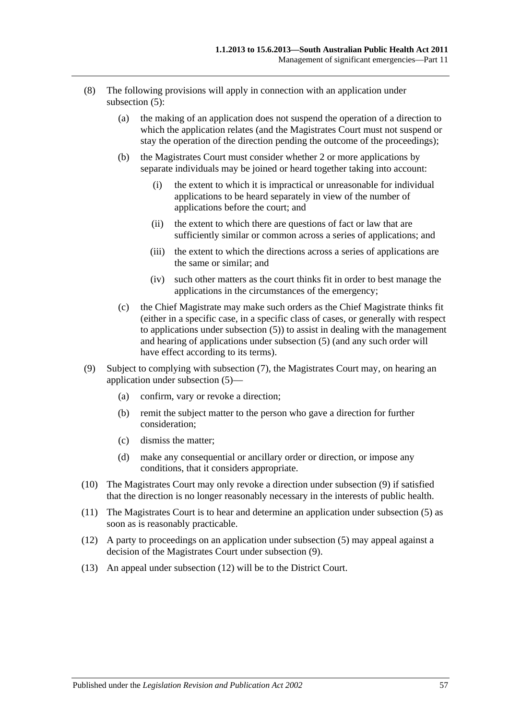- (8) The following provisions will apply in connection with an application under [subsection](#page-55-0) (5):
	- (a) the making of an application does not suspend the operation of a direction to which the application relates (and the Magistrates Court must not suspend or stay the operation of the direction pending the outcome of the proceedings);
	- (b) the Magistrates Court must consider whether 2 or more applications by separate individuals may be joined or heard together taking into account:
		- (i) the extent to which it is impractical or unreasonable for individual applications to be heard separately in view of the number of applications before the court; and
		- (ii) the extent to which there are questions of fact or law that are sufficiently similar or common across a series of applications; and
		- (iii) the extent to which the directions across a series of applications are the same or similar; and
		- (iv) such other matters as the court thinks fit in order to best manage the applications in the circumstances of the emergency;
	- (c) the Chief Magistrate may make such orders as the Chief Magistrate thinks fit (either in a specific case, in a specific class of cases, or generally with respect to applications under [subsection](#page-55-0) (5)) to assist in dealing with the management and hearing of applications under [subsection](#page-55-0) (5) (and any such order will have effect according to its terms).
- <span id="page-56-0"></span>(9) Subject to complying with [subsection](#page-55-1) (7), the Magistrates Court may, on hearing an application under [subsection](#page-55-0) (5)—
	- (a) confirm, vary or revoke a direction;
	- (b) remit the subject matter to the person who gave a direction for further consideration;
	- (c) dismiss the matter;
	- (d) make any consequential or ancillary order or direction, or impose any conditions, that it considers appropriate.
- (10) The Magistrates Court may only revoke a direction under [subsection](#page-56-0) (9) if satisfied that the direction is no longer reasonably necessary in the interests of public health.
- (11) The Magistrates Court is to hear and determine an application under [subsection](#page-55-0) (5) as soon as is reasonably practicable.
- <span id="page-56-1"></span>(12) A party to proceedings on an application under [subsection](#page-55-0) (5) may appeal against a decision of the Magistrates Court under [subsection](#page-56-0) (9).
- (13) An appeal under [subsection](#page-56-1) (12) will be to the District Court.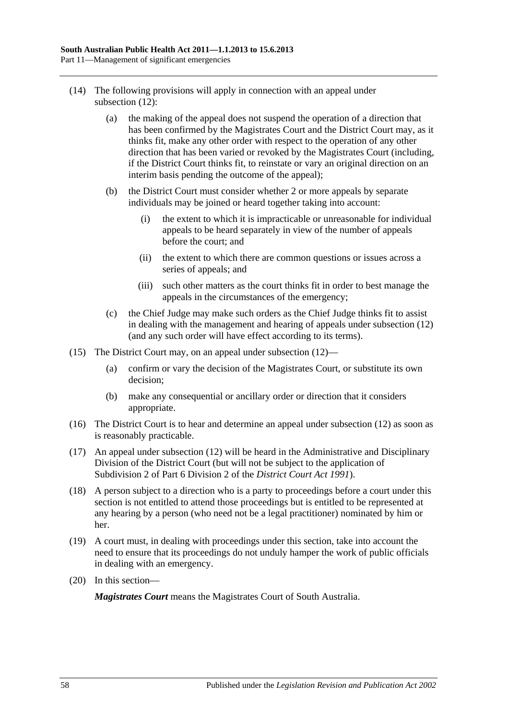- (14) The following provisions will apply in connection with an appeal under [subsection](#page-56-1) (12):
	- (a) the making of the appeal does not suspend the operation of a direction that has been confirmed by the Magistrates Court and the District Court may, as it thinks fit, make any other order with respect to the operation of any other direction that has been varied or revoked by the Magistrates Court (including, if the District Court thinks fit, to reinstate or vary an original direction on an interim basis pending the outcome of the appeal);
	- (b) the District Court must consider whether 2 or more appeals by separate individuals may be joined or heard together taking into account:
		- (i) the extent to which it is impracticable or unreasonable for individual appeals to be heard separately in view of the number of appeals before the court; and
		- (ii) the extent to which there are common questions or issues across a series of appeals; and
		- (iii) such other matters as the court thinks fit in order to best manage the appeals in the circumstances of the emergency;
	- (c) the Chief Judge may make such orders as the Chief Judge thinks fit to assist in dealing with the management and hearing of appeals under [subsection](#page-56-1) (12) (and any such order will have effect according to its terms).
- (15) The District Court may, on an appeal under [subsection](#page-56-1) (12)—
	- (a) confirm or vary the decision of the Magistrates Court, or substitute its own decision;
	- (b) make any consequential or ancillary order or direction that it considers appropriate.
- (16) The District Court is to hear and determine an appeal under [subsection](#page-56-1) (12) as soon as is reasonably practicable.
- (17) An appeal under [subsection](#page-56-1) (12) will be heard in the Administrative and Disciplinary Division of the District Court (but will not be subject to the application of Subdivision 2 of Part 6 Division 2 of the *[District Court Act](http://www.legislation.sa.gov.au/index.aspx?action=legref&type=act&legtitle=District%20Court%20Act%201991) 1991*).
- (18) A person subject to a direction who is a party to proceedings before a court under this section is not entitled to attend those proceedings but is entitled to be represented at any hearing by a person (who need not be a legal practitioner) nominated by him or her.
- (19) A court must, in dealing with proceedings under this section, take into account the need to ensure that its proceedings do not unduly hamper the work of public officials in dealing with an emergency.
- (20) In this section—

*Magistrates Court* means the Magistrates Court of South Australia.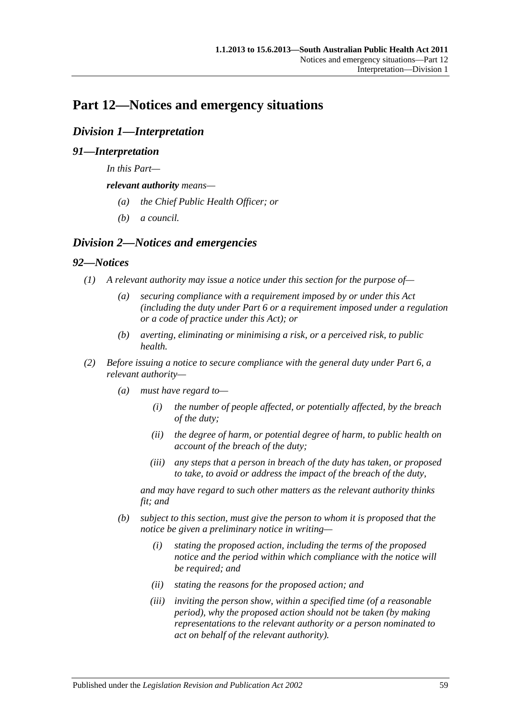# **Part 12—Notices and emergency situations**

# *Division 1—Interpretation*

# *91—Interpretation*

*In this Part—*

*relevant authority means—*

- *(a) the Chief Public Health Officer; or*
- *(b) a council.*

# *Division 2—Notices and emergencies*

## *92—Notices*

- *(1) A relevant authority may issue a notice under this section for the purpose of—*
	- *(a) securing compliance with a requirement imposed by or under this Act (including the duty under [Part](#page-33-0) 6 or a requirement imposed under a regulation or a code of practice under this Act); or*
	- *(b) averting, eliminating or minimising a risk, or a perceived risk, to public health.*
- *(2) Before issuing a notice to secure compliance with the general duty under [Part](#page-33-0) 6, a relevant authority—*
	- *(a) must have regard to—*
		- *(i) the number of people affected, or potentially affected, by the breach of the duty;*
		- *(ii) the degree of harm, or potential degree of harm, to public health on account of the breach of the duty;*
		- *(iii) any steps that a person in breach of the duty has taken, or proposed to take, to avoid or address the impact of the breach of the duty,*

*and may have regard to such other matters as the relevant authority thinks fit; and*

- <span id="page-58-0"></span>*(b) subject to this section, must give the person to whom it is proposed that the notice be given a preliminary notice in writing—*
	- *(i) stating the proposed action, including the terms of the proposed notice and the period within which compliance with the notice will be required; and*
	- *(ii) stating the reasons for the proposed action; and*
	- *(iii) inviting the person show, within a specified time (of a reasonable period), why the proposed action should not be taken (by making representations to the relevant authority or a person nominated to act on behalf of the relevant authority).*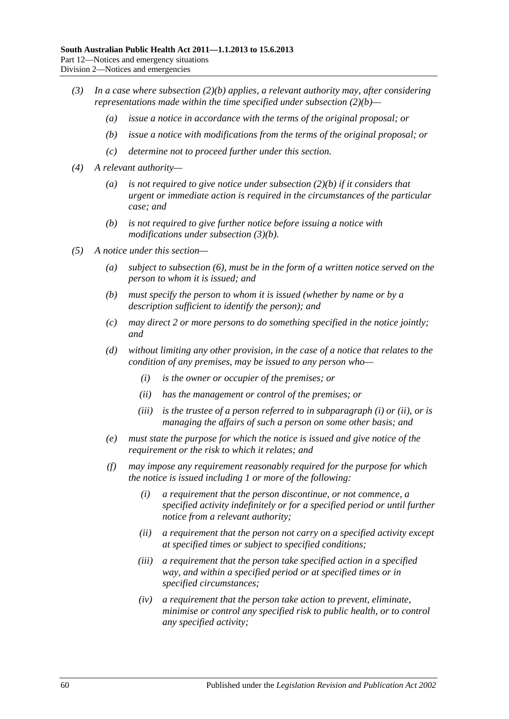- <span id="page-59-0"></span>*(3) In a case where [subsection](#page-58-0) (2)(b) applies, a relevant authority may, after considering representations made within the time specified under [subsection](#page-58-0) (2)(b)—*
	- *(a) issue a notice in accordance with the terms of the original proposal; or*
	- *(b) issue a notice with modifications from the terms of the original proposal; or*
	- *(c) determine not to proceed further under this section.*
- *(4) A relevant authority—*
	- *(a) is not required to give notice under [subsection](#page-58-0) (2)(b) if it considers that urgent or immediate action is required in the circumstances of the particular case; and*
	- *(b) is not required to give further notice before issuing a notice with modifications under [subsection](#page-59-0) (3)(b).*
- <span id="page-59-3"></span><span id="page-59-2"></span><span id="page-59-1"></span>*(5) A notice under this section—*
	- *(a) subject to [subsection](#page-60-0) (6), must be in the form of a written notice served on the person to whom it is issued; and*
	- *(b) must specify the person to whom it is issued (whether by name or by a description sufficient to identify the person); and*
	- *(c) may direct 2 or more persons to do something specified in the notice jointly; and*
	- *(d) without limiting any other provision, in the case of a notice that relates to the condition of any premises, may be issued to any person who—*
		- *(i) is the owner or occupier of the premises; or*
		- *(ii) has the management or control of the premises; or*
		- *(iii) is the trustee of a person referred to in [subparagraph](#page-59-1) (i) or [\(ii\),](#page-59-2) or is managing the affairs of such a person on some other basis; and*
	- *(e) must state the purpose for which the notice is issued and give notice of the requirement or the risk to which it relates; and*
	- *(f) may impose any requirement reasonably required for the purpose for which the notice is issued including 1 or more of the following:*
		- *(i) a requirement that the person discontinue, or not commence, a specified activity indefinitely or for a specified period or until further notice from a relevant authority;*
		- *(ii) a requirement that the person not carry on a specified activity except at specified times or subject to specified conditions;*
		- *(iii) a requirement that the person take specified action in a specified way, and within a specified period or at specified times or in specified circumstances;*
		- *(iv) a requirement that the person take action to prevent, eliminate, minimise or control any specified risk to public health, or to control any specified activity;*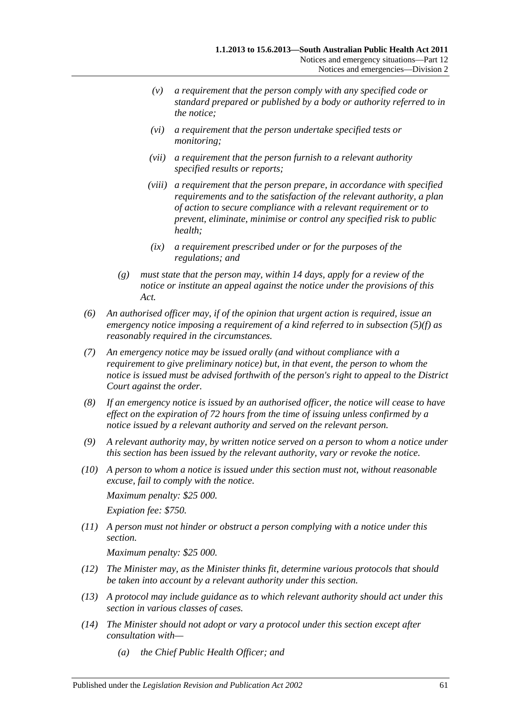- *(v) a requirement that the person comply with any specified code or standard prepared or published by a body or authority referred to in the notice;*
- *(vi) a requirement that the person undertake specified tests or monitoring;*
- *(vii) a requirement that the person furnish to a relevant authority specified results or reports;*
- *(viii) a requirement that the person prepare, in accordance with specified requirements and to the satisfaction of the relevant authority, a plan of action to secure compliance with a relevant requirement or to prevent, eliminate, minimise or control any specified risk to public health;*
- *(ix) a requirement prescribed under or for the purposes of the regulations; and*
- *(g) must state that the person may, within 14 days, apply for a review of the notice or institute an appeal against the notice under the provisions of this Act.*
- <span id="page-60-0"></span>*(6) An authorised officer may, if of the opinion that urgent action is required, issue an emergency notice imposing a requirement of a kind referred to in [subsection](#page-59-3) (5)(f) as reasonably required in the circumstances.*
- *(7) An emergency notice may be issued orally (and without compliance with a requirement to give preliminary notice) but, in that event, the person to whom the notice is issued must be advised forthwith of the person's right to appeal to the District Court against the order.*
- *(8) If an emergency notice is issued by an authorised officer, the notice will cease to have effect on the expiration of 72 hours from the time of issuing unless confirmed by a notice issued by a relevant authority and served on the relevant person.*
- *(9) A relevant authority may, by written notice served on a person to whom a notice under this section has been issued by the relevant authority, vary or revoke the notice.*
- *(10) A person to whom a notice is issued under this section must not, without reasonable excuse, fail to comply with the notice.*

*Maximum penalty: \$25 000. Expiation fee: \$750.*

*(11) A person must not hinder or obstruct a person complying with a notice under this section.*

*Maximum penalty: \$25 000.*

- *(12) The Minister may, as the Minister thinks fit, determine various protocols that should be taken into account by a relevant authority under this section.*
- *(13) A protocol may include guidance as to which relevant authority should act under this section in various classes of cases.*
- *(14) The Minister should not adopt or vary a protocol under this section except after consultation with—*
	- *(a) the Chief Public Health Officer; and*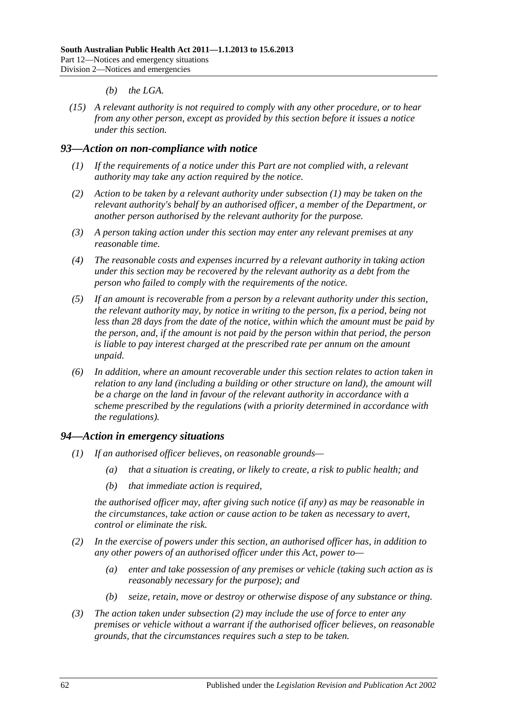- *(b) the LGA.*
- *(15) A relevant authority is not required to comply with any other procedure, or to hear from any other person, except as provided by this section before it issues a notice under this section.*

#### <span id="page-61-0"></span>*93—Action on non-compliance with notice*

- *(1) If the requirements of a notice under this Part are not complied with, a relevant authority may take any action required by the notice.*
- *(2) Action to be taken by a relevant authority under [subsection](#page-61-0) (1) may be taken on the relevant authority's behalf by an authorised officer, a member of the Department, or another person authorised by the relevant authority for the purpose.*
- *(3) A person taking action under this section may enter any relevant premises at any reasonable time.*
- *(4) The reasonable costs and expenses incurred by a relevant authority in taking action under this section may be recovered by the relevant authority as a debt from the person who failed to comply with the requirements of the notice.*
- *(5) If an amount is recoverable from a person by a relevant authority under this section, the relevant authority may, by notice in writing to the person, fix a period, being not less than 28 days from the date of the notice, within which the amount must be paid by the person, and, if the amount is not paid by the person within that period, the person is liable to pay interest charged at the prescribed rate per annum on the amount unpaid.*
- *(6) In addition, where an amount recoverable under this section relates to action taken in relation to any land (including a building or other structure on land), the amount will be a charge on the land in favour of the relevant authority in accordance with a scheme prescribed by the regulations (with a priority determined in accordance with the regulations).*

#### *94—Action in emergency situations*

- *(1) If an authorised officer believes, on reasonable grounds—*
	- *(a) that a situation is creating, or likely to create, a risk to public health; and*
	- *(b) that immediate action is required,*

*the authorised officer may, after giving such notice (if any) as may be reasonable in the circumstances, take action or cause action to be taken as necessary to avert, control or eliminate the risk.*

- <span id="page-61-1"></span>*(2) In the exercise of powers under this section, an authorised officer has, in addition to any other powers of an authorised officer under this Act, power to—*
	- *(a) enter and take possession of any premises or vehicle (taking such action as is reasonably necessary for the purpose); and*
	- *(b) seize, retain, move or destroy or otherwise dispose of any substance or thing.*
- *(3) The action taken under [subsection](#page-61-1) (2) may include the use of force to enter any premises or vehicle without a warrant if the authorised officer believes, on reasonable grounds, that the circumstances requires such a step to be taken.*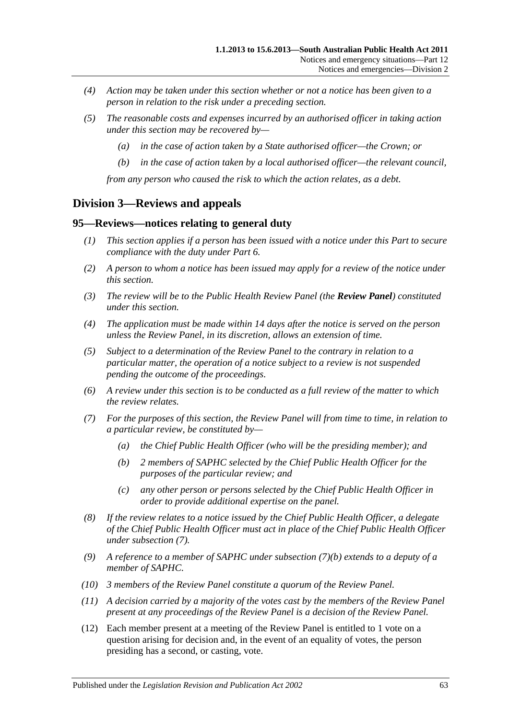- *(4) Action may be taken under this section whether or not a notice has been given to a person in relation to the risk under a preceding section.*
- *(5) The reasonable costs and expenses incurred by an authorised officer in taking action under this section may be recovered by—*
	- *(a) in the case of action taken by a State authorised officer—the Crown; or*
	- *(b) in the case of action taken by a local authorised officer—the relevant council,*

*from any person who caused the risk to which the action relates, as a debt.*

# **Division 3—Reviews and appeals**

#### **95—Reviews—notices relating to general duty**

- *(1) This section applies if a person has been issued with a notice under this Part to secure compliance with the duty under [Part](#page-33-0) 6.*
- *(2) A person to whom a notice has been issued may apply for a review of the notice under this section.*
- *(3) The review will be to the Public Health Review Panel (the Review Panel) constituted under this section.*
- *(4) The application must be made within 14 days after the notice is served on the person unless the Review Panel, in its discretion, allows an extension of time.*
- *(5) Subject to a determination of the Review Panel to the contrary in relation to a particular matter, the operation of a notice subject to a review is not suspended pending the outcome of the proceedings.*
- *(6) A review under this section is to be conducted as a full review of the matter to which the review relates.*
- <span id="page-62-1"></span><span id="page-62-0"></span>*(7) For the purposes of this section, the Review Panel will from time to time, in relation to a particular review, be constituted by—*
	- *(a) the Chief Public Health Officer (who will be the presiding member); and*
	- *(b) 2 members of SAPHC selected by the Chief Public Health Officer for the purposes of the particular review; and*
	- *(c) any other person or persons selected by the Chief Public Health Officer in order to provide additional expertise on the panel.*
- *(8) If the review relates to a notice issued by the Chief Public Health Officer, a delegate of the Chief Public Health Officer must act in place of the Chief Public Health Officer under [subsection](#page-62-0) (7).*
- *(9) A reference to a member of SAPHC under [subsection](#page-62-1) (7)(b) extends to a deputy of a member of SAPHC.*
- *(10) 3 members of the Review Panel constitute a quorum of the Review Panel.*
- *(11) A decision carried by a majority of the votes cast by the members of the Review Panel present at any proceedings of the Review Panel is a decision of the Review Panel.*
- (12) Each member present at a meeting of the Review Panel is entitled to 1 vote on a question arising for decision and, in the event of an equality of votes, the person presiding has a second, or casting, vote.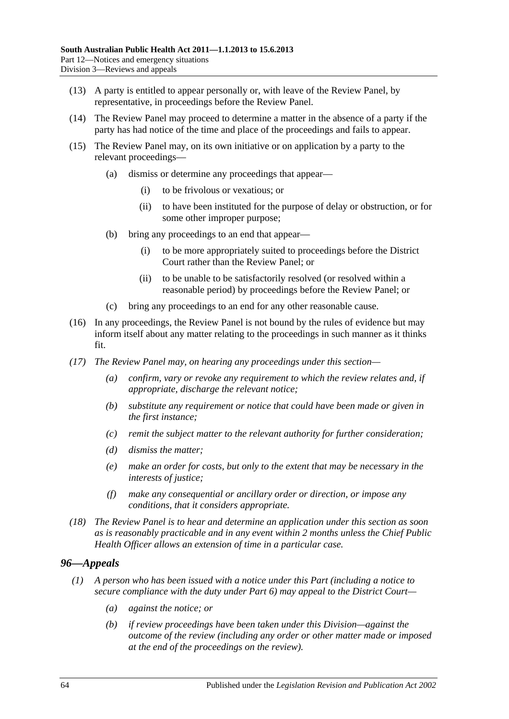- (13) A party is entitled to appear personally or, with leave of the Review Panel, by representative, in proceedings before the Review Panel.
- (14) The Review Panel may proceed to determine a matter in the absence of a party if the party has had notice of the time and place of the proceedings and fails to appear.
- (15) The Review Panel may, on its own initiative or on application by a party to the relevant proceedings—
	- (a) dismiss or determine any proceedings that appear—
		- (i) to be frivolous or vexatious; or
		- (ii) to have been instituted for the purpose of delay or obstruction, or for some other improper purpose;
	- (b) bring any proceedings to an end that appear—
		- (i) to be more appropriately suited to proceedings before the District Court rather than the Review Panel; or
		- (ii) to be unable to be satisfactorily resolved (or resolved within a reasonable period) by proceedings before the Review Panel; or
	- (c) bring any proceedings to an end for any other reasonable cause.
- (16) In any proceedings, the Review Panel is not bound by the rules of evidence but may inform itself about any matter relating to the proceedings in such manner as it thinks fit.
- *(17) The Review Panel may, on hearing any proceedings under this section—*
	- *(a) confirm, vary or revoke any requirement to which the review relates and, if appropriate, discharge the relevant notice;*
	- *(b) substitute any requirement or notice that could have been made or given in the first instance;*
	- *(c) remit the subject matter to the relevant authority for further consideration;*
	- *(d) dismiss the matter;*
	- *(e) make an order for costs, but only to the extent that may be necessary in the interests of justice;*
	- *(f) make any consequential or ancillary order or direction, or impose any conditions, that it considers appropriate.*
- *(18) The Review Panel is to hear and determine an application under this section as soon as is reasonably practicable and in any event within 2 months unless the Chief Public Health Officer allows an extension of time in a particular case.*

# *96—Appeals*

- <span id="page-63-1"></span><span id="page-63-0"></span>*(1) A person who has been issued with a notice under this Part (including a notice to secure compliance with the duty under [Part](#page-33-0) 6) may appeal to the District Court—*
	- *(a) against the notice; or*
	- *(b) if review proceedings have been taken under this Division—against the outcome of the review (including any order or other matter made or imposed at the end of the proceedings on the review).*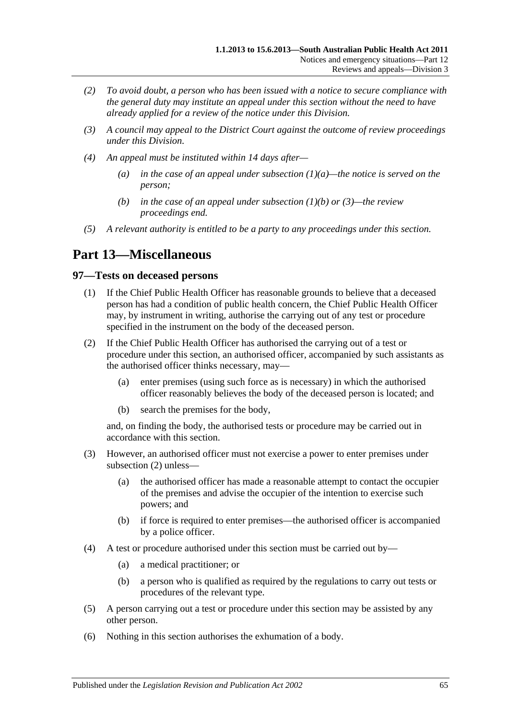- *(2) To avoid doubt, a person who has been issued with a notice to secure compliance with the general duty may institute an appeal under this section without the need to have already applied for a review of the notice under this Division.*
- <span id="page-64-0"></span>*(3) A council may appeal to the District Court against the outcome of review proceedings under this Division.*
- *(4) An appeal must be instituted within 14 days after—*
	- *(a) in the case of an appeal under [subsection](#page-63-0) (1)(a)—the notice is served on the person;*
	- *(b) in the case of an appeal under [subsection](#page-63-1) (1)(b) or [\(3\)—](#page-64-0)the review proceedings end.*
- *(5) A relevant authority is entitled to be a party to any proceedings under this section.*

# **Part 13—Miscellaneous**

## **97—Tests on deceased persons**

- (1) If the Chief Public Health Officer has reasonable grounds to believe that a deceased person has had a condition of public health concern, the Chief Public Health Officer may, by instrument in writing, authorise the carrying out of any test or procedure specified in the instrument on the body of the deceased person.
- <span id="page-64-1"></span>(2) If the Chief Public Health Officer has authorised the carrying out of a test or procedure under this section, an authorised officer, accompanied by such assistants as the authorised officer thinks necessary, may—
	- (a) enter premises (using such force as is necessary) in which the authorised officer reasonably believes the body of the deceased person is located; and
	- (b) search the premises for the body,

and, on finding the body, the authorised tests or procedure may be carried out in accordance with this section.

- (3) However, an authorised officer must not exercise a power to enter premises under [subsection](#page-64-1) (2) unless—
	- (a) the authorised officer has made a reasonable attempt to contact the occupier of the premises and advise the occupier of the intention to exercise such powers; and
	- (b) if force is required to enter premises—the authorised officer is accompanied by a police officer.
- (4) A test or procedure authorised under this section must be carried out by—
	- (a) a medical practitioner; or
	- (b) a person who is qualified as required by the regulations to carry out tests or procedures of the relevant type.
- (5) A person carrying out a test or procedure under this section may be assisted by any other person.
- (6) Nothing in this section authorises the exhumation of a body.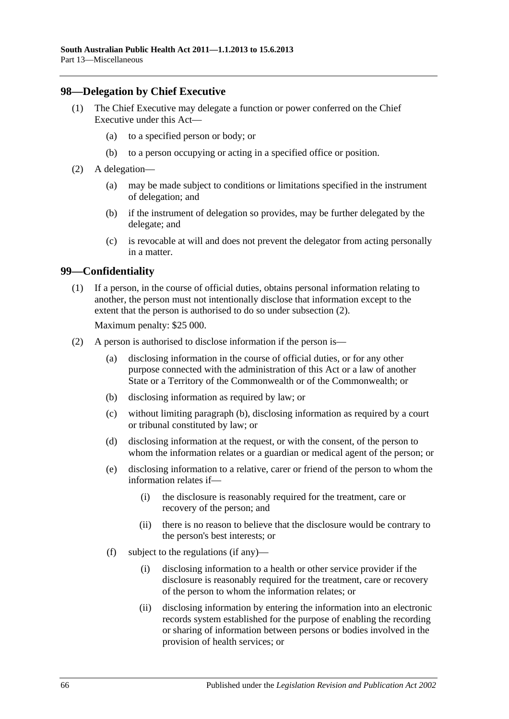# **98—Delegation by Chief Executive**

- (1) The Chief Executive may delegate a function or power conferred on the Chief Executive under this Act—
	- (a) to a specified person or body; or
	- (b) to a person occupying or acting in a specified office or position.
- (2) A delegation—
	- (a) may be made subject to conditions or limitations specified in the instrument of delegation; and
	- (b) if the instrument of delegation so provides, may be further delegated by the delegate; and
	- (c) is revocable at will and does not prevent the delegator from acting personally in a matter.

## **99—Confidentiality**

(1) If a person, in the course of official duties, obtains personal information relating to another, the person must not intentionally disclose that information except to the extent that the person is authorised to do so under [subsection](#page-65-0) (2).

Maximum penalty: \$25 000.

- <span id="page-65-2"></span><span id="page-65-1"></span><span id="page-65-0"></span>(2) A person is authorised to disclose information if the person is—
	- (a) disclosing information in the course of official duties, or for any other purpose connected with the administration of this Act or a law of another State or a Territory of the Commonwealth or of the Commonwealth; or
	- (b) disclosing information as required by law; or
	- (c) without limiting [paragraph](#page-65-1) (b), disclosing information as required by a court or tribunal constituted by law; or
	- (d) disclosing information at the request, or with the consent, of the person to whom the information relates or a guardian or medical agent of the person; or
	- (e) disclosing information to a relative, carer or friend of the person to whom the information relates if—
		- (i) the disclosure is reasonably required for the treatment, care or recovery of the person; and
		- (ii) there is no reason to believe that the disclosure would be contrary to the person's best interests; or
	- (f) subject to the regulations (if any)—
		- (i) disclosing information to a health or other service provider if the disclosure is reasonably required for the treatment, care or recovery of the person to whom the information relates; or
		- (ii) disclosing information by entering the information into an electronic records system established for the purpose of enabling the recording or sharing of information between persons or bodies involved in the provision of health services; or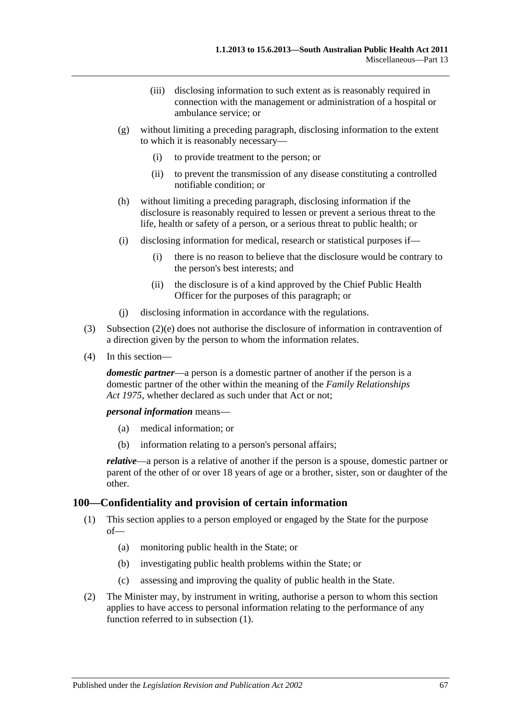- (iii) disclosing information to such extent as is reasonably required in connection with the management or administration of a hospital or ambulance service; or
- (g) without limiting a preceding paragraph, disclosing information to the extent to which it is reasonably necessary—
	- (i) to provide treatment to the person; or
	- (ii) to prevent the transmission of any disease constituting a controlled notifiable condition; or
- (h) without limiting a preceding paragraph, disclosing information if the disclosure is reasonably required to lessen or prevent a serious threat to the life, health or safety of a person, or a serious threat to public health; or
- (i) disclosing information for medical, research or statistical purposes if—
	- (i) there is no reason to believe that the disclosure would be contrary to the person's best interests; and
	- (ii) the disclosure is of a kind approved by the Chief Public Health Officer for the purposes of this paragraph; or
- (j) disclosing information in accordance with the regulations.
- (3) [Subsection](#page-65-2) (2)(e) does not authorise the disclosure of information in contravention of a direction given by the person to whom the information relates.
- (4) In this section—

*domestic partner*—a person is a domestic partner of another if the person is a domestic partner of the other within the meaning of the *[Family Relationships](http://www.legislation.sa.gov.au/index.aspx?action=legref&type=act&legtitle=Family%20Relationships%20Act%201975)  Act [1975](http://www.legislation.sa.gov.au/index.aspx?action=legref&type=act&legtitle=Family%20Relationships%20Act%201975)*, whether declared as such under that Act or not;

*personal information* means—

- (a) medical information; or
- (b) information relating to a person's personal affairs;

*relative*—a person is a relative of another if the person is a spouse, domestic partner or parent of the other of or over 18 years of age or a brother, sister, son or daughter of the other.

#### <span id="page-66-0"></span>**100—Confidentiality and provision of certain information**

- (1) This section applies to a person employed or engaged by the State for the purpose of—
	- (a) monitoring public health in the State; or
	- (b) investigating public health problems within the State; or
	- (c) assessing and improving the quality of public health in the State.
- <span id="page-66-1"></span>(2) The Minister may, by instrument in writing, authorise a person to whom this section applies to have access to personal information relating to the performance of any function referred to in [subsection](#page-66-0) (1).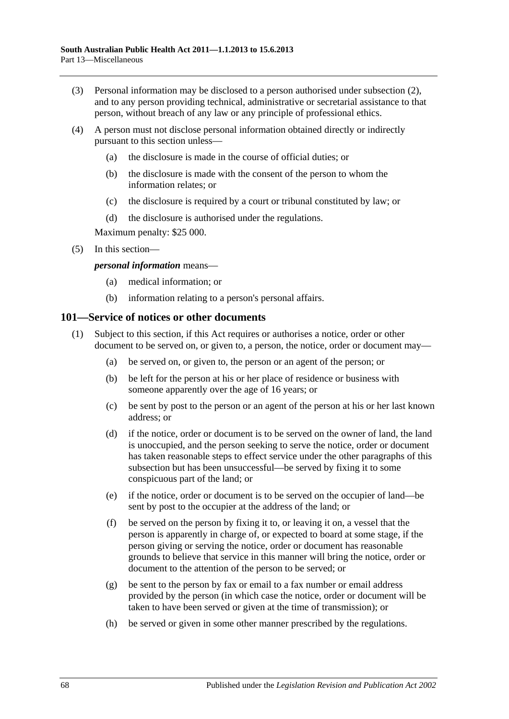- (3) Personal information may be disclosed to a person authorised under [subsection](#page-66-1) (2), and to any person providing technical, administrative or secretarial assistance to that person, without breach of any law or any principle of professional ethics.
- (4) A person must not disclose personal information obtained directly or indirectly pursuant to this section unless—
	- (a) the disclosure is made in the course of official duties; or
	- (b) the disclosure is made with the consent of the person to whom the information relates; or
	- (c) the disclosure is required by a court or tribunal constituted by law; or
	- (d) the disclosure is authorised under the regulations.

Maximum penalty: \$25 000.

(5) In this section—

#### *personal information* means—

- (a) medical information; or
- (b) information relating to a person's personal affairs.

#### <span id="page-67-0"></span>**101—Service of notices or other documents**

- (1) Subject to this section, if this Act requires or authorises a notice, order or other document to be served on, or given to, a person, the notice, order or document may—
	- (a) be served on, or given to, the person or an agent of the person; or
	- (b) be left for the person at his or her place of residence or business with someone apparently over the age of 16 years; or
	- (c) be sent by post to the person or an agent of the person at his or her last known address; or
	- (d) if the notice, order or document is to be served on the owner of land, the land is unoccupied, and the person seeking to serve the notice, order or document has taken reasonable steps to effect service under the other paragraphs of this subsection but has been unsuccessful—be served by fixing it to some conspicuous part of the land; or
	- (e) if the notice, order or document is to be served on the occupier of land—be sent by post to the occupier at the address of the land; or
	- (f) be served on the person by fixing it to, or leaving it on, a vessel that the person is apparently in charge of, or expected to board at some stage, if the person giving or serving the notice, order or document has reasonable grounds to believe that service in this manner will bring the notice, order or document to the attention of the person to be served; or
	- (g) be sent to the person by fax or email to a fax number or email address provided by the person (in which case the notice, order or document will be taken to have been served or given at the time of transmission); or
	- (h) be served or given in some other manner prescribed by the regulations.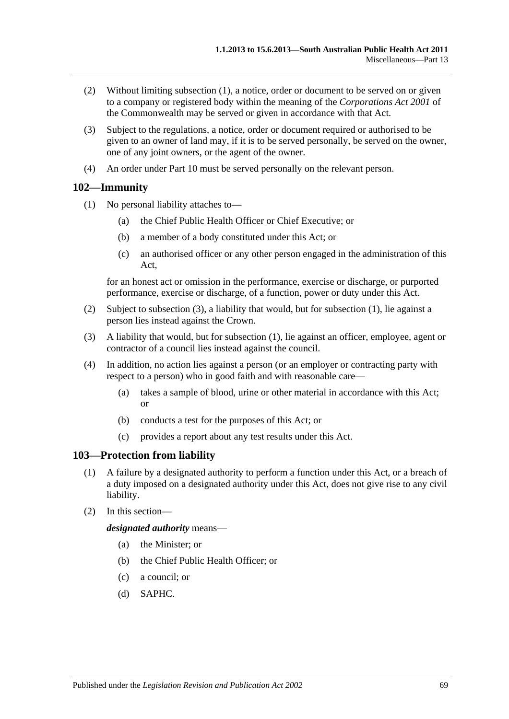- (2) Without limiting [subsection](#page-67-0) (1), a notice, order or document to be served on or given to a company or registered body within the meaning of the *Corporations Act 2001* of the Commonwealth may be served or given in accordance with that Act.
- (3) Subject to the regulations, a notice, order or document required or authorised to be given to an owner of land may, if it is to be served personally, be served on the owner, one of any joint owners, or the agent of the owner.
- (4) An order under [Part](#page-41-2) 10 must be served personally on the relevant person.

# <span id="page-68-1"></span>**102—Immunity**

- (1) No personal liability attaches to—
	- (a) the Chief Public Health Officer or Chief Executive; or
	- (b) a member of a body constituted under this Act; or
	- (c) an authorised officer or any other person engaged in the administration of this Act,

for an honest act or omission in the performance, exercise or discharge, or purported performance, exercise or discharge, of a function, power or duty under this Act.

- (2) Subject to [subsection](#page-68-0) (3), a liability that would, but for [subsection](#page-68-1) (1), lie against a person lies instead against the Crown.
- <span id="page-68-0"></span>(3) A liability that would, but for [subsection](#page-68-1) (1), lie against an officer, employee, agent or contractor of a council lies instead against the council.
- (4) In addition, no action lies against a person (or an employer or contracting party with respect to a person) who in good faith and with reasonable care—
	- (a) takes a sample of blood, urine or other material in accordance with this Act; or
	- (b) conducts a test for the purposes of this Act; or
	- (c) provides a report about any test results under this Act.

# **103—Protection from liability**

- (1) A failure by a designated authority to perform a function under this Act, or a breach of a duty imposed on a designated authority under this Act, does not give rise to any civil liability.
- (2) In this section—

*designated authority* means—

- (a) the Minister; or
- (b) the Chief Public Health Officer; or
- (c) a council; or
- (d) SAPHC.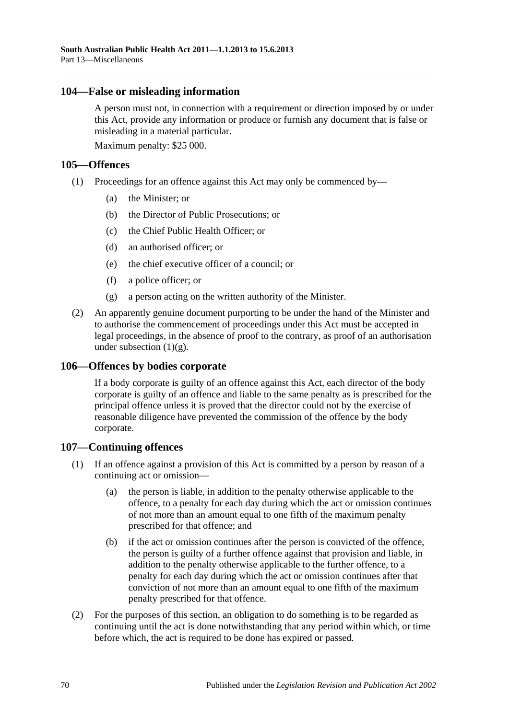## **104—False or misleading information**

A person must not, in connection with a requirement or direction imposed by or under this Act, provide any information or produce or furnish any document that is false or misleading in a material particular.

Maximum penalty: \$25 000.

## **105—Offences**

- (1) Proceedings for an offence against this Act may only be commenced by—
	- (a) the Minister; or
	- (b) the Director of Public Prosecutions; or
	- (c) the Chief Public Health Officer; or
	- (d) an authorised officer; or
	- (e) the chief executive officer of a council; or
	- (f) a police officer; or
	- (g) a person acting on the written authority of the Minister.
- <span id="page-69-0"></span>(2) An apparently genuine document purporting to be under the hand of the Minister and to authorise the commencement of proceedings under this Act must be accepted in legal proceedings, in the absence of proof to the contrary, as proof of an authorisation under [subsection](#page-69-0)  $(1)(g)$ .

# **106—Offences by bodies corporate**

If a body corporate is guilty of an offence against this Act, each director of the body corporate is guilty of an offence and liable to the same penalty as is prescribed for the principal offence unless it is proved that the director could not by the exercise of reasonable diligence have prevented the commission of the offence by the body corporate.

# **107—Continuing offences**

- (1) If an offence against a provision of this Act is committed by a person by reason of a continuing act or omission—
	- (a) the person is liable, in addition to the penalty otherwise applicable to the offence, to a penalty for each day during which the act or omission continues of not more than an amount equal to one fifth of the maximum penalty prescribed for that offence; and
	- (b) if the act or omission continues after the person is convicted of the offence, the person is guilty of a further offence against that provision and liable, in addition to the penalty otherwise applicable to the further offence, to a penalty for each day during which the act or omission continues after that conviction of not more than an amount equal to one fifth of the maximum penalty prescribed for that offence.
- (2) For the purposes of this section, an obligation to do something is to be regarded as continuing until the act is done notwithstanding that any period within which, or time before which, the act is required to be done has expired or passed.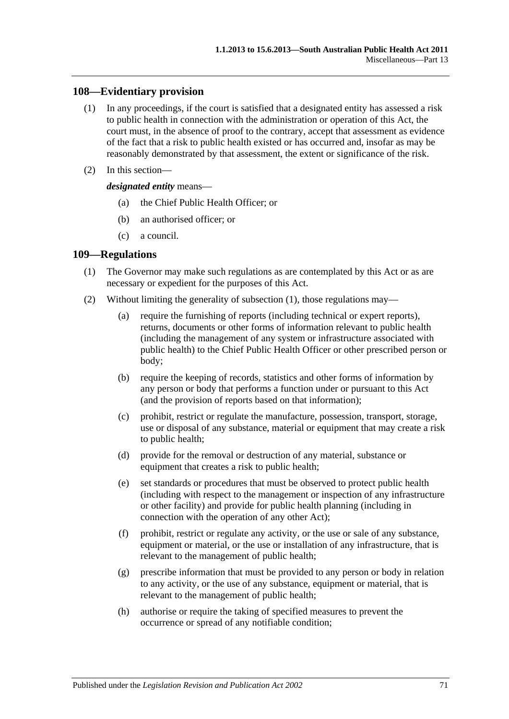# **108—Evidentiary provision**

- (1) In any proceedings, if the court is satisfied that a designated entity has assessed a risk to public health in connection with the administration or operation of this Act, the court must, in the absence of proof to the contrary, accept that assessment as evidence of the fact that a risk to public health existed or has occurred and, insofar as may be reasonably demonstrated by that assessment, the extent or significance of the risk.
- (2) In this section—

*designated entity* means—

- (a) the Chief Public Health Officer; or
- (b) an authorised officer; or
- (c) a council.

# <span id="page-70-0"></span>**109—Regulations**

- (1) The Governor may make such regulations as are contemplated by this Act or as are necessary or expedient for the purposes of this Act.
- (2) Without limiting the generality of [subsection](#page-70-0) (1), those regulations may—
	- (a) require the furnishing of reports (including technical or expert reports), returns, documents or other forms of information relevant to public health (including the management of any system or infrastructure associated with public health) to the Chief Public Health Officer or other prescribed person or body;
	- (b) require the keeping of records, statistics and other forms of information by any person or body that performs a function under or pursuant to this Act (and the provision of reports based on that information);
	- (c) prohibit, restrict or regulate the manufacture, possession, transport, storage, use or disposal of any substance, material or equipment that may create a risk to public health;
	- (d) provide for the removal or destruction of any material, substance or equipment that creates a risk to public health;
	- (e) set standards or procedures that must be observed to protect public health (including with respect to the management or inspection of any infrastructure or other facility) and provide for public health planning (including in connection with the operation of any other Act);
	- (f) prohibit, restrict or regulate any activity, or the use or sale of any substance, equipment or material, or the use or installation of any infrastructure, that is relevant to the management of public health;
	- (g) prescribe information that must be provided to any person or body in relation to any activity, or the use of any substance, equipment or material, that is relevant to the management of public health;
	- (h) authorise or require the taking of specified measures to prevent the occurrence or spread of any notifiable condition;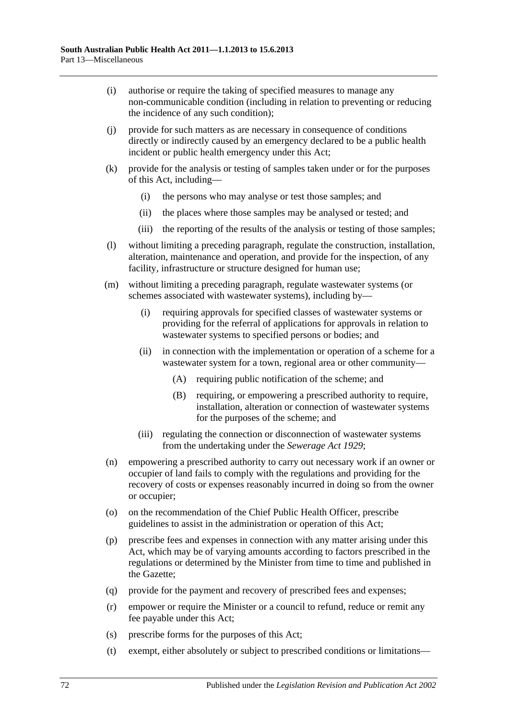- (i) authorise or require the taking of specified measures to manage any non-communicable condition (including in relation to preventing or reducing the incidence of any such condition);
- (j) provide for such matters as are necessary in consequence of conditions directly or indirectly caused by an emergency declared to be a public health incident or public health emergency under this Act;
- (k) provide for the analysis or testing of samples taken under or for the purposes of this Act, including—
	- (i) the persons who may analyse or test those samples; and
	- (ii) the places where those samples may be analysed or tested; and
	- (iii) the reporting of the results of the analysis or testing of those samples;
- (l) without limiting a preceding paragraph, regulate the construction, installation, alteration, maintenance and operation, and provide for the inspection, of any facility, infrastructure or structure designed for human use;
- (m) without limiting a preceding paragraph, regulate wastewater systems (or schemes associated with wastewater systems), including by—
	- (i) requiring approvals for specified classes of wastewater systems or providing for the referral of applications for approvals in relation to wastewater systems to specified persons or bodies; and
	- (ii) in connection with the implementation or operation of a scheme for a wastewater system for a town, regional area or other community—
		- (A) requiring public notification of the scheme; and
		- (B) requiring, or empowering a prescribed authority to require, installation, alteration or connection of wastewater systems for the purposes of the scheme; and
	- (iii) regulating the connection or disconnection of wastewater systems from the undertaking under the *[Sewerage Act](http://www.legislation.sa.gov.au/index.aspx?action=legref&type=act&legtitle=Sewerage%20Act%201929) 1929*;
- (n) empowering a prescribed authority to carry out necessary work if an owner or occupier of land fails to comply with the regulations and providing for the recovery of costs or expenses reasonably incurred in doing so from the owner or occupier;
- (o) on the recommendation of the Chief Public Health Officer, prescribe guidelines to assist in the administration or operation of this Act;
- (p) prescribe fees and expenses in connection with any matter arising under this Act, which may be of varying amounts according to factors prescribed in the regulations or determined by the Minister from time to time and published in the Gazette;
- (q) provide for the payment and recovery of prescribed fees and expenses;
- (r) empower or require the Minister or a council to refund, reduce or remit any fee payable under this Act;
- (s) prescribe forms for the purposes of this Act;
- (t) exempt, either absolutely or subject to prescribed conditions or limitations—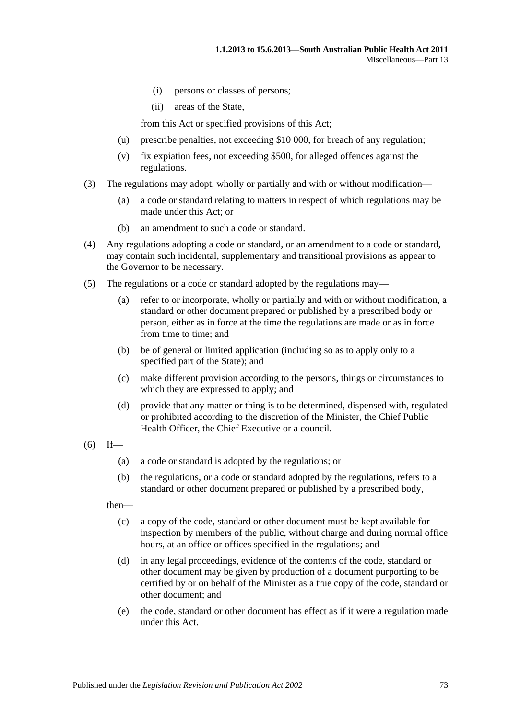- (i) persons or classes of persons;
- (ii) areas of the State,

from this Act or specified provisions of this Act;

- (u) prescribe penalties, not exceeding \$10 000, for breach of any regulation;
- (v) fix expiation fees, not exceeding \$500, for alleged offences against the regulations.
- (3) The regulations may adopt, wholly or partially and with or without modification—
	- (a) a code or standard relating to matters in respect of which regulations may be made under this Act; or
	- (b) an amendment to such a code or standard.
- (4) Any regulations adopting a code or standard, or an amendment to a code or standard, may contain such incidental, supplementary and transitional provisions as appear to the Governor to be necessary.
- (5) The regulations or a code or standard adopted by the regulations may—
	- (a) refer to or incorporate, wholly or partially and with or without modification, a standard or other document prepared or published by a prescribed body or person, either as in force at the time the regulations are made or as in force from time to time; and
	- (b) be of general or limited application (including so as to apply only to a specified part of the State); and
	- (c) make different provision according to the persons, things or circumstances to which they are expressed to apply; and
	- (d) provide that any matter or thing is to be determined, dispensed with, regulated or prohibited according to the discretion of the Minister, the Chief Public Health Officer, the Chief Executive or a council.
- $(6)$  If—
	- (a) a code or standard is adopted by the regulations; or
	- (b) the regulations, or a code or standard adopted by the regulations, refers to a standard or other document prepared or published by a prescribed body,

then—

- (c) a copy of the code, standard or other document must be kept available for inspection by members of the public, without charge and during normal office hours, at an office or offices specified in the regulations; and
- (d) in any legal proceedings, evidence of the contents of the code, standard or other document may be given by production of a document purporting to be certified by or on behalf of the Minister as a true copy of the code, standard or other document; and
- (e) the code, standard or other document has effect as if it were a regulation made under this Act.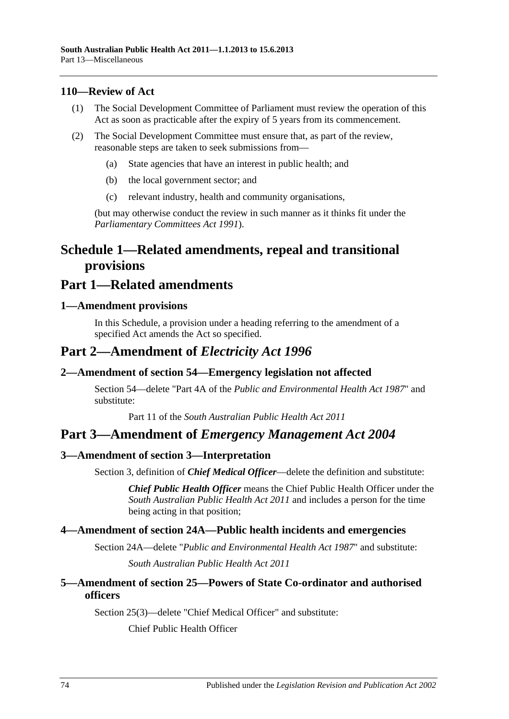#### **110—Review of Act**

- (1) The Social Development Committee of Parliament must review the operation of this Act as soon as practicable after the expiry of 5 years from its commencement.
- (2) The Social Development Committee must ensure that, as part of the review, reasonable steps are taken to seek submissions from—
	- (a) State agencies that have an interest in public health; and
	- (b) the local government sector; and
	- (c) relevant industry, health and community organisations,

(but may otherwise conduct the review in such manner as it thinks fit under the *[Parliamentary Committees Act](http://www.legislation.sa.gov.au/index.aspx?action=legref&type=act&legtitle=Parliamentary%20Committees%20Act%201991) 1991*).

# **Schedule 1—Related amendments, repeal and transitional provisions**

## **Part 1—Related amendments**

#### **1—Amendment provisions**

In this Schedule, a provision under a heading referring to the amendment of a specified Act amends the Act so specified.

## **Part 2—Amendment of** *Electricity Act 1996*

#### **2—Amendment of section 54—Emergency legislation not affected**

Section 54—delete "Part 4A of the *[Public and Environmental Health Act](http://www.legislation.sa.gov.au/index.aspx?action=legref&type=act&legtitle=Public%20and%20Environmental%20Health%20Act%201987) 1987*" and substitute:

Part 11 of the *[South Australian Public Health Act](http://www.legislation.sa.gov.au/index.aspx?action=legref&type=act&legtitle=South%20Australian%20Public%20Health%20Act%202011) 2011*

## **Part 3—Amendment of** *Emergency Management Act 2004*

#### **3—Amendment of section 3—Interpretation**

Section 3, definition of *Chief Medical Officer*—delete the definition and substitute:

*Chief Public Health Officer* means the Chief Public Health Officer under the *[South Australian Public Health Act](http://www.legislation.sa.gov.au/index.aspx?action=legref&type=act&legtitle=South%20Australian%20Public%20Health%20Act%202011) 2011* and includes a person for the time being acting in that position;

#### **4—Amendment of section 24A—Public health incidents and emergencies**

Section 24A—delete "*[Public and Environmental Health Act](http://www.legislation.sa.gov.au/index.aspx?action=legref&type=act&legtitle=Public%20and%20Environmental%20Health%20Act%201987) 1987*" and substitute: *[South Australian Public Health Act](http://www.legislation.sa.gov.au/index.aspx?action=legref&type=act&legtitle=South%20Australian%20Public%20Health%20Act%202011) 2011*

#### **5—Amendment of section 25—Powers of State Co-ordinator and authorised officers**

Section 25(3)—delete "Chief Medical Officer" and substitute:

Chief Public Health Officer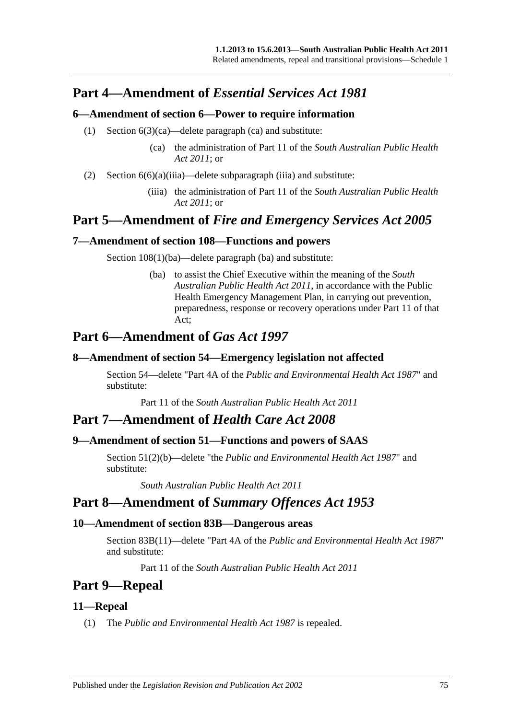# **Part 4—Amendment of** *Essential Services Act 1981*

#### **6—Amendment of section 6—Power to require information**

- (1) Section 6(3)(ca)—delete paragraph (ca) and substitute:
	- (ca) the administration of Part 11 of the *[South Australian Public Health](http://www.legislation.sa.gov.au/index.aspx?action=legref&type=act&legtitle=South%20Australian%20Public%20Health%20Act%202011)  Act [2011](http://www.legislation.sa.gov.au/index.aspx?action=legref&type=act&legtitle=South%20Australian%20Public%20Health%20Act%202011)*; or
- (2) Section  $6(6)(a)(iii)a$ —delete subparagraph (iiia) and substitute:
	- (iiia) the administration of Part 11 of the *[South Australian Public Health](http://www.legislation.sa.gov.au/index.aspx?action=legref&type=act&legtitle=South%20Australian%20Public%20Health%20Act%202011)  Act [2011](http://www.legislation.sa.gov.au/index.aspx?action=legref&type=act&legtitle=South%20Australian%20Public%20Health%20Act%202011)*; or

# **Part 5—Amendment of** *Fire and Emergency Services Act 2005*

#### **7—Amendment of section 108—Functions and powers**

Section  $108(1)(ba)$ —delete paragraph (ba) and substitute:

(ba) to assist the Chief Executive within the meaning of the *[South](http://www.legislation.sa.gov.au/index.aspx?action=legref&type=act&legtitle=South%20Australian%20Public%20Health%20Act%202011)  [Australian Public Health Act](http://www.legislation.sa.gov.au/index.aspx?action=legref&type=act&legtitle=South%20Australian%20Public%20Health%20Act%202011) 2011*, in accordance with the Public Health Emergency Management Plan, in carrying out prevention, preparedness, response or recovery operations under Part 11 of that Act;

# **Part 6—Amendment of** *Gas Act 1997*

#### **8—Amendment of section 54—Emergency legislation not affected**

Section 54—delete "Part 4A of the *[Public and Environmental Health Act](http://www.legislation.sa.gov.au/index.aspx?action=legref&type=act&legtitle=Public%20and%20Environmental%20Health%20Act%201987) 1987*" and substitute:

Part 11 of the *[South Australian Public Health Act](http://www.legislation.sa.gov.au/index.aspx?action=legref&type=act&legtitle=South%20Australian%20Public%20Health%20Act%202011) 2011*

## **Part 7—Amendment of** *Health Care Act 2008*

#### **9—Amendment of section 51—Functions and powers of SAAS**

Section 51(2)(b)—delete "the *[Public and Environmental Health Act](http://www.legislation.sa.gov.au/index.aspx?action=legref&type=act&legtitle=Public%20and%20Environmental%20Health%20Act%201987) 1987*" and substitute:

*[South Australian Public Health Act](http://www.legislation.sa.gov.au/index.aspx?action=legref&type=act&legtitle=South%20Australian%20Public%20Health%20Act%202011) 2011*

# **Part 8—Amendment of** *Summary Offences Act 1953*

#### **10—Amendment of section 83B—Dangerous areas**

Section 83B(11)—delete "Part 4A of the *[Public and Environmental Health Act](http://www.legislation.sa.gov.au/index.aspx?action=legref&type=act&legtitle=Public%20and%20Environmental%20Health%20Act%201987) 1987*" and substitute:

Part 11 of the *[South Australian Public Health Act](http://www.legislation.sa.gov.au/index.aspx?action=legref&type=act&legtitle=South%20Australian%20Public%20Health%20Act%202011) 2011*

# **Part 9—Repeal**

#### **11—Repeal**

(1) The *[Public and Environmental Health Act](http://www.legislation.sa.gov.au/index.aspx?action=legref&type=act&legtitle=Public%20and%20Environmental%20Health%20Act%201987) 1987* is repealed.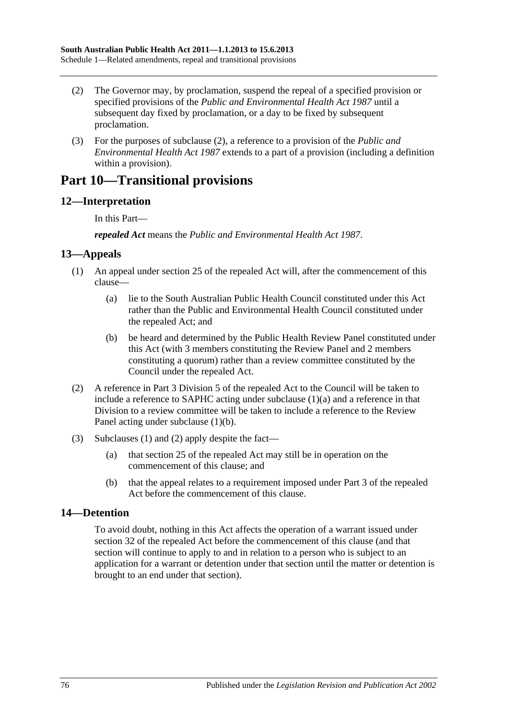- <span id="page-75-0"></span>(2) The Governor may, by proclamation, suspend the repeal of a specified provision or specified provisions of the *[Public and Environmental Health Act](http://www.legislation.sa.gov.au/index.aspx?action=legref&type=act&legtitle=Public%20and%20Environmental%20Health%20Act%201987) 1987* until a subsequent day fixed by proclamation, or a day to be fixed by subsequent proclamation.
- (3) For the purposes of [subclause](#page-75-0) (2), a reference to a provision of the *[Public and](http://www.legislation.sa.gov.au/index.aspx?action=legref&type=act&legtitle=Public%20and%20Environmental%20Health%20Act%201987)  [Environmental Health Act](http://www.legislation.sa.gov.au/index.aspx?action=legref&type=act&legtitle=Public%20and%20Environmental%20Health%20Act%201987) 1987* extends to a part of a provision (including a definition within a provision).

# **Part 10—Transitional provisions**

### **12—Interpretation**

In this Part—

*repealed Act* means the *[Public and Environmental Health Act](http://www.legislation.sa.gov.au/index.aspx?action=legref&type=act&legtitle=Public%20and%20Environmental%20Health%20Act%201987) 1987*.

#### <span id="page-75-3"></span>**13—Appeals**

- <span id="page-75-1"></span>(1) An appeal under section 25 of the repealed Act will, after the commencement of this clause—
	- (a) lie to the South Australian Public Health Council constituted under this Act rather than the Public and Environmental Health Council constituted under the repealed Act; and
	- (b) be heard and determined by the Public Health Review Panel constituted under this Act (with 3 members constituting the Review Panel and 2 members constituting a quorum) rather than a review committee constituted by the Council under the repealed Act.
- <span id="page-75-4"></span><span id="page-75-2"></span>(2) A reference in Part 3 Division 5 of the repealed Act to the Council will be taken to include a reference to SAPHC acting under [subclause](#page-75-1) (1)(a) and a reference in that Division to a review committee will be taken to include a reference to the Review Panel acting under [subclause](#page-75-2) (1)(b).
- (3) [Subclauses](#page-75-3) (1) and [\(2\)](#page-75-4) apply despite the fact—
	- (a) that section 25 of the repealed Act may still be in operation on the commencement of this clause; and
	- (b) that the appeal relates to a requirement imposed under Part 3 of the repealed Act before the commencement of this clause.

### **14—Detention**

To avoid doubt, nothing in this Act affects the operation of a warrant issued under section 32 of the repealed Act before the commencement of this clause (and that section will continue to apply to and in relation to a person who is subject to an application for a warrant or detention under that section until the matter or detention is brought to an end under that section).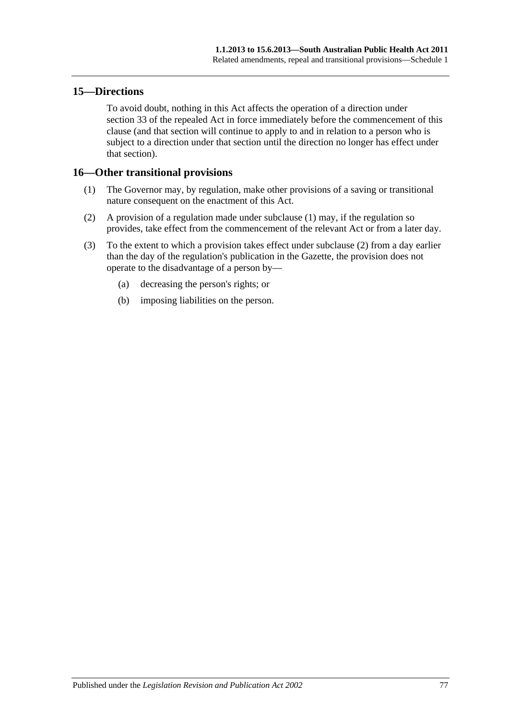#### **15—Directions**

To avoid doubt, nothing in this Act affects the operation of a direction under section 33 of the repealed Act in force immediately before the commencement of this clause (and that section will continue to apply to and in relation to a person who is subject to a direction under that section until the direction no longer has effect under that section).

#### <span id="page-76-0"></span>**16—Other transitional provisions**

- (1) The Governor may, by regulation, make other provisions of a saving or transitional nature consequent on the enactment of this Act.
- <span id="page-76-1"></span>(2) A provision of a regulation made under [subclause](#page-76-0) (1) may, if the regulation so provides, take effect from the commencement of the relevant Act or from a later day.
- (3) To the extent to which a provision takes effect under [subclause](#page-76-1) (2) from a day earlier than the day of the regulation's publication in the Gazette, the provision does not operate to the disadvantage of a person by—
	- (a) decreasing the person's rights; or
	- (b) imposing liabilities on the person.